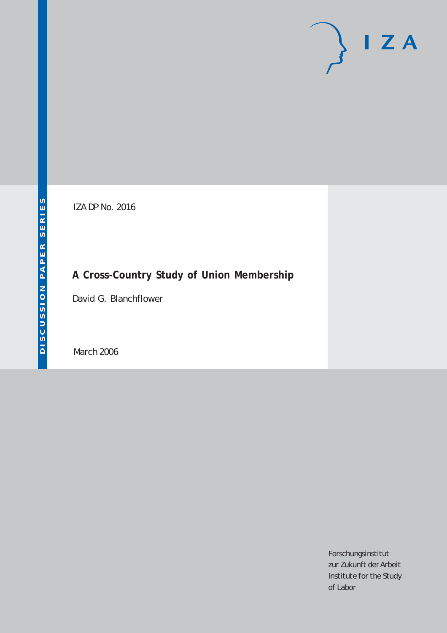# $I Z A$

IZA DP No. 2016

## **A Cross-Country Study of Union Membership**

David G. Blanchflower

March 2006

Forschungsinstitut zur Zukunft der Arbeit Institute for the Study of Labor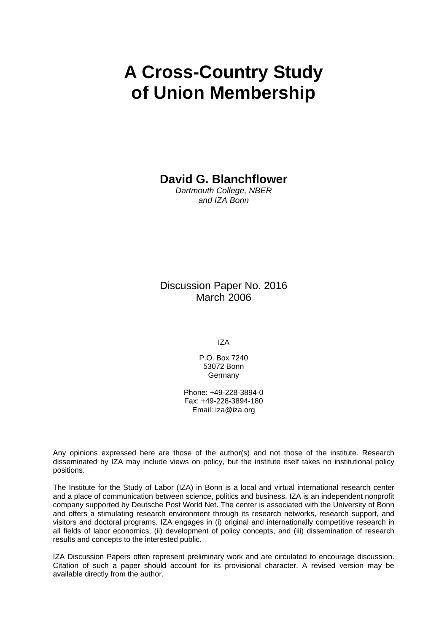## **A Cross-Country Study of Union Membership**

**David G. Blanchflower** 

*Dartmouth College, NBER and IZA Bonn* 

Discussion Paper No. 2016 March 2006

IZA

P.O. Box 7240 53072 Bonn Germany

Phone: +49-228-3894-0 Fax: +49-228-3894-180 Email: [iza@iza.org](mailto:iza@iza.org)

Any opinions expressed here are those of the author(s) and not those of the institute. Research disseminated by IZA may include views on policy, but the institute itself takes no institutional policy positions.

The Institute for the Study of Labor (IZA) in Bonn is a local and virtual international research center and a place of communication between science, politics and business. IZA is an independent nonprofit company supported by Deutsche Post World Net. The center is associated with the University of Bonn and offers a stimulating research environment through its research networks, research support, and visitors and doctoral programs. IZA engages in (i) original and internationally competitive research in all fields of labor economics, (ii) development of policy concepts, and (iii) dissemination of research results and concepts to the interested public.

IZA Discussion Papers often represent preliminary work and are circulated to encourage discussion. Citation of such a paper should account for its provisional character. A revised version may be available directly from the author.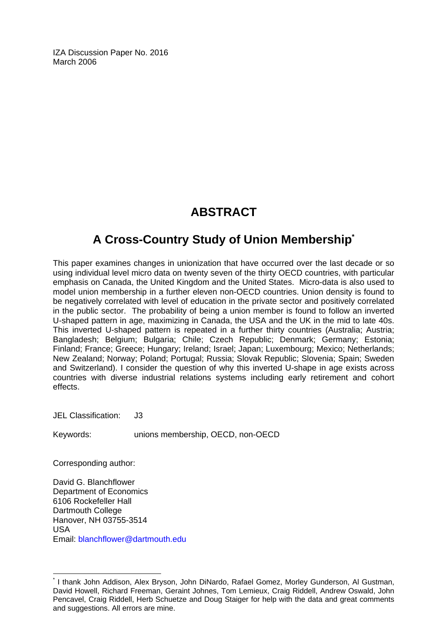IZA Discussion Paper No. 2016 March 2006

## **ABSTRACT**

## **A Cross-Country Study of Union Membershi[p\\*](#page-2-0)**

This paper examines changes in unionization that have occurred over the last decade or so using individual level micro data on twenty seven of the thirty OECD countries, with particular emphasis on Canada, the United Kingdom and the United States. Micro-data is also used to model union membership in a further eleven non-OECD countries. Union density is found to be negatively correlated with level of education in the private sector and positively correlated in the public sector. The probability of being a union member is found to follow an inverted U-shaped pattern in age, maximizing in Canada, the USA and the UK in the mid to late 40s. This inverted U-shaped pattern is repeated in a further thirty countries (Australia; Austria; Bangladesh; Belgium; Bulgaria; Chile; Czech Republic; Denmark; Germany; Estonia; Finland; France; Greece; Hungary; Ireland; Israel; Japan; Luxembourg; Mexico; Netherlands; New Zealand; Norway; Poland; Portugal; Russia; Slovak Republic; Slovenia; Spain; Sweden and Switzerland). I consider the question of why this inverted U-shape in age exists across countries with diverse industrial relations systems including early retirement and cohort effects.

JEL Classification: J3

Keywords: unions membership, OECD, non-OECD

Corresponding author:

 $\overline{a}$ 

David G. Blanchflower Department of Economics 6106 Rockefeller Hall Dartmouth College Hanover, NH 03755-3514 USA Email: [blanchflower@dartmouth.edu](mailto:blanchflower@dartmouth.edu)

<span id="page-2-0"></span><sup>\*</sup> I thank John Addison, Alex Bryson, John DiNardo, Rafael Gomez, Morley Gunderson, Al Gustman, David Howell, Richard Freeman, Geraint Johnes, Tom Lemieux, Craig Riddell, Andrew Oswald, John Pencavel, Craig Riddell, Herb Schuetze and Doug Staiger for help with the data and great comments and suggestions. All errors are mine.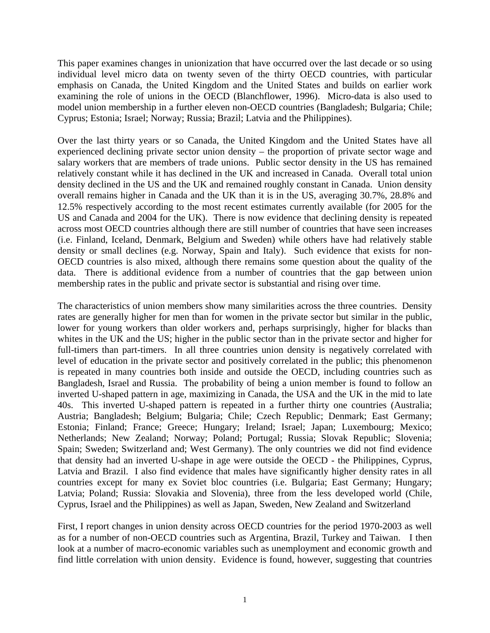This paper examines changes in unionization that have occurred over the last decade or so using individual level micro data on twenty seven of the thirty OECD countries, with particular emphasis on Canada, the United Kingdom and the United States and builds on earlier work examining the role of unions in the OECD (Blanchflower, 1996). Micro-data is also used to model union membership in a further eleven non-OECD countries (Bangladesh; Bulgaria; Chile; Cyprus; Estonia; Israel; Norway; Russia; Brazil; Latvia and the Philippines).

Over the last thirty years or so Canada, the United Kingdom and the United States have all experienced declining private sector union density – the proportion of private sector wage and salary workers that are members of trade unions. Public sector density in the US has remained relatively constant while it has declined in the UK and increased in Canada. Overall total union density declined in the US and the UK and remained roughly constant in Canada. Union density overall remains higher in Canada and the UK than it is in the US, averaging 30.7%, 28.8% and 12.5% respectively according to the most recent estimates currently available (for 2005 for the US and Canada and 2004 for the UK). There is now evidence that declining density is repeated across most OECD countries although there are still number of countries that have seen increases (i.e. Finland, Iceland, Denmark, Belgium and Sweden) while others have had relatively stable density or small declines (e.g. Norway, Spain and Italy). Such evidence that exists for non-OECD countries is also mixed, although there remains some question about the quality of the data. There is additional evidence from a number of countries that the gap between union membership rates in the public and private sector is substantial and rising over time.

The characteristics of union members show many similarities across the three countries. Density rates are generally higher for men than for women in the private sector but similar in the public, lower for young workers than older workers and, perhaps surprisingly, higher for blacks than whites in the UK and the US; higher in the public sector than in the private sector and higher for full-timers than part-timers. In all three countries union density is negatively correlated with level of education in the private sector and positively correlated in the public; this phenomenon is repeated in many countries both inside and outside the OECD, including countries such as Bangladesh, Israel and Russia. The probability of being a union member is found to follow an inverted U-shaped pattern in age, maximizing in Canada, the USA and the UK in the mid to late 40s. This inverted U-shaped pattern is repeated in a further thirty one countries (Australia; Austria; Bangladesh; Belgium; Bulgaria; Chile; Czech Republic; Denmark; East Germany; Estonia; Finland; France; Greece; Hungary; Ireland; Israel; Japan; Luxembourg; Mexico; Netherlands; New Zealand; Norway; Poland; Portugal; Russia; Slovak Republic; Slovenia; Spain; Sweden; Switzerland and; West Germany). The only countries we did not find evidence that density had an inverted U-shape in age were outside the OECD - the Philippines, Cyprus, Latvia and Brazil. I also find evidence that males have significantly higher density rates in all countries except for many ex Soviet bloc countries (i.e. Bulgaria; East Germany; Hungary; Latvia; Poland; Russia: Slovakia and Slovenia), three from the less developed world (Chile, Cyprus, Israel and the Philippines) as well as Japan, Sweden, New Zealand and Switzerland

First, I report changes in union density across OECD countries for the period 1970-2003 as well as for a number of non-OECD countries such as Argentina, Brazil, Turkey and Taiwan. I then look at a number of macro-economic variables such as unemployment and economic growth and find little correlation with union density. Evidence is found, however, suggesting that countries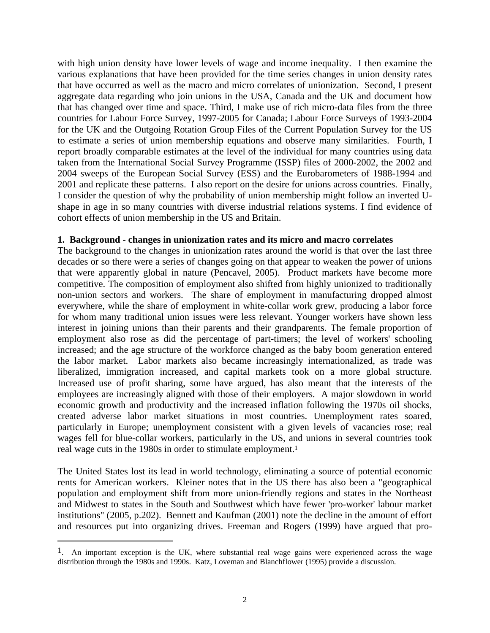with high union density have lower levels of wage and income inequality. I then examine the various explanations that have been provided for the time series changes in union density rates that have occurred as well as the macro and micro correlates of unionization. Second, I present aggregate data regarding who join unions in the USA, Canada and the UK and document how that has changed over time and space. Third, I make use of rich micro-data files from the three countries for Labour Force Survey, 1997-2005 for Canada; Labour Force Surveys of 1993-2004 for the UK and the Outgoing Rotation Group Files of the Current Population Survey for the US to estimate a series of union membership equations and observe many similarities. Fourth, I report broadly comparable estimates at the level of the individual for many countries using data taken from the International Social Survey Programme (ISSP) files of 2000-2002, the 2002 and 2004 sweeps of the European Social Survey (ESS) and the Eurobarometers of 1988-1994 and 2001 and replicate these patterns. I also report on the desire for unions across countries. Finally, I consider the question of why the probability of union membership might follow an inverted Ushape in age in so many countries with diverse industrial relations systems. I find evidence of cohort effects of union membership in the US and Britain.

#### **1. Background - changes in unionization rates and its micro and macro correlates**

The background to the changes in unionization rates around the world is that over the last three decades or so there were a series of changes going on that appear to weaken the power of unions that were apparently global in nature (Pencavel, 2005). Product markets have become more competitive. The composition of employment also shifted from highly unionized to traditionally non-union sectors and workers. The share of employment in manufacturing dropped almost everywhere, while the share of employment in white-collar work grew, producing a labor force for whom many traditional union issues were less relevant. Younger workers have shown less interest in joining unions than their parents and their grandparents. The female proportion of employment also rose as did the percentage of part-timers; the level of workers' schooling increased; and the age structure of the workforce changed as the baby boom generation entered the labor market. Labor markets also became increasingly internationalized, as trade was liberalized, immigration increased, and capital markets took on a more global structure. Increased use of profit sharing, some have argued, has also meant that the interests of the employees are increasingly aligned with those of their employers. A major slowdown in world economic growth and productivity and the increased inflation following the 1970s oil shocks, created adverse labor market situations in most countries. Unemployment rates soared, particularly in Europe; unemployment consistent with a given levels of vacancies rose; real wages fell for blue-collar workers, particularly in the US, and unions in several countries took real wage cuts in the 1980s in order to stimulate employment.<sup>1</sup>

The United States lost its lead in world technology, eliminating a source of potential economic rents for American workers. Kleiner notes that in the US there has also been a "geographical population and employment shift from more union-friendly regions and states in the Northeast and Midwest to states in the South and Southwest which have fewer 'pro-worker' labour market institutions" (2005, p.202). Bennett and Kaufman (2001) note the decline in the amount of effort and resources put into organizing drives. Freeman and Rogers (1999) have argued that pro-

<sup>&</sup>lt;sup>1</sup>. An important exception is the UK, where substantial real wage gains were experienced across the wage distribution through the 1980s and 1990s. Katz, Loveman and Blanchflower (1995) provide a discussion.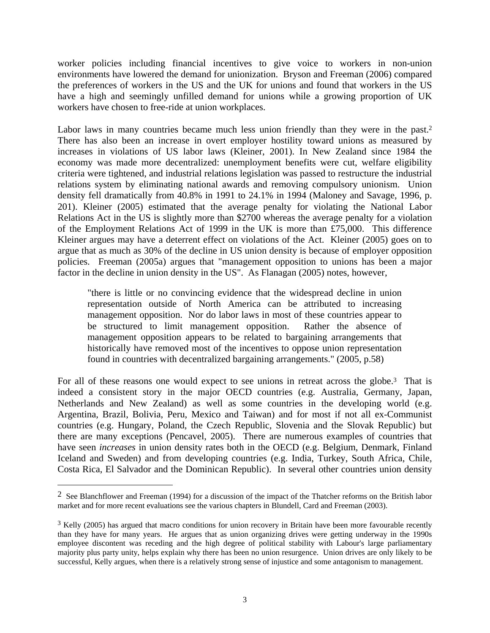worker policies including financial incentives to give voice to workers in non-union environments have lowered the demand for unionization. Bryson and Freeman (2006) compared the preferences of workers in the US and the UK for unions and found that workers in the US have a high and seemingly unfilled demand for unions while a growing proportion of UK workers have chosen to free-ride at union workplaces.

Labor laws in many countries became much less union friendly than they were in the past.<sup>2</sup> There has also been an increase in overt employer hostility toward unions as measured by increases in violations of US labor laws (Kleiner, 2001). In New Zealand since 1984 the economy was made more decentralized: unemployment benefits were cut, welfare eligibility criteria were tightened, and industrial relations legislation was passed to restructure the industrial relations system by eliminating national awards and removing compulsory unionism. Union density fell dramatically from 40.8% in 1991 to 24.1% in 1994 (Maloney and Savage, 1996, p. 201). Kleiner (2005) estimated that the average penalty for violating the National Labor Relations Act in the US is slightly more than \$2700 whereas the average penalty for a violation of the Employment Relations Act of 1999 in the UK is more than £75,000. This difference Kleiner argues may have a deterrent effect on violations of the Act. Kleiner (2005) goes on to argue that as much as 30% of the decline in US union density is because of employer opposition policies. Freeman (2005a) argues that "management opposition to unions has been a major factor in the decline in union density in the US". As Flanagan (2005) notes, however,

"there is little or no convincing evidence that the widespread decline in union representation outside of North America can be attributed to increasing management opposition. Nor do labor laws in most of these countries appear to be structured to limit management opposition. Rather the absence of management opposition appears to be related to bargaining arrangements that historically have removed most of the incentives to oppose union representation found in countries with decentralized bargaining arrangements." (2005, p.58)

For all of these reasons one would expect to see unions in retreat across the globe.<sup>3</sup> That is indeed a consistent story in the major OECD countries (e.g. Australia, Germany, Japan, Netherlands and New Zealand) as well as some countries in the developing world (e.g. Argentina, Brazil, Bolivia, Peru, Mexico and Taiwan) and for most if not all ex-Communist countries (e.g. Hungary, Poland, the Czech Republic, Slovenia and the Slovak Republic) but there are many exceptions (Pencavel, 2005). There are numerous examples of countries that have seen *increases* in union density rates both in the OECD (e.g. Belgium, Denmark, Finland Iceland and Sweden) and from developing countries (e.g. India, Turkey, South Africa, Chile, Costa Rica, El Salvador and the Dominican Republic). In several other countries union density

<sup>2</sup> See Blanchflower and Freeman (1994) for a discussion of the impact of the Thatcher reforms on the British labor market and for more recent evaluations see the various chapters in Blundell, Card and Freeman (2003).

<sup>&</sup>lt;sup>3</sup> Kelly (2005) has argued that macro conditions for union recovery in Britain have been more favourable recently than they have for many years. He argues that as union organizing drives were getting underway in the 1990s employee discontent was receding and the high degree of political stability with Labour's large parliamentary majority plus party unity, helps explain why there has been no union resurgence. Union drives are only likely to be successful, Kelly argues, when there is a relatively strong sense of injustice and some antagonism to management.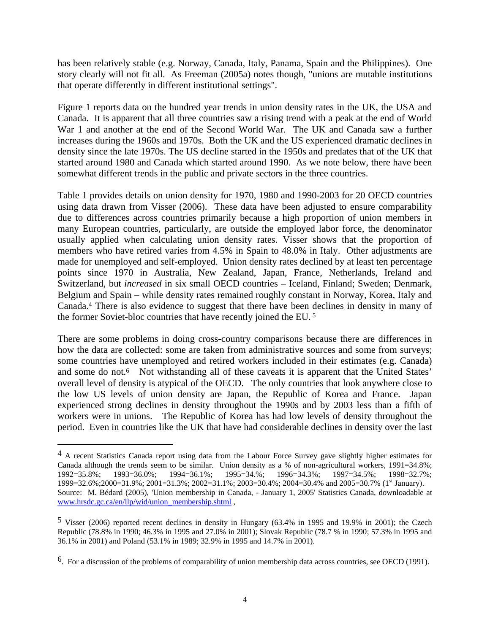has been relatively stable (e.g. Norway, Canada, Italy, Panama, Spain and the Philippines). One story clearly will not fit all. As Freeman (2005a) notes though, "unions are mutable institutions that operate differently in different institutional settings".

Figure 1 reports data on the hundred year trends in union density rates in the UK, the USA and Canada. It is apparent that all three countries saw a rising trend with a peak at the end of World War 1 and another at the end of the Second World War. The UK and Canada saw a further increases during the 1960s and 1970s. Both the UK and the US experienced dramatic declines in density since the late 1970s. The US decline started in the 1950s and predates that of the UK that started around 1980 and Canada which started around 1990. As we note below, there have been somewhat different trends in the public and private sectors in the three countries.

Table 1 provides details on union density for 1970, 1980 and 1990-2003 for 20 OECD countries using data drawn from Visser (2006). These data have been adjusted to ensure comparability due to differences across countries primarily because a high proportion of union members in many European countries, particularly, are outside the employed labor force, the denominator usually applied when calculating union density rates. Visser shows that the proportion of members who have retired varies from 4.5% in Spain to 48.0% in Italy. Other adjustments are made for unemployed and self-employed. Union density rates declined by at least ten percentage points since 1970 in Australia, New Zealand, Japan, France, Netherlands, Ireland and Switzerland, but *increased* in six small OECD countries – Iceland, Finland; Sweden; Denmark, Belgium and Spain – while density rates remained roughly constant in Norway, Korea, Italy and Canada.4 There is also evidence to suggest that there have been declines in density in many of the former Soviet-bloc countries that have recently joined the EU. 5

There are some problems in doing cross-country comparisons because there are differences in how the data are collected: some are taken from administrative sources and some from surveys; some countries have unemployed and retired workers included in their estimates (e.g. Canada) and some do not.<sup>6</sup> Not withstanding all of these caveats it is apparent that the United States' overall level of density is atypical of the OECD. The only countries that look anywhere close to the low US levels of union density are Japan, the Republic of Korea and France. Japan experienced strong declines in density throughout the 1990s and by 2003 less than a fifth of workers were in unions. The Republic of Korea has had low levels of density throughout the period. Even in countries like the UK that have had considerable declines in density over the last

<sup>4</sup> A recent Statistics Canada report using data from the Labour Force Survey gave slightly higher estimates for Canada although the trends seem to be similar. Union density as a % of non-agricultural workers, 1991=34.8%; 1992=35.8%; 1993=36.0%; 1994=36.1%; 1995=34.%; 1996=34.3%; 1997=34.5%; 1998=32.7%; 1999=32.6%;2000=31.9%; 2001=31.3%; 2002=31.1%; 2003=30.4%; 2004=30.4% and 2005=30.7% (1st January). Source: M. Bédard (2005), 'Union membership in Canada, - January 1, 2005' Statistics Canada, downloadable at www.hrsdc.gc.ca/en/llp/wid/union\_membership.shtml ,

<sup>5</sup> Visser (2006) reported recent declines in density in Hungary (63.4% in 1995 and 19.9% in 2001); the Czech Republic (78.8% in 1990; 46.3% in 1995 and 27.0% in 2001); Slovak Republic (78.7 % in 1990; 57.3% in 1995 and 36.1% in 2001) and Poland (53.1% in 1989; 32.9% in 1995 and 14.7% in 2001).

<sup>6.</sup> For a discussion of the problems of comparability of union membership data across countries, see OECD (1991).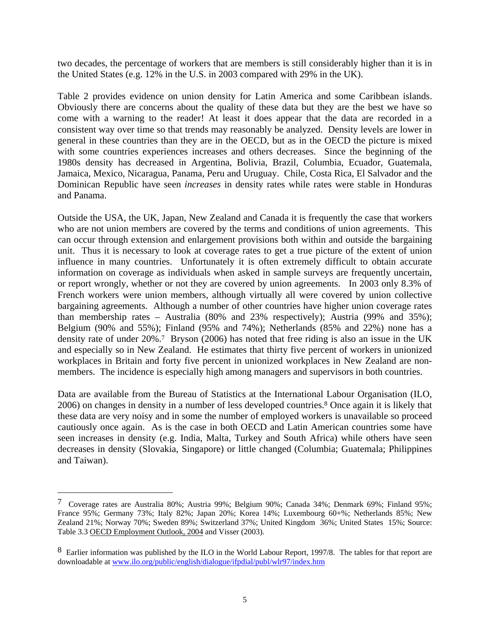two decades, the percentage of workers that are members is still considerably higher than it is in the United States (e.g. 12% in the U.S. in 2003 compared with 29% in the UK).

Table 2 provides evidence on union density for Latin America and some Caribbean islands. Obviously there are concerns about the quality of these data but they are the best we have so come with a warning to the reader! At least it does appear that the data are recorded in a consistent way over time so that trends may reasonably be analyzed. Density levels are lower in general in these countries than they are in the OECD, but as in the OECD the picture is mixed with some countries experiences increases and others decreases. Since the beginning of the 1980s density has decreased in Argentina, Bolivia, Brazil, Columbia, Ecuador, Guatemala, Jamaica, Mexico, Nicaragua, Panama, Peru and Uruguay. Chile, Costa Rica, El Salvador and the Dominican Republic have seen *increases* in density rates while rates were stable in Honduras and Panama.

Outside the USA, the UK, Japan, New Zealand and Canada it is frequently the case that workers who are not union members are covered by the terms and conditions of union agreements. This can occur through extension and enlargement provisions both within and outside the bargaining unit. Thus it is necessary to look at coverage rates to get a true picture of the extent of union influence in many countries. Unfortunately it is often extremely difficult to obtain accurate information on coverage as individuals when asked in sample surveys are frequently uncertain, or report wrongly, whether or not they are covered by union agreements. In 2003 only 8.3% of French workers were union members, although virtually all were covered by union collective bargaining agreements. Although a number of other countries have higher union coverage rates than membership rates – Australia (80% and 23% respectively); Austria (99% and 35%); Belgium (90% and 55%); Finland (95% and 74%); Netherlands (85% and 22%) none has a density rate of under 20%.7 Bryson (2006) has noted that free riding is also an issue in the UK and especially so in New Zealand. He estimates that thirty five percent of workers in unionized workplaces in Britain and forty five percent in unionized workplaces in New Zealand are nonmembers. The incidence is especially high among managers and supervisors in both countries.

Data are available from the Bureau of Statistics at the International Labour Organisation (ILO, 2006) on changes in density in a number of less developed countries.8 Once again it is likely that these data are very noisy and in some the number of employed workers is unavailable so proceed cautiously once again. As is the case in both OECD and Latin American countries some have seen increases in density (e.g. India, Malta, Turkey and South Africa) while others have seen decreases in density (Slovakia, Singapore) or little changed (Columbia; Guatemala; Philippines and Taiwan).

1

<sup>7</sup> Coverage rates are Australia 80%; Austria 99%; Belgium 90%; Canada 34%; Denmark 69%; Finland 95%; France 95%; Germany 73%; Italy 82%; Japan 20%; Korea 14%; Luxembourg 60+%; Netherlands 85%; New Zealand 21%; Norway 70%; Sweden 89%; Switzerland 37%; United Kingdom 36%; United States 15%; Source: Table 3.3 OECD Employment Outlook, 2004 and Visser (2003).

<sup>&</sup>lt;sup>8</sup> Earlier information was published by the ILO in the World Labour Report, 1997/8. The tables for that report are downloadable at www.ilo.org/public/english/dialogue/ifpdial/publ/wlr97/index.htm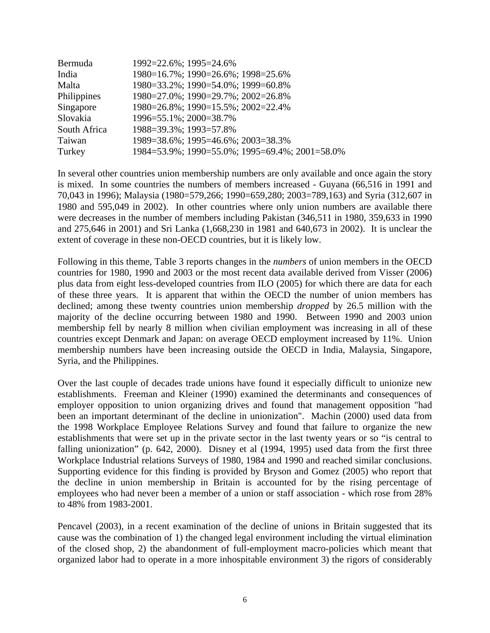| Bermuda      | 1992=22.6%; 1995=24.6%                         |
|--------------|------------------------------------------------|
| India        | 1980=16.7%; 1990=26.6%; 1998=25.6%             |
| Malta        | 1980=33.2%; 1990=54.0%; 1999=60.8%             |
| Philippines  | 1980=27.0%; 1990=29.7%; 2002=26.8%             |
| Singapore    | 1980=26.8%; 1990=15.5%; 2002=22.4%             |
| Slovakia     | 1996=55.1%; 2000=38.7%                         |
| South Africa | 1988=39.3%; 1993=57.8%                         |
| Taiwan       | 1989=38.6%; 1995=46.6%; 2003=38.3%             |
| Turkey       | 1984=53.9%; 1990=55.0%; 1995=69.4%; 2001=58.0% |

In several other countries union membership numbers are only available and once again the story is mixed. In some countries the numbers of members increased - Guyana (66,516 in 1991 and 70,043 in 1996); Malaysia (1980=579,266; 1990=659,280; 2003=789,163) and Syria (312,607 in 1980 and 595,049 in 2002). In other countries where only union numbers are available there were decreases in the number of members including Pakistan (346,511 in 1980, 359,633 in 1990 and 275,646 in 2001) and Sri Lanka (1,668,230 in 1981 and 640,673 in 2002). It is unclear the extent of coverage in these non-OECD countries, but it is likely low.

Following in this theme, Table 3 reports changes in the *numbers* of union members in the OECD countries for 1980, 1990 and 2003 or the most recent data available derived from Visser (2006) plus data from eight less-developed countries from ILO (2005) for which there are data for each of these three years. It is apparent that within the OECD the number of union members has declined; among these twenty countries union membership *dropped* by 26.5 million with the majority of the decline occurring between 1980 and 1990. Between 1990 and 2003 union membership fell by nearly 8 million when civilian employment was increasing in all of these countries except Denmark and Japan: on average OECD employment increased by 11%. Union membership numbers have been increasing outside the OECD in India, Malaysia, Singapore, Syria, and the Philippines.

Over the last couple of decades trade unions have found it especially difficult to unionize new establishments. Freeman and Kleiner (1990) examined the determinants and consequences of employer opposition to union organizing drives and found that management opposition "had been an important determinant of the decline in unionization". Machin (2000) used data from the 1998 Workplace Employee Relations Survey and found that failure to organize the new establishments that were set up in the private sector in the last twenty years or so "is central to falling unionization" (p. 642, 2000). Disney et al (1994, 1995) used data from the first three Workplace Industrial relations Surveys of 1980, 1984 and 1990 and reached similar conclusions. Supporting evidence for this finding is provided by Bryson and Gomez (2005) who report that the decline in union membership in Britain is accounted for by the rising percentage of employees who had never been a member of a union or staff association - which rose from 28% to 48% from 1983-2001.

Pencavel (2003), in a recent examination of the decline of unions in Britain suggested that its cause was the combination of 1) the changed legal environment including the virtual elimination of the closed shop, 2) the abandonment of full-employment macro-policies which meant that organized labor had to operate in a more inhospitable environment 3) the rigors of considerably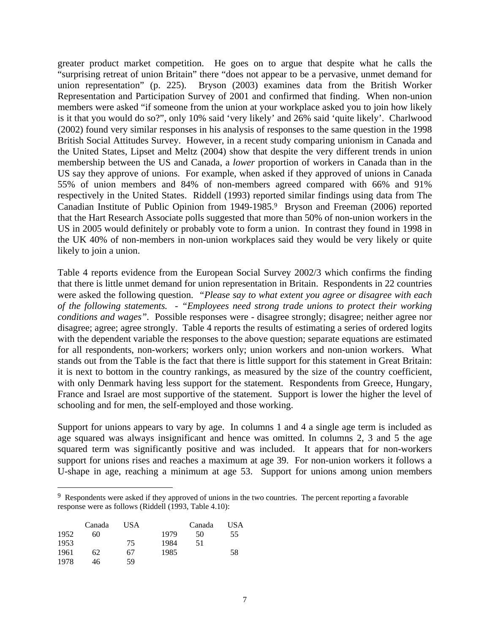greater product market competition. He goes on to argue that despite what he calls the "surprising retreat of union Britain" there "does not appear to be a pervasive, unmet demand for union representation" (p. 225). Bryson (2003) examines data from the British Worker Representation and Participation Survey of 2001 and confirmed that finding. When non-union members were asked "if someone from the union at your workplace asked you to join how likely is it that you would do so?", only 10% said 'very likely' and 26% said 'quite likely'. Charlwood (2002) found very similar responses in his analysis of responses to the same question in the 1998 British Social Attitudes Survey. However, in a recent study comparing unionism in Canada and the United States, Lipset and Meltz (2004) show that despite the very different trends in union membership between the US and Canada, a *lower* proportion of workers in Canada than in the US say they approve of unions. For example, when asked if they approved of unions in Canada 55% of union members and 84% of non-members agreed compared with 66% and 91% respectively in the United States. Riddell (1993) reported similar findings using data from The Canadian Institute of Public Opinion from 1949-1985.9 Bryson and Freeman (2006) reported that the Hart Research Associate polls suggested that more than 50% of non-union workers in the US in 2005 would definitely or probably vote to form a union. In contrast they found in 1998 in the UK 40% of non-members in non-union workplaces said they would be very likely or quite likely to join a union.

Table 4 reports evidence from the European Social Survey 2002/3 which confirms the finding that there is little unmet demand for union representation in Britain. Respondents in 22 countries were asked the following question. *"Please say to what extent you agree or disagree with each of the following statements. - "Employees need strong trade unions to protect their working conditions and wages".* Possible responses were - disagree strongly; disagree; neither agree nor disagree; agree; agree strongly.Table 4 reports the results of estimating a series of ordered logits with the dependent variable the responses to the above question; separate equations are estimated for all respondents, non-workers; workers only; union workers and non-union workers. What stands out from the Table is the fact that there is little support for this statement in Great Britain: it is next to bottom in the country rankings, as measured by the size of the country coefficient, with only Denmark having less support for the statement. Respondents from Greece, Hungary, France and Israel are most supportive of the statement. Support is lower the higher the level of schooling and for men, the self-employed and those working.

Support for unions appears to vary by age. In columns 1 and 4 a single age term is included as age squared was always insignificant and hence was omitted. In columns 2, 3 and 5 the age squared term was significantly positive and was included. It appears that for non-workers support for unions rises and reaches a maximum at age 39. For non-union workers it follows a U-shape in age, reaching a minimum at age 53. Support for unions among union members

<sup>&</sup>lt;sup>9</sup> Respondents were asked if they approved of unions in the two countries. The percent reporting a favorable response were as follows (Riddell (1993, Table 4.10):

|      | Canada | USA |      | Canada | USA |
|------|--------|-----|------|--------|-----|
| 1952 | 60     |     | 1979 | 50     | 55  |
| 1953 |        | 75  | 1984 | 51     |     |
| 1961 | 62     | 67  | 1985 |        | 58  |
| 1978 | 46     | 59  |      |        |     |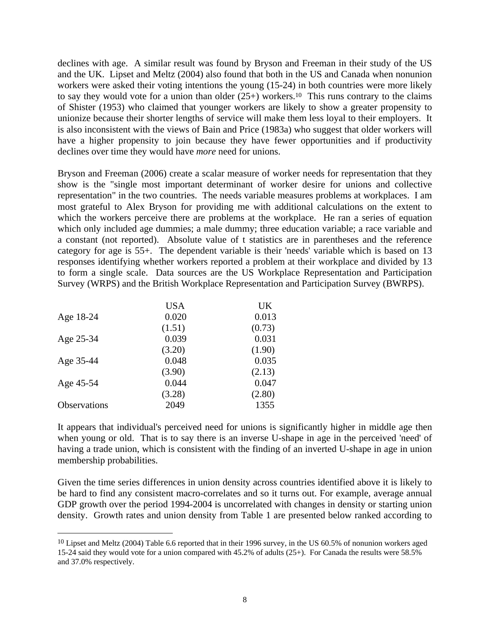declines with age. A similar result was found by Bryson and Freeman in their study of the US and the UK. Lipset and Meltz (2004) also found that both in the US and Canada when nonunion workers were asked their voting intentions the young (15-24) in both countries were more likely to say they would vote for a union than older  $(25+)$  workers.<sup>10</sup> This runs contrary to the claims of Shister (1953) who claimed that younger workers are likely to show a greater propensity to unionize because their shorter lengths of service will make them less loyal to their employers. It is also inconsistent with the views of Bain and Price (1983a) who suggest that older workers will have a higher propensity to join because they have fewer opportunities and if productivity declines over time they would have *more* need for unions.

Bryson and Freeman (2006) create a scalar measure of worker needs for representation that they show is the "single most important determinant of worker desire for unions and collective representation" in the two countries. The needs variable measures problems at workplaces. I am most grateful to Alex Bryson for providing me with additional calculations on the extent to which the workers perceive there are problems at the workplace. He ran a series of equation which only included age dummies; a male dummy; three education variable; a race variable and a constant (not reported). Absolute value of t statistics are in parentheses and the reference category for age is 55+. The dependent variable is their 'needs' variable which is based on 13 responses identifying whether workers reported a problem at their workplace and divided by 13 to form a single scale. Data sources are the US Workplace Representation and Participation Survey (WRPS) and the British Workplace Representation and Participation Survey (BWRPS).

|              | <b>USA</b> | UK     |
|--------------|------------|--------|
| Age 18-24    | 0.020      | 0.013  |
|              | (1.51)     | (0.73) |
| Age 25-34    | 0.039      | 0.031  |
|              | (3.20)     | (1.90) |
| Age 35-44    | 0.048      | 0.035  |
|              | (3.90)     | (2.13) |
| Age 45-54    | 0.044      | 0.047  |
|              | (3.28)     | (2.80) |
| Observations | 2049       | 1355   |

1

It appears that individual's perceived need for unions is significantly higher in middle age then when young or old. That is to say there is an inverse U-shape in age in the perceived 'need' of having a trade union, which is consistent with the finding of an inverted U-shape in age in union membership probabilities.

Given the time series differences in union density across countries identified above it is likely to be hard to find any consistent macro-correlates and so it turns out. For example, average annual GDP growth over the period 1994-2004 is uncorrelated with changes in density or starting union density. Growth rates and union density from Table 1 are presented below ranked according to

<sup>10</sup> Lipset and Meltz (2004) Table 6.6 reported that in their 1996 survey, in the US 60.5% of nonunion workers aged 15-24 said they would vote for a union compared with 45.2% of adults (25+). For Canada the results were 58.5% and 37.0% respectively.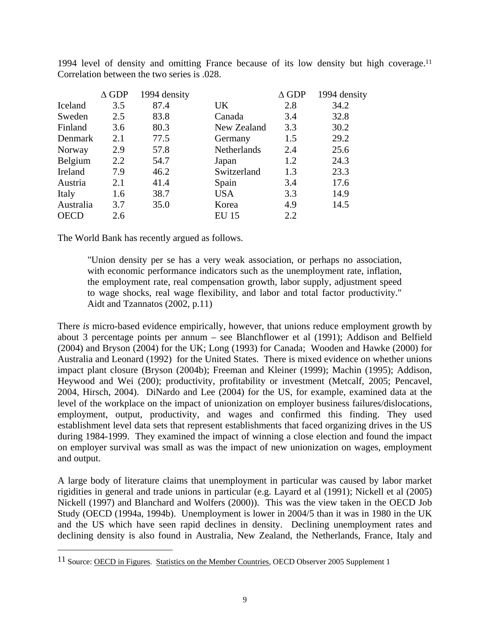1994 level of density and omitting France because of its low density but high coverage.11 Correlation between the two series is .028.

|                | $\Delta$ GDP | 1994 density |              | $\Delta$ GDP | 1994 density |
|----------------|--------------|--------------|--------------|--------------|--------------|
| <b>Iceland</b> | 3.5          | 87.4         | UK.          | 2.8          | 34.2         |
| Sweden         | 2.5          | 83.8         | Canada       | 3.4          | 32.8         |
| Finland        | 3.6          | 80.3         | New Zealand  | 3.3          | 30.2         |
| Denmark        | 2.1          | 77.5         | Germany      | 1.5          | 29.2         |
| Norway         | 2.9          | 57.8         | Netherlands  | 2.4          | 25.6         |
| Belgium        | 2.2          | 54.7         | Japan        | 1.2          | 24.3         |
| Ireland        | 7.9          | 46.2         | Switzerland  | 1.3          | 23.3         |
| Austria        | 2.1          | 41.4         | Spain        | 3.4          | 17.6         |
| Italy          | 1.6          | 38.7         | <b>USA</b>   | 3.3          | 14.9         |
| Australia      | 3.7          | 35.0         | Korea        | 4.9          | 14.5         |
| <b>OECD</b>    | 2.6          |              | <b>EU 15</b> | 2.2          |              |

The World Bank has recently argued as follows.

 $\overline{a}$ 

"Union density per se has a very weak association, or perhaps no association, with economic performance indicators such as the unemployment rate, inflation, the employment rate, real compensation growth, labor supply, adjustment speed to wage shocks, real wage flexibility, and labor and total factor productivity." Aidt and Tzannatos (2002, p.11)

There *is* micro-based evidence empirically, however, that unions reduce employment growth by about 3 percentage points per annum – see Blanchflower et al (1991); Addison and Belfield (2004) and Bryson (2004) for the UK; Long (1993) for Canada; Wooden and Hawke (2000) for Australia and Leonard (1992) for the United States. There is mixed evidence on whether unions impact plant closure (Bryson (2004b); Freeman and Kleiner (1999); Machin (1995); Addison, Heywood and Wei (200); productivity, profitability or investment (Metcalf, 2005; Pencavel, 2004, Hirsch, 2004). DiNardo and Lee (2004) for the US, for example, examined data at the level of the workplace on the impact of unionization on employer business failures/dislocations, employment, output, productivity, and wages and confirmed this finding. They used establishment level data sets that represent establishments that faced organizing drives in the US during 1984-1999. They examined the impact of winning a close election and found the impact on employer survival was small as was the impact of new unionization on wages, employment and output.

A large body of literature claims that unemployment in particular was caused by labor market rigidities in general and trade unions in particular (e.g. Layard et al (1991); Nickell et al (2005) Nickell (1997) and Blanchard and Wolfers (2000)). This was the view taken in the OECD Job Study (OECD (1994a, 1994b). Unemployment is lower in 2004/5 than it was in 1980 in the UK and the US which have seen rapid declines in density. Declining unemployment rates and declining density is also found in Australia, New Zealand, the Netherlands, France, Italy and

<sup>11</sup> Source: OECD in Figures. Statistics on the Member Countries, OECD Observer 2005 Supplement 1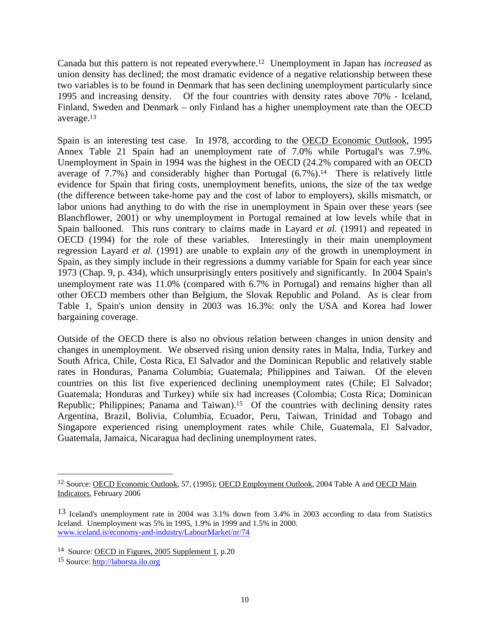Canada but this pattern is not repeated everywhere.12 Unemployment in Japan has *increased* as union density has declined; the most dramatic evidence of a negative relationship between these two variables is to be found in Denmark that has seen declining unemployment particularly since 1995 and increasing density. Of the four countries with density rates above 70% - Iceland, Finland, Sweden and Denmark – only Finland has a higher unemployment rate than the OECD average.13

Spain is an interesting test case. In 1978, according to the OECD Economic Outlook, 1995 Annex Table 21 Spain had an unemployment rate of 7.0% while Portugal's was 7.9%. Unemployment in Spain in 1994 was the highest in the OECD (24.2% compared with an OECD average of  $7.7\%$ ) and considerably higher than Portugal  $(6.7\%)$ .<sup>14</sup> There is relatively little evidence for Spain that firing costs, unemployment benefits, unions, the size of the tax wedge (the difference between take-home pay and the cost of labor to employers), skills mismatch, or labor unions had anything to do with the rise in unemployment in Spain over these years (see Blanchflower, 2001) or why unemployment in Portugal remained at low levels while that in Spain ballooned. This runs contrary to claims made in Layard *et al.* (1991) and repeated in OECD (1994) for the role of these variables. Interestingly in their main unemployment regression Layard *et al.* (1991) are unable to explain *any* of the growth in unemployment in Spain, as they simply include in their regressions a dummy variable for Spain for each year since 1973 (Chap. 9, p. 434), which unsurprisingly enters positively and significantly. In 2004 Spain's unemployment rate was 11.0% (compared with 6.7% in Portugal) and remains higher than all other OECD members other than Belgium, the Slovak Republic and Poland. As is clear from Table 1, Spain's union density in 2003 was 16.3%: only the USA and Korea had lower bargaining coverage.

Outside of the OECD there is also no obvious relation between changes in union density and changes in unemployment. We observed rising union density rates in Malta, India, Turkey and South Africa, Chile, Costa Rica, El Salvador and the Dominican Republic and relatively stable rates in Honduras, Panama Columbia; Guatemala; Philippines and Taiwan. Of the eleven countries on this list five experienced declining unemployment rates (Chile; El Salvador; Guatemala; Honduras and Turkey) while six had increases (Colombia; Costa Rica; Dominican Republic; Philippines; Panama and Taiwan).<sup>15</sup> Of the countries with declining density rates Argentina, Brazil, Bolivia, Columbia, Ecuador, Peru, Taiwan, Trinidad and Tobago and Singapore experienced rising unemployment rates while Chile, Guatemala, El Salvador, Guatemala, Jamaica, Nicaragua had declining unemployment rates.

<sup>&</sup>lt;sup>12</sup> Source: <u>OECD Economic Outlook</u>, 57, (1995); OECD Employment Outlook, 2004 Table A and OECD Main Indicators, February 2006

<sup>13</sup> Iceland's unemployment rate in 2004 was 3.1% down from 3.4% in 2003 according to data from Statistics Iceland. Unemployment was 5% in 1995, 1.9% in 1999 and 1.5% in 2000. www.iceland.is/economy-and-industry/LabourMarket/nr/74

<sup>14</sup> Source: OECD in Figures, 2005 Supplement 1, p.20

<sup>15</sup> Source: http://laborsta.ilo.org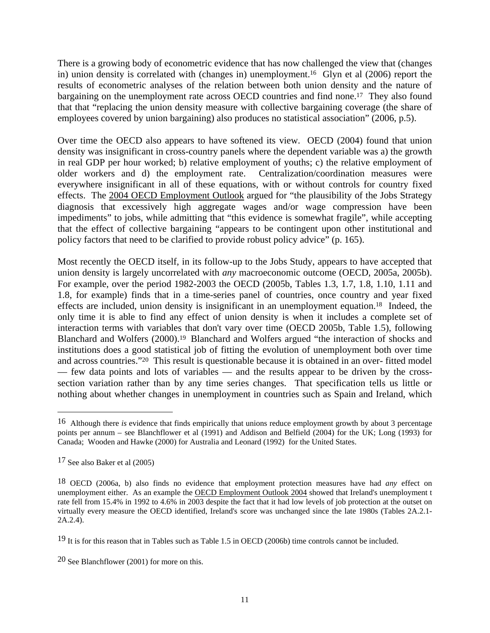There is a growing body of econometric evidence that has now challenged the view that (changes in) union density is correlated with (changes in) unemployment.<sup>16</sup> Glyn et al (2006) report the results of econometric analyses of the relation between both union density and the nature of bargaining on the unemployment rate across OECD countries and find none.17 They also found that that "replacing the union density measure with collective bargaining coverage (the share of employees covered by union bargaining) also produces no statistical association" (2006, p.5).

Over time the OECD also appears to have softened its view. OECD (2004) found that union density was insignificant in cross-country panels where the dependent variable was a) the growth in real GDP per hour worked; b) relative employment of youths; c) the relative employment of older workers and d) the employment rate. Centralization/coordination measures were everywhere insignificant in all of these equations, with or without controls for country fixed effects. The 2004 OECD Employment Outlook argued for "the plausibility of the Jobs Strategy diagnosis that excessively high aggregate wages and/or wage compression have been impediments" to jobs, while admitting that "this evidence is somewhat fragile", while accepting that the effect of collective bargaining "appears to be contingent upon other institutional and policy factors that need to be clarified to provide robust policy advice" (p. 165).

Most recently the OECD itself, in its follow-up to the Jobs Study, appears to have accepted that union density is largely uncorrelated with *any* macroeconomic outcome (OECD, 2005a, 2005b). For example, over the period 1982-2003 the OECD (2005b, Tables 1.3, 1.7, 1.8, 1.10, 1.11 and 1.8, for example) finds that in a time-series panel of countries, once country and year fixed effects are included, union density is insignificant in an unemployment equation.18 Indeed, the only time it is able to find any effect of union density is when it includes a complete set of interaction terms with variables that don't vary over time (OECD 2005b, Table 1.5), following Blanchard and Wolfers (2000).19 Blanchard and Wolfers argued "the interaction of shocks and institutions does a good statistical job of fitting the evolution of unemployment both over time and across countries."20 This result is questionable because it is obtained in an over- fitted model — few data points and lots of variables — and the results appear to be driven by the crosssection variation rather than by any time series changes. That specification tells us little or nothing about whether changes in unemployment in countries such as Spain and Ireland, which

<sup>16</sup> Although there *is* evidence that finds empirically that unions reduce employment growth by about 3 percentage points per annum – see Blanchflower et al (1991) and Addison and Belfield (2004) for the UK; Long (1993) for Canada; Wooden and Hawke (2000) for Australia and Leonard (1992) for the United States.

<sup>17</sup> See also Baker et al (2005)

<sup>18</sup> OECD (2006a, b) also finds no evidence that employment protection measures have had *any* effect on unemployment either. As an example the OECD Employment Outlook 2004 showed that Ireland's unemployment t rate fell from 15.4% in 1992 to 4.6% in 2003 despite the fact that it had low levels of job protection at the outset on virtually every measure the OECD identified, Ireland's score was unchanged since the late 1980s (Tables 2A.2.1- 2A.2.4).

<sup>19</sup> It is for this reason that in Tables such as Table 1.5 in OECD (2006b) time controls cannot be included.

<sup>20</sup> See Blanchflower (2001) for more on this.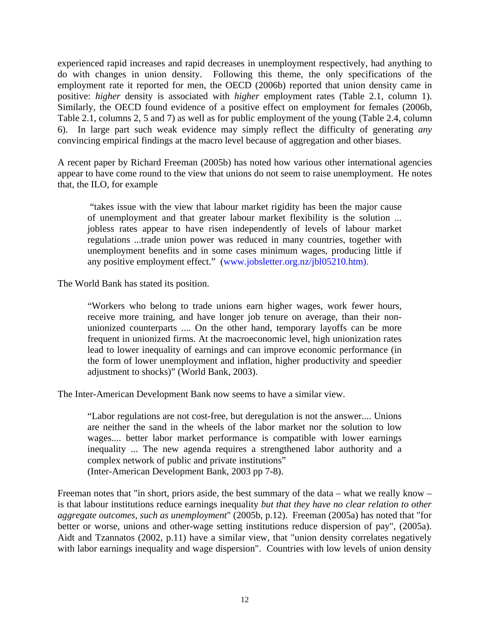experienced rapid increases and rapid decreases in unemployment respectively, had anything to do with changes in union density. Following this theme, the only specifications of the employment rate it reported for men, the OECD (2006b) reported that union density came in positive: *higher* density is associated with *higher* employment rates (Table 2.1, column 1). Similarly, the OECD found evidence of a positive effect on employment for females (2006b, Table 2.1, columns 2, 5 and 7) as well as for public employment of the young (Table 2.4, column 6). In large part such weak evidence may simply reflect the difficulty of generating *any*  convincing empirical findings at the macro level because of aggregation and other biases.

A recent paper by Richard Freeman (2005b) has noted how various other international agencies appear to have come round to the view that unions do not seem to raise unemployment. He notes that, the ILO, for example

 "takes issue with the view that labour market rigidity has been the major cause of unemployment and that greater labour market flexibility is the solution ... jobless rates appear to have risen independently of levels of labour market regulations ...trade union power was reduced in many countries, together with unemployment benefits and in some cases minimum wages, producing little if any positive employment effect." (www.jobsletter.org.nz/jbl05210.htm).

The World Bank has stated its position.

"Workers who belong to trade unions earn higher wages, work fewer hours, receive more training, and have longer job tenure on average, than their nonunionized counterparts .... On the other hand, temporary layoffs can be more frequent in unionized firms. At the macroeconomic level, high unionization rates lead to lower inequality of earnings and can improve economic performance (in the form of lower unemployment and inflation, higher productivity and speedier adjustment to shocks)" (World Bank, 2003).

The Inter-American Development Bank now seems to have a similar view.

"Labor regulations are not cost-free, but deregulation is not the answer.... Unions are neither the sand in the wheels of the labor market nor the solution to low wages.... better labor market performance is compatible with lower earnings inequality ... The new agenda requires a strengthened labor authority and a complex network of public and private institutions" (Inter-American Development Bank, 2003 pp 7-8).

Freeman notes that "in short, priors aside, the best summary of the data – what we really know – is that labour institutions reduce earnings inequality *but that they have no clear relation to other aggregate outcomes, such as unemployment*" (2005b, p.12). Freeman (2005a) has noted that "for better or worse, unions and other-wage setting institutions reduce dispersion of pay", (2005a). Aidt and Tzannatos (2002, p.11) have a similar view, that "union density correlates negatively with labor earnings inequality and wage dispersion". Countries with low levels of union density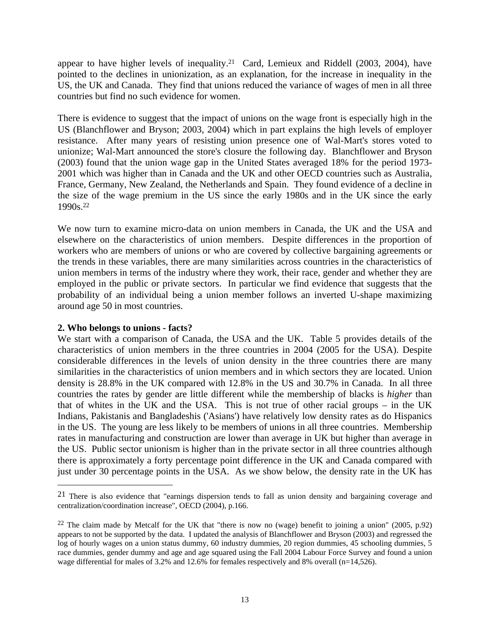appear to have higher levels of inequality.21 Card, Lemieux and Riddell (2003, 2004), have pointed to the declines in unionization, as an explanation, for the increase in inequality in the US, the UK and Canada. They find that unions reduced the variance of wages of men in all three countries but find no such evidence for women.

There is evidence to suggest that the impact of unions on the wage front is especially high in the US (Blanchflower and Bryson; 2003, 2004) which in part explains the high levels of employer resistance. After many years of resisting union presence one of Wal-Mart's stores voted to unionize; Wal-Mart announced the store's closure the following day. Blanchflower and Bryson (2003) found that the union wage gap in the United States averaged 18% for the period 1973- 2001 which was higher than in Canada and the UK and other OECD countries such as Australia, France, Germany, New Zealand, the Netherlands and Spain. They found evidence of a decline in the size of the wage premium in the US since the early 1980s and in the UK since the early 1990s.22

We now turn to examine micro-data on union members in Canada, the UK and the USA and elsewhere on the characteristics of union members. Despite differences in the proportion of workers who are members of unions or who are covered by collective bargaining agreements or the trends in these variables, there are many similarities across countries in the characteristics of union members in terms of the industry where they work, their race, gender and whether they are employed in the public or private sectors. In particular we find evidence that suggests that the probability of an individual being a union member follows an inverted U-shape maximizing around age 50 in most countries.

#### **2. Who belongs to unions - facts?**

 $\overline{a}$ 

We start with a comparison of Canada, the USA and the UK. Table 5 provides details of the characteristics of union members in the three countries in 2004 (2005 for the USA). Despite considerable differences in the levels of union density in the three countries there are many similarities in the characteristics of union members and in which sectors they are located. Union density is 28.8% in the UK compared with 12.8% in the US and 30.7% in Canada. In all three countries the rates by gender are little different while the membership of blacks is *higher* than that of whites in the UK and the USA. This is not true of other racial groups – in the UK Indians, Pakistanis and Bangladeshis ('Asians') have relatively low density rates as do Hispanics in the US. The young are less likely to be members of unions in all three countries. Membership rates in manufacturing and construction are lower than average in UK but higher than average in the US. Public sector unionism is higher than in the private sector in all three countries although there is approximately a forty percentage point difference in the UK and Canada compared with just under 30 percentage points in the USA. As we show below, the density rate in the UK has

<sup>21</sup> There is also evidence that "earnings dispersion tends to fall as union density and bargaining coverage and centralization/coordination increase", OECD (2004), p.166.

<sup>&</sup>lt;sup>22</sup> The claim made by Metcalf for the UK that "there is now no (wage) benefit to joining a union" (2005, p.92) appears to not be supported by the data. I updated the analysis of Blanchflower and Bryson (2003) and regressed the log of hourly wages on a union status dummy, 60 industry dummies, 20 region dummies, 45 schooling dummies, 5 race dummies, gender dummy and age and age squared using the Fall 2004 Labour Force Survey and found a union wage differential for males of 3.2% and 12.6% for females respectively and 8% overall (n=14,526).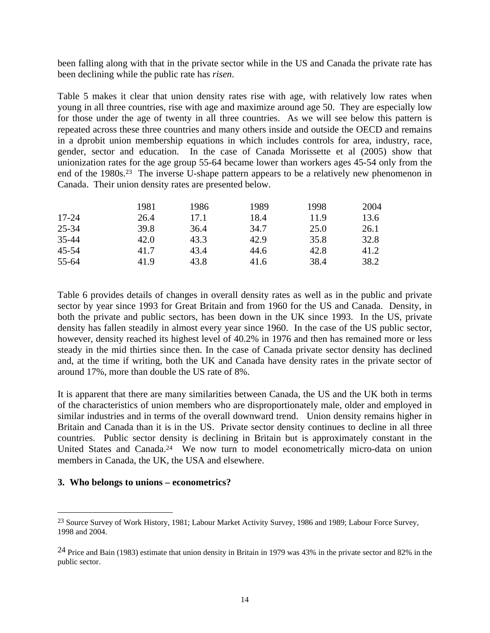been falling along with that in the private sector while in the US and Canada the private rate has been declining while the public rate has *risen*.

Table 5 makes it clear that union density rates rise with age, with relatively low rates when young in all three countries, rise with age and maximize around age 50. They are especially low for those under the age of twenty in all three countries. As we will see below this pattern is repeated across these three countries and many others inside and outside the OECD and remains in a dprobit union membership equations in which includes controls for area, industry, race, gender, sector and education. In the case of Canada Morissette et al (2005) show that unionization rates for the age group 55-64 became lower than workers ages 45-54 only from the end of the 1980s.23 The inverse U-shape pattern appears to be a relatively new phenomenon in Canada. Their union density rates are presented below.

|           | 1981 | 1986 | 1989 | 1998 | 2004 |
|-----------|------|------|------|------|------|
| $17 - 24$ | 26.4 | 17.1 | 18.4 | 11.9 | 13.6 |
| $25 - 34$ | 39.8 | 36.4 | 34.7 | 25.0 | 26.1 |
| $35 - 44$ | 42.0 | 43.3 | 42.9 | 35.8 | 32.8 |
| $45 - 54$ | 41.7 | 43.4 | 44.6 | 42.8 | 41.2 |
| 55-64     | 41.9 | 43.8 | 41.6 | 38.4 | 38.2 |

Table 6 provides details of changes in overall density rates as well as in the public and private sector by year since 1993 for Great Britain and from 1960 for the US and Canada. Density, in both the private and public sectors, has been down in the UK since 1993. In the US, private density has fallen steadily in almost every year since 1960. In the case of the US public sector, however, density reached its highest level of 40.2% in 1976 and then has remained more or less steady in the mid thirties since then. In the case of Canada private sector density has declined and, at the time if writing, both the UK and Canada have density rates in the private sector of around 17%, more than double the US rate of 8%.

It is apparent that there are many similarities between Canada, the US and the UK both in terms of the characteristics of union members who are disproportionately male, older and employed in similar industries and in terms of the overall downward trend. Union density remains higher in Britain and Canada than it is in the US. Private sector density continues to decline in all three countries. Public sector density is declining in Britain but is approximately constant in the United States and Canada.24 We now turn to model econometrically micro-data on union members in Canada, the UK, the USA and elsewhere.

#### **3. Who belongs to unions – econometrics?**

<sup>23</sup> Source Survey of Work History, 1981; Labour Market Activity Survey, 1986 and 1989; Labour Force Survey, 1998 and 2004.

<sup>&</sup>lt;sup>24</sup> Price and Bain (1983) estimate that union density in Britain in 1979 was 43% in the private sector and 82% in the public sector.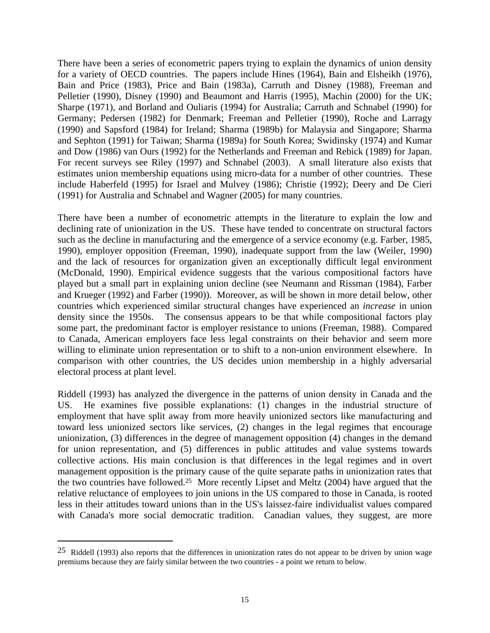There have been a series of econometric papers trying to explain the dynamics of union density for a variety of OECD countries. The papers include Hines (1964), Bain and Elsheikh (1976), Bain and Price (1983), Price and Bain (1983a), Carruth and Disney (1988), Freeman and Pelletier (1990), Disney (1990) and Beaumont and Harris (1995), Machin (2000) for the UK; Sharpe (1971), and Borland and Ouliaris (1994) for Australia; Carruth and Schnabel (1990) for Germany; Pedersen (1982) for Denmark; Freeman and Pelletier (1990), Roche and Larragy (1990) and Sapsford (1984) for Ireland; Sharma (1989b) for Malaysia and Singapore; Sharma and Sephton (1991) for Taiwan; Sharma (1989a) for South Korea; Swidinsky (1974) and Kumar and Dow (1986) van Ours (1992) for the Netherlands and Freeman and Rebick (1989) for Japan. For recent surveys see Riley (1997) and Schnabel (2003). A small literature also exists that estimates union membership equations using micro-data for a number of other countries. These include Haberfeld (1995) for Israel and Mulvey (1986); Christie (1992); Deery and De Cieri (1991) for Australia and Schnabel and Wagner (2005) for many countries.

There have been a number of econometric attempts in the literature to explain the low and declining rate of unionization in the US. These have tended to concentrate on structural factors such as the decline in manufacturing and the emergence of a service economy (e.g. Farber, 1985, 1990), employer opposition (Freeman, 1990), inadequate support from the law (Weiler, 1990) and the lack of resources for organization given an exceptionally difficult legal environment (McDonald, 1990). Empirical evidence suggests that the various compositional factors have played but a small part in explaining union decline (see Neumann and Rissman (1984), Farber and Krueger (1992) and Farber (1990)). Moreover, as will be shown in more detail below, other countries which experienced similar structural changes have experienced an *increase* in union density since the 1950s. The consensus appears to be that while compositional factors play some part, the predominant factor is employer resistance to unions (Freeman, 1988). Compared to Canada, American employers face less legal constraints on their behavior and seem more willing to eliminate union representation or to shift to a non-union environment elsewhere. In comparison with other countries, the US decides union membership in a highly adversarial electoral process at plant level.

Riddell (1993) has analyzed the divergence in the patterns of union density in Canada and the US. He examines five possible explanations: (1) changes in the industrial structure of employment that have split away from more heavily unionized sectors like manufacturing and toward less unionized sectors like services, (2) changes in the legal regimes that encourage unionization, (3) differences in the degree of management opposition (4) changes in the demand for union representation, and (5) differences in public attitudes and value systems towards collective actions. His main conclusion is that differences in the legal regimes and in overt management opposition is the primary cause of the quite separate paths in unionization rates that the two countries have followed.25 More recently Lipset and Meltz (2004) have argued that the relative reluctance of employees to join unions in the US compared to those in Canada, is rooted less in their attitudes toward unions than in the US's laissez-faire individualist values compared with Canada's more social democratic tradition. Canadian values, they suggest, are more

 $25$  Riddell (1993) also reports that the differences in unionization rates do not appear to be driven by union wage premiums because they are fairly similar between the two countries - a point we return to below.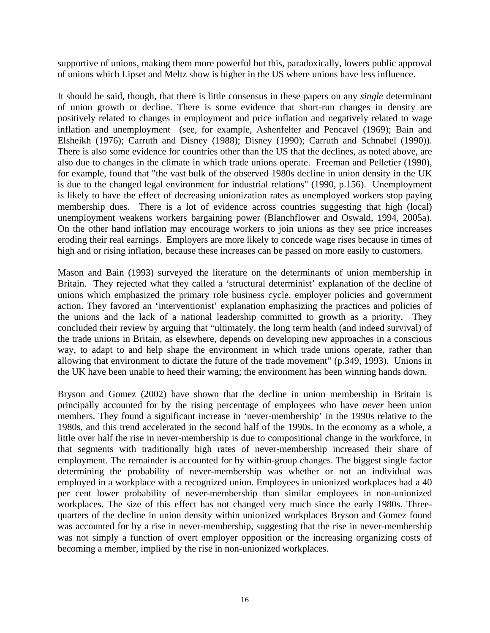supportive of unions, making them more powerful but this, paradoxically, lowers public approval of unions which Lipset and Meltz show is higher in the US where unions have less influence.

It should be said, though, that there is little consensus in these papers on any *single* determinant of union growth or decline. There is some evidence that short-run changes in density are positively related to changes in employment and price inflation and negatively related to wage inflation and unemployment (see, for example, Ashenfelter and Pencavel (1969); Bain and Elsheikh (1976); Carruth and Disney (1988); Disney (1990); Carruth and Schnabel (1990)). There is also some evidence for countries other than the US that the declines, as noted above, are also due to changes in the climate in which trade unions operate. Freeman and Pelletier (1990), for example, found that "the vast bulk of the observed 1980s decline in union density in the UK is due to the changed legal environment for industrial relations" (1990, p.156). Unemployment is likely to have the effect of decreasing unionization rates as unemployed workers stop paying membership dues. There is a lot of evidence across countries suggesting that high (local) unemployment weakens workers bargaining power (Blanchflower and Oswald, 1994, 2005a). On the other hand inflation may encourage workers to join unions as they see price increases eroding their real earnings. Employers are more likely to concede wage rises because in times of high and or rising inflation, because these increases can be passed on more easily to customers.

Mason and Bain (1993) surveyed the literature on the determinants of union membership in Britain. They rejected what they called a 'structural determinist' explanation of the decline of unions which emphasized the primary role business cycle, employer policies and government action. They favored an 'interventionist' explanation emphasizing the practices and policies of the unions and the lack of a national leadership committed to growth as a priority. They concluded their review by arguing that "ultimately, the long term health (and indeed survival) of the trade unions in Britain, as elsewhere, depends on developing new approaches in a conscious way, to adapt to and help shape the environment in which trade unions operate, rather than allowing that environment to dictate the future of the trade movement" (p.349, 1993). Unions in the UK have been unable to heed their warning; the environment has been winning hands down.

Bryson and Gomez (2002) have shown that the decline in union membership in Britain is principally accounted for by the rising percentage of employees who have *never* been union members. They found a significant increase in 'never-membership' in the 1990s relative to the 1980s, and this trend accelerated in the second half of the 1990s. In the economy as a whole, a little over half the rise in never-membership is due to compositional change in the workforce, in that segments with traditionally high rates of never-membership increased their share of employment. The remainder is accounted for by within-group changes. The biggest single factor determining the probability of never-membership was whether or not an individual was employed in a workplace with a recognized union. Employees in unionized workplaces had a 40 per cent lower probability of never-membership than similar employees in non-unionized workplaces. The size of this effect has not changed very much since the early 1980s. Threequarters of the decline in union density within unionized workplaces Bryson and Gomez found was accounted for by a rise in never-membership, suggesting that the rise in never-membership was not simply a function of overt employer opposition or the increasing organizing costs of becoming a member, implied by the rise in non-unionized workplaces.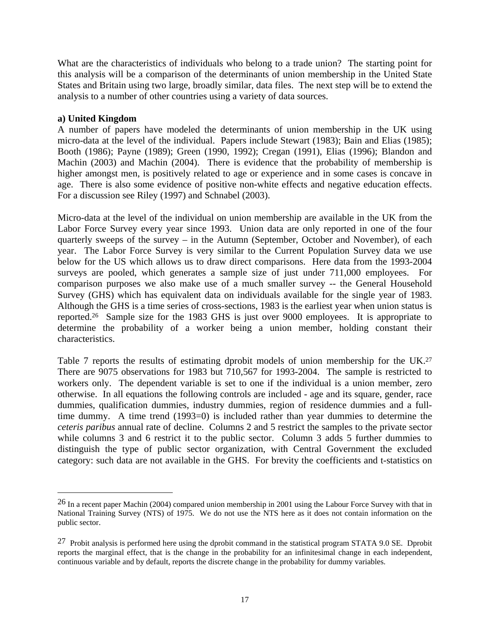What are the characteristics of individuals who belong to a trade union? The starting point for this analysis will be a comparison of the determinants of union membership in the United State States and Britain using two large, broadly similar, data files. The next step will be to extend the analysis to a number of other countries using a variety of data sources.

#### **a) United Kingdom**

1

A number of papers have modeled the determinants of union membership in the UK using micro-data at the level of the individual. Papers include Stewart (1983); Bain and Elias (1985); Booth (1986); Payne (1989); Green (1990, 1992); Cregan (1991), Elias (1996); Blandon and Machin (2003) and Machin (2004). There is evidence that the probability of membership is higher amongst men, is positively related to age or experience and in some cases is concave in age. There is also some evidence of positive non-white effects and negative education effects. For a discussion see Riley (1997) and Schnabel (2003).

Micro-data at the level of the individual on union membership are available in the UK from the Labor Force Survey every year since 1993. Union data are only reported in one of the four quarterly sweeps of the survey – in the Autumn (September, October and November), of each year. The Labor Force Survey is very similar to the Current Population Survey data we use below for the US which allows us to draw direct comparisons. Here data from the 1993-2004 surveys are pooled, which generates a sample size of just under 711,000 employees. For comparison purposes we also make use of a much smaller survey -- the General Household Survey (GHS) which has equivalent data on individuals available for the single year of 1983. Although the GHS is a time series of cross-sections, 1983 is the earliest year when union status is reported.26 Sample size for the 1983 GHS is just over 9000 employees. It is appropriate to determine the probability of a worker being a union member, holding constant their characteristics.

Table 7 reports the results of estimating dprobit models of union membership for the UK.<sup>27</sup> There are 9075 observations for 1983 but 710,567 for 1993-2004. The sample is restricted to workers only. The dependent variable is set to one if the individual is a union member, zero otherwise. In all equations the following controls are included - age and its square, gender, race dummies, qualification dummies, industry dummies, region of residence dummies and a fulltime dummy. A time trend (1993=0) is included rather than year dummies to determine the *ceteris paribus* annual rate of decline. Columns 2 and 5 restrict the samples to the private sector while columns 3 and 6 restrict it to the public sector. Column 3 adds 5 further dummies to distinguish the type of public sector organization, with Central Government the excluded category: such data are not available in the GHS. For brevity the coefficients and t-statistics on

<sup>&</sup>lt;sup>26</sup> In a recent paper Machin (2004) compared union membership in 2001 using the Labour Force Survey with that in National Training Survey (NTS) of 1975. We do not use the NTS here as it does not contain information on the public sector.

<sup>&</sup>lt;sup>27</sup> Probit analysis is performed here using the dprobit command in the statistical program STATA 9.0 SE. Dprobit reports the marginal effect, that is the change in the probability for an infinitesimal change in each independent, continuous variable and by default, reports the discrete change in the probability for dummy variables.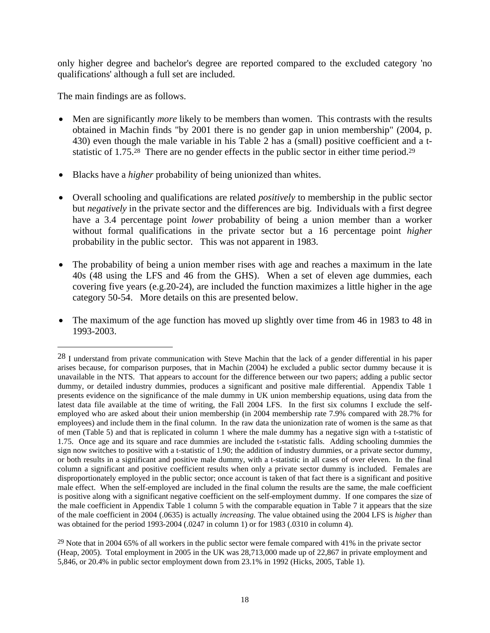only higher degree and bachelor's degree are reported compared to the excluded category 'no qualifications' although a full set are included.

The main findings are as follows.

<u>.</u>

- Men are significantly *more* likely to be members than women. This contrasts with the results obtained in Machin finds "by 2001 there is no gender gap in union membership" (2004, p. 430) even though the male variable in his Table 2 has a (small) positive coefficient and a tstatistic of 1.75.<sup>28</sup> There are no gender effects in the public sector in either time period.<sup>29</sup>
- Blacks have a *higher* probability of being unionized than whites.
- Overall schooling and qualifications are related *positively* to membership in the public sector but *negatively* in the private sector and the differences are big. Individuals with a first degree have a 3.4 percentage point *lower* probability of being a union member than a worker without formal qualifications in the private sector but a 16 percentage point *higher* probability in the public sector. This was not apparent in 1983.
- The probability of being a union member rises with age and reaches a maximum in the late 40s (48 using the LFS and 46 from the GHS). When a set of eleven age dummies, each covering five years (e.g.20-24), are included the function maximizes a little higher in the age category 50-54. More details on this are presented below.
- The maximum of the age function has moved up slightly over time from 46 in 1983 to 48 in 1993-2003.

<sup>28</sup> I understand from private communication with Steve Machin that the lack of a gender differential in his paper arises because, for comparison purposes, that in Machin (2004) he excluded a public sector dummy because it is unavailable in the NTS. That appears to account for the difference between our two papers; adding a public sector dummy, or detailed industry dummies, produces a significant and positive male differential. Appendix Table 1 presents evidence on the significance of the male dummy in UK union membership equations, using data from the latest data file available at the time of writing, the Fall 2004 LFS. In the first six columns I exclude the selfemployed who are asked about their union membership (in 2004 membership rate 7.9% compared with 28.7% for employees) and include them in the final column. In the raw data the unionization rate of women is the same as that of men (Table 5) and that is replicated in column 1 where the male dummy has a negative sign with a t-statistic of 1.75. Once age and its square and race dummies are included the t-statistic falls. Adding schooling dummies the sign now switches to positive with a t-statistic of 1.90; the addition of industry dummies, or a private sector dummy, or both results in a significant and positive male dummy, with a t-statistic in all cases of over eleven. In the final column a significant and positive coefficient results when only a private sector dummy is included. Females are disproportionately employed in the public sector; once account is taken of that fact there is a significant and positive male effect. When the self-employed are included in the final column the results are the same, the male coefficient is positive along with a significant negative coefficient on the self-employment dummy. If one compares the size of the male coefficient in Appendix Table 1 column 5 with the comparable equation in Table 7 it appears that the size of the male coefficient in 2004 (.0635) is actually *increasing.* The value obtained using the 2004 LFS is *higher* than was obtained for the period 1993-2004 (.0247 in column 1) or for 1983 (.0310 in column 4).

<sup>&</sup>lt;sup>29</sup> Note that in 2004 65% of all workers in the public sector were female compared with 41% in the private sector (Heap, 2005). Total employment in 2005 in the UK was 28,713,000 made up of 22,867 in private employment and 5,846, or 20.4% in public sector employment down from 23.1% in 1992 (Hicks, 2005, Table 1).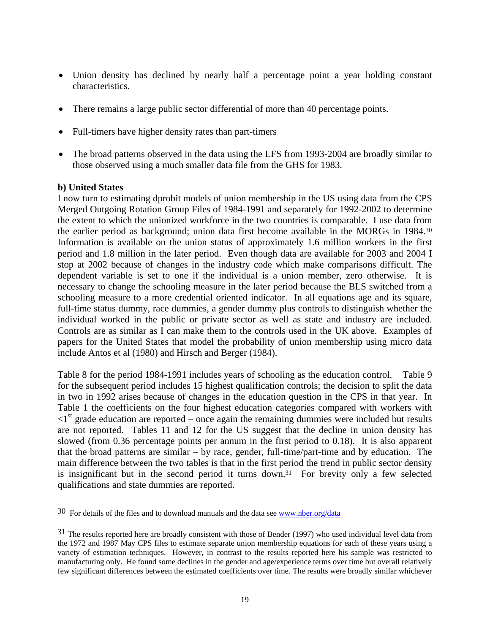- Union density has declined by nearly half a percentage point a year holding constant characteristics.
- There remains a large public sector differential of more than 40 percentage points.
- Full-timers have higher density rates than part-timers
- The broad patterns observed in the data using the LFS from 1993-2004 are broadly similar to those observed using a much smaller data file from the GHS for 1983.

#### **b) United States**

 $\overline{a}$ 

I now turn to estimating dprobit models of union membership in the US using data from the CPS Merged Outgoing Rotation Group Files of 1984-1991 and separately for 1992-2002 to determine the extent to which the unionized workforce in the two countries is comparable. I use data from the earlier period as background; union data first become available in the MORGs in 1984.30 Information is available on the union status of approximately 1.6 million workers in the first period and 1.8 million in the later period. Even though data are available for 2003 and 2004 I stop at 2002 because of changes in the industry code which make comparisons difficult. The dependent variable is set to one if the individual is a union member, zero otherwise. It is necessary to change the schooling measure in the later period because the BLS switched from a schooling measure to a more credential oriented indicator. In all equations age and its square, full-time status dummy, race dummies, a gender dummy plus controls to distinguish whether the individual worked in the public or private sector as well as state and industry are included. Controls are as similar as I can make them to the controls used in the UK above. Examples of papers for the United States that model the probability of union membership using micro data include Antos et al (1980) and Hirsch and Berger (1984).

Table 8 for the period 1984-1991 includes years of schooling as the education control. Table 9 for the subsequent period includes 15 highest qualification controls; the decision to split the data in two in 1992 arises because of changes in the education question in the CPS in that year. In Table 1 the coefficients on the four highest education categories compared with workers with  $\langle 1^{st}$  grade education are reported – once again the remaining dummies were included but results are not reported. Tables 11 and 12 for the US suggest that the decline in union density has slowed (from 0.36 percentage points per annum in the first period to 0.18). It is also apparent that the broad patterns are similar – by race, gender, full-time/part-time and by education. The main difference between the two tables is that in the first period the trend in public sector density is insignificant but in the second period it turns down.<sup>31</sup> For brevity only a few selected qualifications and state dummies are reported.

<sup>30</sup> For details of the files and to download manuals and the data see www.nber.org/data

<sup>&</sup>lt;sup>31</sup> The results reported here are broadly consistent with those of Bender (1997) who used individual level data from the 1972 and 1987 May CPS files to estimate separate union membership equations for each of these years using a variety of estimation techniques. However, in contrast to the results reported here his sample was restricted to manufacturing only. He found some declines in the gender and age/experience terms over time but overall relatively few significant differences between the estimated coefficients over time. The results were broadly similar whichever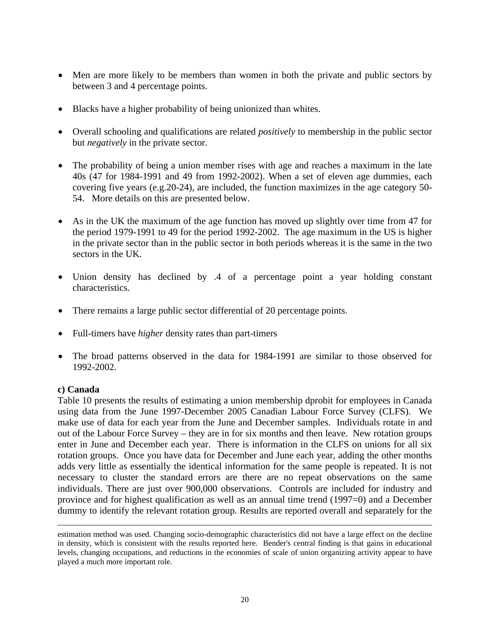- Men are more likely to be members than women in both the private and public sectors by between 3 and 4 percentage points.
- Blacks have a higher probability of being unionized than whites.
- Overall schooling and qualifications are related *positively* to membership in the public sector but *negatively* in the private sector.
- The probability of being a union member rises with age and reaches a maximum in the late 40s (47 for 1984-1991 and 49 from 1992-2002). When a set of eleven age dummies, each covering five years (e.g.20-24), are included, the function maximizes in the age category 50- 54. More details on this are presented below.
- As in the UK the maximum of the age function has moved up slightly over time from 47 for the period 1979-1991 to 49 for the period 1992-2002. The age maximum in the US is higher in the private sector than in the public sector in both periods whereas it is the same in the two sectors in the UK.
- Union density has declined by .4 of a percentage point a year holding constant characteristics.
- There remains a large public sector differential of 20 percentage points.
- Full-timers have *higher* density rates than part-timers
- The broad patterns observed in the data for 1984-1991 are similar to those observed for 1992-2002.

#### **c) Canada**

Table 10 presents the results of estimating a union membership dprobit for employees in Canada using data from the June 1997-December 2005 Canadian Labour Force Survey (CLFS). We make use of data for each year from the June and December samples. Individuals rotate in and out of the Labour Force Survey – they are in for six months and then leave. New rotation groups enter in June and December each year. There is information in the CLFS on unions for all six rotation groups. Once you have data for December and June each year, adding the other months adds very little as essentially the identical information for the same people is repeated. It is not necessary to cluster the standard errors are there are no repeat observations on the same individuals. There are just over 900,000 observations. Controls are included for industry and province and for highest qualification as well as an annual time trend (1997=0) and a December dummy to identify the relevant rotation group. Results are reported overall and separately for the

estimation method was used. Changing socio-demographic characteristics did not have a large effect on the decline in density, which is consistent with the results reported here. Bender's central finding is that gains in educational levels, changing occupations, and reductions in the economies of scale of union organizing activity appear to have played a much more important role.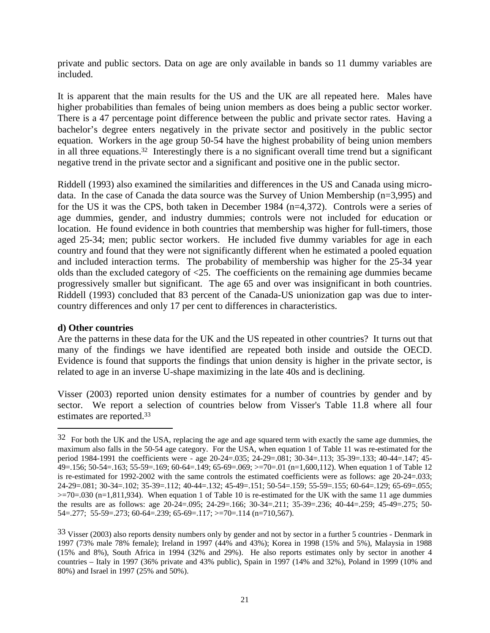private and public sectors. Data on age are only available in bands so 11 dummy variables are included.

It is apparent that the main results for the US and the UK are all repeated here. Males have higher probabilities than females of being union members as does being a public sector worker. There is a 47 percentage point difference between the public and private sector rates. Having a bachelor's degree enters negatively in the private sector and positively in the public sector equation. Workers in the age group 50-54 have the highest probability of being union members in all three equations.32 Interestingly there is a no significant overall time trend but a significant negative trend in the private sector and a significant and positive one in the public sector.

Riddell (1993) also examined the similarities and differences in the US and Canada using microdata. In the case of Canada the data source was the Survey of Union Membership (n=3,995) and for the US it was the CPS, both taken in December 1984 (n=4,372). Controls were a series of age dummies, gender, and industry dummies; controls were not included for education or location. He found evidence in both countries that membership was higher for full-timers, those aged 25-34; men; public sector workers. He included five dummy variables for age in each country and found that they were not significantly different when he estimated a pooled equation and included interaction terms. The probability of membership was higher for the 25-34 year olds than the excluded category of <25. The coefficients on the remaining age dummies became progressively smaller but significant. The age 65 and over was insignificant in both countries. Riddell (1993) concluded that 83 percent of the Canada-US unionization gap was due to intercountry differences and only 17 per cent to differences in characteristics.

#### **d) Other countries**

1

Are the patterns in these data for the UK and the US repeated in other countries? It turns out that many of the findings we have identified are repeated both inside and outside the OECD. Evidence is found that supports the findings that union density is higher in the private sector, is related to age in an inverse U-shape maximizing in the late 40s and is declining.

Visser (2003) reported union density estimates for a number of countries by gender and by sector. We report a selection of countries below from Visser's Table 11.8 where all four estimates are reported.33

 $32$  For both the UK and the USA, replacing the age and age squared term with exactly the same age dummies, the maximum also falls in the 50-54 age category. For the USA, when equation 1 of Table 11 was re-estimated for the period 1984-1991 the coefficients were - age 20-24=.035; 24-29=.081; 30-34=.113; 35-39=.133; 40-44=.147; 45- 49=.156; 50-54=.163; 55-59=.169; 60-64=.149; 65-69=.069; >=70=.01 (n=1,600,112). When equation 1 of Table 12 is re-estimated for 1992-2002 with the same controls the estimated coefficients were as follows: age 20-24=.033; 24-29=.081; 30-34=.102; 35-39=.112; 40-44=.132; 45-49=.151; 50-54=.159; 55-59=.155; 60-64=.129; 65-69=.055;  $>=$ 70=.030 (n=1,811,934). When equation 1 of Table 10 is re-estimated for the UK with the same 11 age dummies the results are as follows: age 20-24=.095; 24-29=.166; 30-34=.211; 35-39=.236; 40-44=.259; 45-49=.275; 50- 54=.277; 55-59=.273; 60-64=.239; 65-69=.117; >=70=.114 (n=710,567).

<sup>33</sup> Visser (2003) also reports density numbers only by gender and not by sector in a further 5 countries - Denmark in 1997 (73% male 78% female); Ireland in 1997 (44% and 43%); Korea in 1998 (15% and 5%), Malaysia in 1988 (15% and 8%), South Africa in 1994 (32% and 29%). He also reports estimates only by sector in another 4 countries – Italy in 1997 (36% private and 43% public), Spain in 1997 (14% and 32%), Poland in 1999 (10% and 80%) and Israel in 1997 (25% and 50%).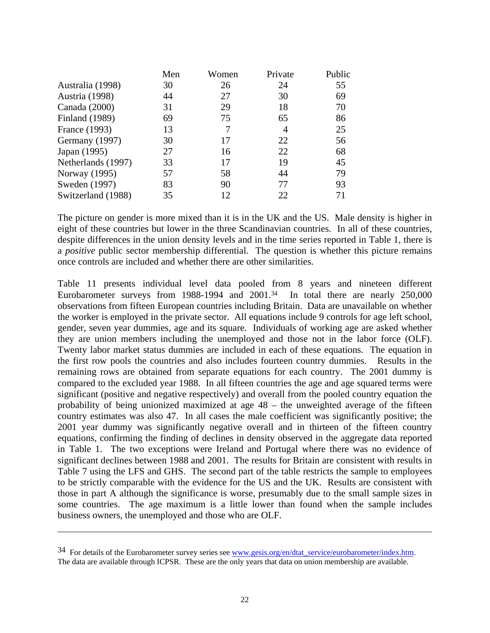|                       | Men | Women | Private | Public |
|-----------------------|-----|-------|---------|--------|
| Australia (1998)      | 30  | 26    | 24      | 55     |
| Austria (1998)        | 44  | 27    | 30      | 69     |
| Canada (2000)         | 31  | 29    | 18      | 70     |
| <b>Finland</b> (1989) | 69  | 75    | 65      | 86     |
| France (1993)         | 13  |       | 4       | 25     |
| Germany (1997)        | 30  | 17    | 22      | 56     |
| Japan (1995)          | 27  | 16    | 22      | 68     |
| Netherlands (1997)    | 33  | 17    | 19      | 45     |
| Norway (1995)         | 57  | 58    | 44      | 79     |
| Sweden (1997)         | 83  | 90    | 77      | 93     |
| Switzerland (1988)    | 35  | 12    | 22      | 71     |

The picture on gender is more mixed than it is in the UK and the US. Male density is higher in eight of these countries but lower in the three Scandinavian countries. In all of these countries, despite differences in the union density levels and in the time series reported in Table 1, there is a *positive* public sector membership differential. The question is whether this picture remains once controls are included and whether there are other similarities.

Table 11 presents individual level data pooled from 8 years and nineteen different Eurobarometer surveys from 1988-1994 and 2001.<sup>34</sup> In total there are nearly 250,000 observations from fifteen European countries including Britain. Data are unavailable on whether the worker is employed in the private sector. All equations include 9 controls for age left school, gender, seven year dummies, age and its square. Individuals of working age are asked whether they are union members including the unemployed and those not in the labor force (OLF). Twenty labor market status dummies are included in each of these equations. The equation in the first row pools the countries and also includes fourteen country dummies. Results in the remaining rows are obtained from separate equations for each country. The 2001 dummy is compared to the excluded year 1988. In all fifteen countries the age and age squared terms were significant (positive and negative respectively) and overall from the pooled country equation the probability of being unionized maximized at age 48 – the unweighted average of the fifteen country estimates was also 47. In all cases the male coefficient was significantly positive; the 2001 year dummy was significantly negative overall and in thirteen of the fifteen country equations, confirming the finding of declines in density observed in the aggregate data reported in Table 1. The two exceptions were Ireland and Portugal where there was no evidence of significant declines between 1988 and 2001. The results for Britain are consistent with results in Table 7 using the LFS and GHS. The second part of the table restricts the sample to employees to be strictly comparable with the evidence for the US and the UK. Results are consistent with those in part A although the significance is worse, presumably due to the small sample sizes in some countries. The age maximum is a little lower than found when the sample includes business owners, the unemployed and those who are OLF.

<sup>&</sup>lt;sup>34</sup> For details of the Eurobarometer survey series see www.gesis.org/en/dtat\_service/eurobarometer/index.htm. The data are available through ICPSR. These are the only years that data on union membership are available.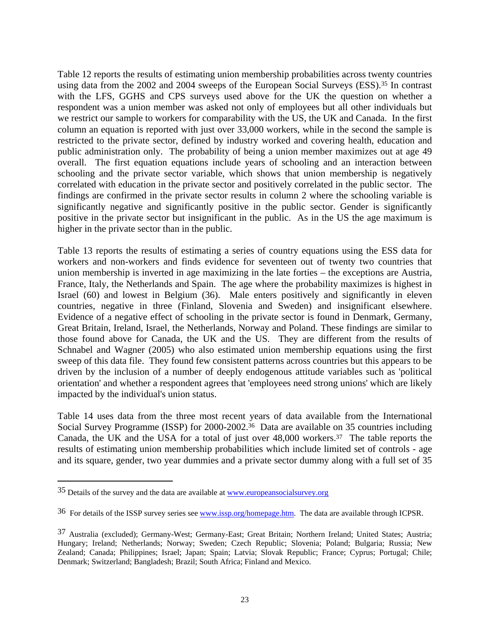Table 12 reports the results of estimating union membership probabilities across twenty countries using data from the 2002 and 2004 sweeps of the European Social Surveys (ESS).<sup>35</sup> In contrast with the LFS, GGHS and CPS surveys used above for the UK the question on whether a respondent was a union member was asked not only of employees but all other individuals but we restrict our sample to workers for comparability with the US, the UK and Canada. In the first column an equation is reported with just over 33,000 workers, while in the second the sample is restricted to the private sector, defined by industry worked and covering health, education and public administration only. The probability of being a union member maximizes out at age 49 overall. The first equation equations include years of schooling and an interaction between schooling and the private sector variable, which shows that union membership is negatively correlated with education in the private sector and positively correlated in the public sector. The findings are confirmed in the private sector results in column 2 where the schooling variable is significantly negative and significantly positive in the public sector. Gender is significantly positive in the private sector but insignificant in the public. As in the US the age maximum is higher in the private sector than in the public.

Table 13 reports the results of estimating a series of country equations using the ESS data for workers and non-workers and finds evidence for seventeen out of twenty two countries that union membership is inverted in age maximizing in the late forties – the exceptions are Austria, France, Italy, the Netherlands and Spain. The age where the probability maximizes is highest in Israel (60) and lowest in Belgium (36). Male enters positively and significantly in eleven countries, negative in three (Finland, Slovenia and Sweden) and insignificant elsewhere. Evidence of a negative effect of schooling in the private sector is found in Denmark, Germany, Great Britain, Ireland, Israel, the Netherlands, Norway and Poland. These findings are similar to those found above for Canada, the UK and the US. They are different from the results of Schnabel and Wagner (2005) who also estimated union membership equations using the first sweep of this data file. They found few consistent patterns across countries but this appears to be driven by the inclusion of a number of deeply endogenous attitude variables such as 'political orientation' and whether a respondent agrees that 'employees need strong unions' which are likely impacted by the individual's union status.

Table 14 uses data from the three most recent years of data available from the International Social Survey Programme (ISSP) for 2000-2002.<sup>36</sup> Data are available on 35 countries including Canada, the UK and the USA for a total of just over 48,000 workers.37 The table reports the results of estimating union membership probabilities which include limited set of controls - age and its square, gender, two year dummies and a private sector dummy along with a full set of 35

<sup>35</sup> Details of the survey and the data are available at www.europeansocialsurvey.org

<sup>36</sup> For details of the ISSP survey series see www.issp.org/homepage.htm. The data are available through ICPSR.

<sup>37</sup> Australia (excluded); Germany-West; Germany-East; Great Britain; Northern Ireland; United States; Austria; Hungary; Ireland; Netherlands; Norway; Sweden; Czech Republic; Slovenia; Poland; Bulgaria; Russia; New Zealand; Canada; Philippines; Israel; Japan; Spain; Latvia; Slovak Republic; France; Cyprus; Portugal; Chile; Denmark; Switzerland; Bangladesh; Brazil; South Africa; Finland and Mexico.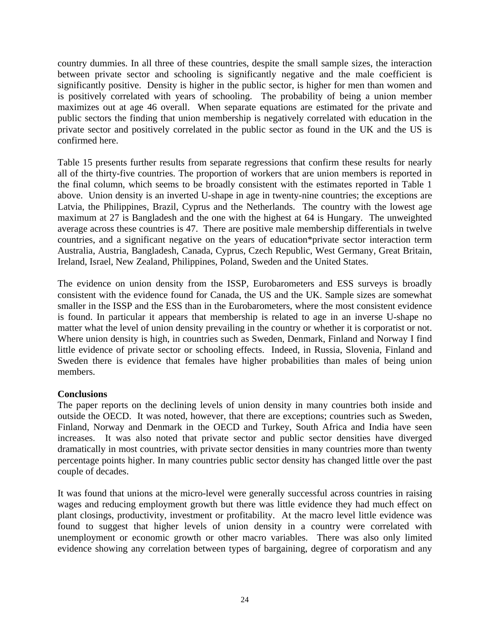country dummies. In all three of these countries, despite the small sample sizes, the interaction between private sector and schooling is significantly negative and the male coefficient is significantly positive. Density is higher in the public sector, is higher for men than women and is positively correlated with years of schooling. The probability of being a union member maximizes out at age 46 overall. When separate equations are estimated for the private and public sectors the finding that union membership is negatively correlated with education in the private sector and positively correlated in the public sector as found in the UK and the US is confirmed here.

Table 15 presents further results from separate regressions that confirm these results for nearly all of the thirty-five countries. The proportion of workers that are union members is reported in the final column, which seems to be broadly consistent with the estimates reported in Table 1 above. Union density is an inverted U-shape in age in twenty-nine countries; the exceptions are Latvia, the Philippines, Brazil, Cyprus and the Netherlands. The country with the lowest age maximum at 27 is Bangladesh and the one with the highest at 64 is Hungary. The unweighted average across these countries is 47. There are positive male membership differentials in twelve countries, and a significant negative on the years of education\*private sector interaction term Australia, Austria, Bangladesh, Canada, Cyprus, Czech Republic, West Germany, Great Britain, Ireland, Israel, New Zealand, Philippines, Poland, Sweden and the United States.

The evidence on union density from the ISSP, Eurobarometers and ESS surveys is broadly consistent with the evidence found for Canada, the US and the UK. Sample sizes are somewhat smaller in the ISSP and the ESS than in the Eurobarometers, where the most consistent evidence is found. In particular it appears that membership is related to age in an inverse U-shape no matter what the level of union density prevailing in the country or whether it is corporatist or not. Where union density is high, in countries such as Sweden, Denmark, Finland and Norway I find little evidence of private sector or schooling effects. Indeed, in Russia, Slovenia, Finland and Sweden there is evidence that females have higher probabilities than males of being union members.

#### **Conclusions**

The paper reports on the declining levels of union density in many countries both inside and outside the OECD. It was noted, however, that there are exceptions; countries such as Sweden, Finland, Norway and Denmark in the OECD and Turkey, South Africa and India have seen increases. It was also noted that private sector and public sector densities have diverged dramatically in most countries, with private sector densities in many countries more than twenty percentage points higher. In many countries public sector density has changed little over the past couple of decades.

It was found that unions at the micro-level were generally successful across countries in raising wages and reducing employment growth but there was little evidence they had much effect on plant closings, productivity, investment or profitability. At the macro level little evidence was found to suggest that higher levels of union density in a country were correlated with unemployment or economic growth or other macro variables. There was also only limited evidence showing any correlation between types of bargaining, degree of corporatism and any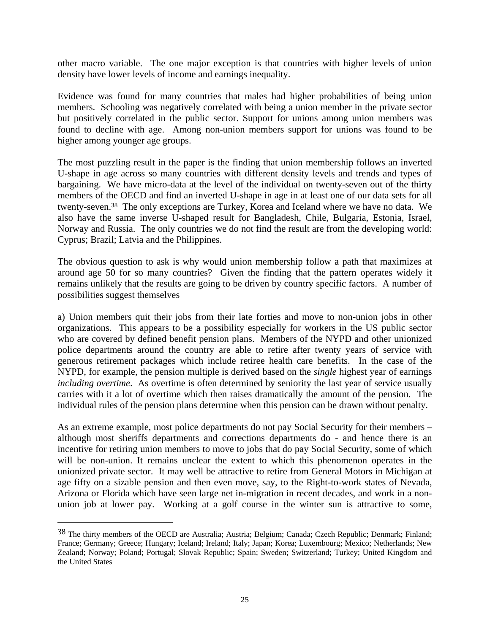other macro variable. The one major exception is that countries with higher levels of union density have lower levels of income and earnings inequality.

Evidence was found for many countries that males had higher probabilities of being union members. Schooling was negatively correlated with being a union member in the private sector but positively correlated in the public sector. Support for unions among union members was found to decline with age. Among non-union members support for unions was found to be higher among younger age groups.

The most puzzling result in the paper is the finding that union membership follows an inverted U-shape in age across so many countries with different density levels and trends and types of bargaining. We have micro-data at the level of the individual on twenty-seven out of the thirty members of the OECD and find an inverted U-shape in age in at least one of our data sets for all twenty-seven.38 The only exceptions are Turkey, Korea and Iceland where we have no data. We also have the same inverse U-shaped result for Bangladesh, Chile, Bulgaria, Estonia, Israel, Norway and Russia. The only countries we do not find the result are from the developing world: Cyprus; Brazil; Latvia and the Philippines.

The obvious question to ask is why would union membership follow a path that maximizes at around age 50 for so many countries? Given the finding that the pattern operates widely it remains unlikely that the results are going to be driven by country specific factors. A number of possibilities suggest themselves

a) Union members quit their jobs from their late forties and move to non-union jobs in other organizations. This appears to be a possibility especially for workers in the US public sector who are covered by defined benefit pension plans. Members of the NYPD and other unionized police departments around the country are able to retire after twenty years of service with generous retirement packages which include retiree health care benefits. In the case of the NYPD, for example, the pension multiple is derived based on the *single* highest year of earnings *including overtime*. As overtime is often determined by seniority the last year of service usually carries with it a lot of overtime which then raises dramatically the amount of the pension. The individual rules of the pension plans determine when this pension can be drawn without penalty.

As an extreme example, most police departments do not pay Social Security for their members – although most sheriffs departments and corrections departments do - and hence there is an incentive for retiring union members to move to jobs that do pay Social Security, some of which will be non-union. It remains unclear the extent to which this phenomenon operates in the unionized private sector. It may well be attractive to retire from General Motors in Michigan at age fifty on a sizable pension and then even move, say, to the Right-to-work states of Nevada, Arizona or Florida which have seen large net in-migration in recent decades, and work in a nonunion job at lower pay. Working at a golf course in the winter sun is attractive to some,

1

<sup>38</sup> The thirty members of the OECD are Australia; Austria; Belgium; Canada; Czech Republic; Denmark; Finland; France; Germany; Greece; Hungary; Iceland; Ireland; Italy; Japan; Korea; Luxembourg; Mexico; Netherlands; New Zealand; Norway; Poland; Portugal; Slovak Republic; Spain; Sweden; Switzerland; Turkey; United Kingdom and the United States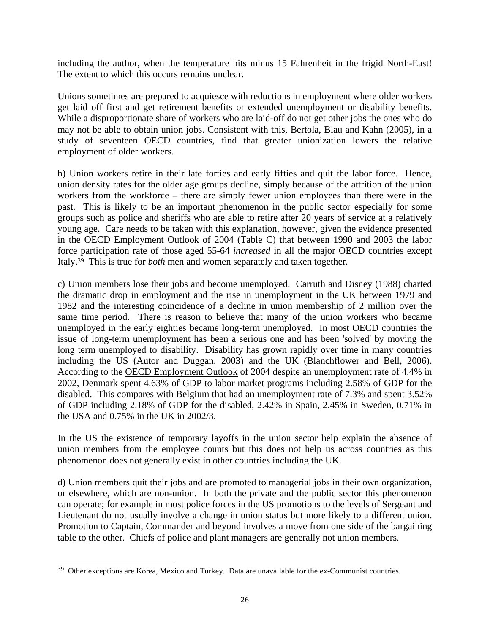including the author, when the temperature hits minus 15 Fahrenheit in the frigid North-East! The extent to which this occurs remains unclear.

Unions sometimes are prepared to acquiesce with reductions in employment where older workers get laid off first and get retirement benefits or extended unemployment or disability benefits. While a disproportionate share of workers who are laid-off do not get other jobs the ones who do may not be able to obtain union jobs. Consistent with this, Bertola, Blau and Kahn (2005), in a study of seventeen OECD countries, find that greater unionization lowers the relative employment of older workers.

b) Union workers retire in their late forties and early fifties and quit the labor force. Hence, union density rates for the older age groups decline, simply because of the attrition of the union workers from the workforce – there are simply fewer union employees than there were in the past. This is likely to be an important phenomenon in the public sector especially for some groups such as police and sheriffs who are able to retire after 20 years of service at a relatively young age. Care needs to be taken with this explanation, however, given the evidence presented in the OECD Employment Outlook of 2004 (Table C) that between 1990 and 2003 the labor force participation rate of those aged 55-64 *increased* in all the major OECD countries except Italy.39 This is true for *both* men and women separately and taken together.

c) Union members lose their jobs and become unemployed. Carruth and Disney (1988) charted the dramatic drop in employment and the rise in unemployment in the UK between 1979 and 1982 and the interesting coincidence of a decline in union membership of 2 million over the same time period. There is reason to believe that many of the union workers who became unemployed in the early eighties became long-term unemployed. In most OECD countries the issue of long-term unemployment has been a serious one and has been 'solved' by moving the long term unemployed to disability. Disability has grown rapidly over time in many countries including the US (Autor and Duggan, 2003) and the UK (Blanchflower and Bell, 2006). According to the OECD Employment Outlook of 2004 despite an unemployment rate of 4.4% in 2002, Denmark spent 4.63% of GDP to labor market programs including 2.58% of GDP for the disabled. This compares with Belgium that had an unemployment rate of 7.3% and spent 3.52% of GDP including 2.18% of GDP for the disabled, 2.42% in Spain, 2.45% in Sweden, 0.71% in the USA and 0.75% in the UK in 2002/3.

In the US the existence of temporary layoffs in the union sector help explain the absence of union members from the employee counts but this does not help us across countries as this phenomenon does not generally exist in other countries including the UK.

d) Union members quit their jobs and are promoted to managerial jobs in their own organization, or elsewhere, which are non-union. In both the private and the public sector this phenomenon can operate; for example in most police forces in the US promotions to the levels of Sergeant and Lieutenant do not usually involve a change in union status but more likely to a different union. Promotion to Captain, Commander and beyond involves a move from one side of the bargaining table to the other. Chiefs of police and plant managers are generally not union members.

<sup>39</sup> Other exceptions are Korea, Mexico and Turkey. Data are unavailable for the ex-Communist countries.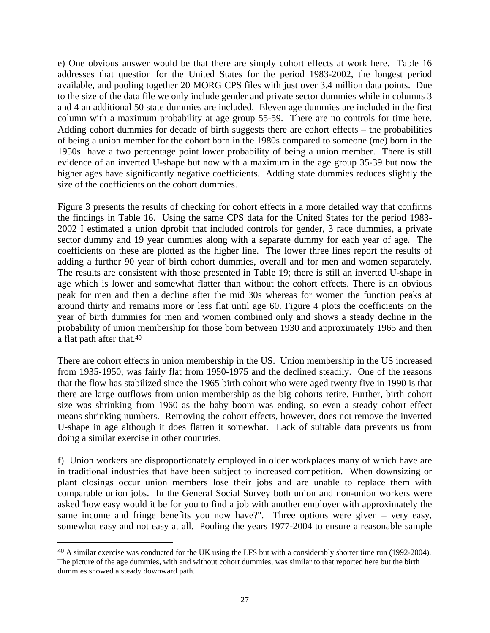e) One obvious answer would be that there are simply cohort effects at work here. Table 16 addresses that question for the United States for the period 1983-2002, the longest period available, and pooling together 20 MORG CPS files with just over 3.4 million data points. Due to the size of the data file we only include gender and private sector dummies while in columns 3 and 4 an additional 50 state dummies are included. Eleven age dummies are included in the first column with a maximum probability at age group 55-59. There are no controls for time here. Adding cohort dummies for decade of birth suggests there are cohort effects – the probabilities of being a union member for the cohort born in the 1980s compared to someone (me) born in the 1950s have a two percentage point lower probability of being a union member. There is still evidence of an inverted U-shape but now with a maximum in the age group 35-39 but now the higher ages have significantly negative coefficients. Adding state dummies reduces slightly the size of the coefficients on the cohort dummies.

Figure 3 presents the results of checking for cohort effects in a more detailed way that confirms the findings in Table 16. Using the same CPS data for the United States for the period 1983- 2002 I estimated a union dprobit that included controls for gender, 3 race dummies, a private sector dummy and 19 year dummies along with a separate dummy for each year of age. The coefficients on these are plotted as the higher line. The lower three lines report the results of adding a further 90 year of birth cohort dummies, overall and for men and women separately. The results are consistent with those presented in Table 19; there is still an inverted U-shape in age which is lower and somewhat flatter than without the cohort effects. There is an obvious peak for men and then a decline after the mid 30s whereas for women the function peaks at around thirty and remains more or less flat until age 60. Figure 4 plots the coefficients on the year of birth dummies for men and women combined only and shows a steady decline in the probability of union membership for those born between 1930 and approximately 1965 and then a flat path after that.40

There are cohort effects in union membership in the US. Union membership in the US increased from 1935-1950, was fairly flat from 1950-1975 and the declined steadily. One of the reasons that the flow has stabilized since the 1965 birth cohort who were aged twenty five in 1990 is that there are large outflows from union membership as the big cohorts retire. Further, birth cohort size was shrinking from 1960 as the baby boom was ending, so even a steady cohort effect means shrinking numbers. Removing the cohort effects, however, does not remove the inverted U-shape in age although it does flatten it somewhat. Lack of suitable data prevents us from doing a similar exercise in other countries.

f) Union workers are disproportionately employed in older workplaces many of which have are in traditional industries that have been subject to increased competition. When downsizing or plant closings occur union members lose their jobs and are unable to replace them with comparable union jobs. In the General Social Survey both union and non-union workers were asked 'how easy would it be for you to find a job with another employer with approximately the same income and fringe benefits you now have?". Three options were given – very easy, somewhat easy and not easy at all. Pooling the years 1977-2004 to ensure a reasonable sample

<sup>&</sup>lt;sup>40</sup> A similar exercise was conducted for the UK using the LFS but with a considerably shorter time run (1992-2004). The picture of the age dummies, with and without cohort dummies, was similar to that reported here but the birth dummies showed a steady downward path.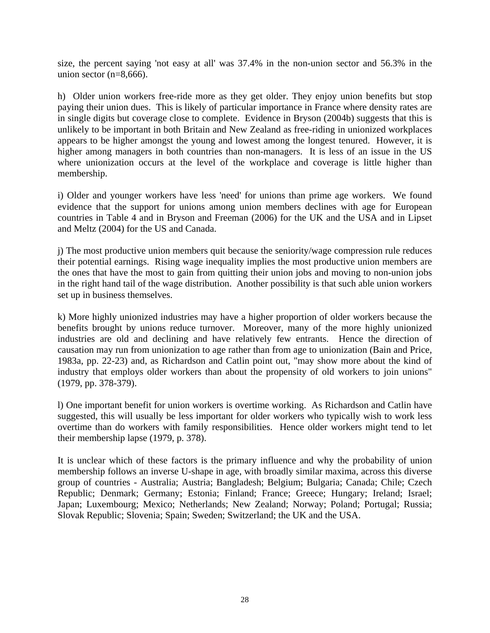size, the percent saying 'not easy at all' was 37.4% in the non-union sector and 56.3% in the union sector  $(n=8,666)$ .

h) Older union workers free-ride more as they get older. They enjoy union benefits but stop paying their union dues. This is likely of particular importance in France where density rates are in single digits but coverage close to complete. Evidence in Bryson (2004b) suggests that this is unlikely to be important in both Britain and New Zealand as free-riding in unionized workplaces appears to be higher amongst the young and lowest among the longest tenured. However, it is higher among managers in both countries than non-managers. It is less of an issue in the US where unionization occurs at the level of the workplace and coverage is little higher than membership.

i) Older and younger workers have less 'need' for unions than prime age workers. We found evidence that the support for unions among union members declines with age for European countries in Table 4 and in Bryson and Freeman (2006) for the UK and the USA and in Lipset and Meltz (2004) for the US and Canada.

j) The most productive union members quit because the seniority/wage compression rule reduces their potential earnings. Rising wage inequality implies the most productive union members are the ones that have the most to gain from quitting their union jobs and moving to non-union jobs in the right hand tail of the wage distribution. Another possibility is that such able union workers set up in business themselves.

k) More highly unionized industries may have a higher proportion of older workers because the benefits brought by unions reduce turnover. Moreover, many of the more highly unionized industries are old and declining and have relatively few entrants. Hence the direction of causation may run from unionization to age rather than from age to unionization (Bain and Price, 1983a, pp. 22-23) and, as Richardson and Catlin point out, "may show more about the kind of industry that employs older workers than about the propensity of old workers to join unions" (1979, pp. 378-379).

l) One important benefit for union workers is overtime working. As Richardson and Catlin have suggested, this will usually be less important for older workers who typically wish to work less overtime than do workers with family responsibilities. Hence older workers might tend to let their membership lapse (1979, p. 378).

It is unclear which of these factors is the primary influence and why the probability of union membership follows an inverse U-shape in age, with broadly similar maxima, across this diverse group of countries - Australia; Austria; Bangladesh; Belgium; Bulgaria; Canada; Chile; Czech Republic; Denmark; Germany; Estonia; Finland; France; Greece; Hungary; Ireland; Israel; Japan; Luxembourg; Mexico; Netherlands; New Zealand; Norway; Poland; Portugal; Russia; Slovak Republic; Slovenia; Spain; Sweden; Switzerland; the UK and the USA.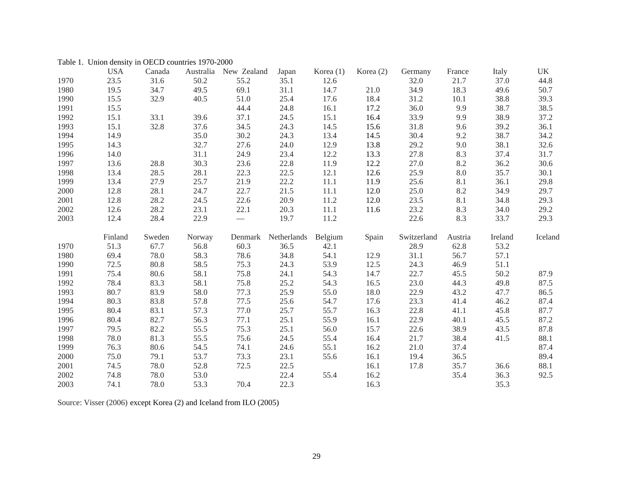Table 1. Union density in OECD countries 1970-2000

|      | <b>USA</b> | Canada | Australia | New Zealand | Japan               | Korea $(1)$ | Korea $(2)$ | Germany     | France  | Italy   | <b>UK</b> |
|------|------------|--------|-----------|-------------|---------------------|-------------|-------------|-------------|---------|---------|-----------|
| 1970 | 23.5       | 31.6   | 50.2      | 55.2        | 35.1                | 12.6        |             | 32.0        | 21.7    | 37.0    | 44.8      |
| 1980 | 19.5       | 34.7   | 49.5      | 69.1        | 31.1                | 14.7        | 21.0        | 34.9        | 18.3    | 49.6    | 50.7      |
| 1990 | 15.5       | 32.9   | 40.5      | 51.0        | 25.4                | 17.6        | 18.4        | 31.2        | 10.1    | 38.8    | 39.3      |
| 1991 | 15.5       |        |           | 44.4        | 24.8                | 16.1        | 17.2        | 36.0        | 9.9     | 38.7    | 38.5      |
| 1992 | 15.1       | 33.1   | 39.6      | 37.1        | 24.5                | 15.1        | 16.4        | 33.9        | 9.9     | 38.9    | 37.2      |
| 1993 | 15.1       | 32.8   | 37.6      | 34.5        | 24.3                | 14.5        | 15.6        | 31.8        | 9.6     | 39.2    | 36.1      |
| 1994 | 14.9       |        | 35.0      | 30.2        | 24.3                | 13.4        | 14.5        | 30.4        | 9.2     | 38.7    | 34.2      |
| 1995 | 14.3       |        | 32.7      | 27.6        | 24.0                | 12.9        | 13.8        | 29.2        | 9.0     | 38.1    | 32.6      |
| 1996 | 14.0       |        | 31.1      | 24.9        | 23.4                | 12.2        | 13.3        | 27.8        | 8.3     | 37.4    | 31.7      |
| 1997 | 13.6       | 28.8   | 30.3      | 23.6        | 22.8                | 11.9        | 12.2        | 27.0        | 8.2     | 36.2    | 30.6      |
| 1998 | 13.4       | 28.5   | 28.1      | 22.3        | 22.5                | 12.1        | 12.6        | 25.9        | 8.0     | 35.7    | 30.1      |
| 1999 | 13.4       | 27.9   | 25.7      | 21.9        | 22.2                | 11.1        | 11.9        | 25.6        | 8.1     | 36.1    | 29.8      |
| 2000 | 12.8       | 28.1   | 24.7      | 22.7        | 21.5                | 11.1        | 12.0        | 25.0        | 8.2     | 34.9    | 29.7      |
| 2001 | 12.8       | 28.2   | 24.5      | 22.6        | 20.9                | 11.2        | 12.0        | 23.5        | 8.1     | 34.8    | 29.3      |
| 2002 | 12.6       | 28.2   | 23.1      | 22.1        | 20.3                | 11.1        | 11.6        | 23.2        | 8.3     | 34.0    | 29.2      |
| 2003 | 12.4       | 28.4   | 22.9      |             | 19.7                | 11.2        |             | 22.6        | 8.3     | 33.7    | 29.3      |
|      |            |        |           |             |                     |             |             |             |         |         |           |
|      | Finland    | Sweden | Norway    |             | Denmark Netherlands | Belgium     | Spain       | Switzerland | Austria | Ireland | Iceland   |
| 1970 | 51.3       | 67.7   | 56.8      | 60.3        | 36.5                | 42.1        |             | 28.9        | 62.8    | 53.2    |           |
| 1980 | 69.4       | 78.0   | 58.3      | 78.6        | 34.8                | 54.1        | 12.9        | 31.1        | 56.7    | 57.1    |           |
| 1990 | 72.5       | 80.8   | 58.5      | 75.3        | 24.3                | 53.9        | 12.5        | 24.3        | 46.9    | 51.1    |           |
| 1991 | 75.4       | 80.6   | 58.1      | 75.8        | 24.1                | 54.3        | 14.7        | 22.7        | 45.5    | 50.2    | 87.9      |
| 1992 | 78.4       | 83.3   | 58.1      | 75.8        | 25.2                | 54.3        | 16.5        | 23.0        | 44.3    | 49.8    | 87.5      |
| 1993 | 80.7       | 83.9   | 58.0      | 77.3        | 25.9                | 55.0        | 18.0        | 22.9        | 43.2    | 47.7    | 86.5      |
| 1994 | 80.3       | 83.8   | 57.8      | 77.5        | 25.6                | 54.7        | 17.6        | 23.3        | 41.4    | 46.2    | 87.4      |
| 1995 | 80.4       | 83.1   | 57.3      | 77.0        | 25.7                | 55.7        | 16.3        | 22.8        | 41.1    | 45.8    | 87.7      |
| 1996 | 80.4       | 82.7   | 56.3      | 77.1        | 25.1                | 55.9        | 16.1        | 22.9        | 40.1    | 45.5    | 87.2      |
| 1997 | 79.5       | 82.2   | 55.5      | 75.3        | 25.1                | 56.0        | 15.7        | 22.6        | 38.9    | 43.5    | 87.8      |
| 1998 | 78.0       | 81.3   | 55.5      | 75.6        | 24.5                | 55.4        | 16.4        | 21.7        | 38.4    | 41.5    | 88.1      |
| 1999 | 76.3       | 80.6   | 54.5      | 74.1        | 24.6                | 55.1        | 16.2        | 21.0        | 37.4    |         | 87.4      |
| 2000 | 75.0       | 79.1   | 53.7      | 73.3        | 23.1                | 55.6        | 16.1        | 19.4        | 36.5    |         | 89.4      |
| 2001 | 74.5       | 78.0   | 52.8      | 72.5        | 22.5                |             | 16.1        | 17.8        | 35.7    | 36.6    | 88.1      |
| 2002 | 74.8       | 78.0   | 53.0      |             | 22.4                | 55.4        | 16.2        |             | 35.4    | 36.3    | 92.5      |

Source: Visser (2006) except Korea (2) and Iceland from ILO (2005)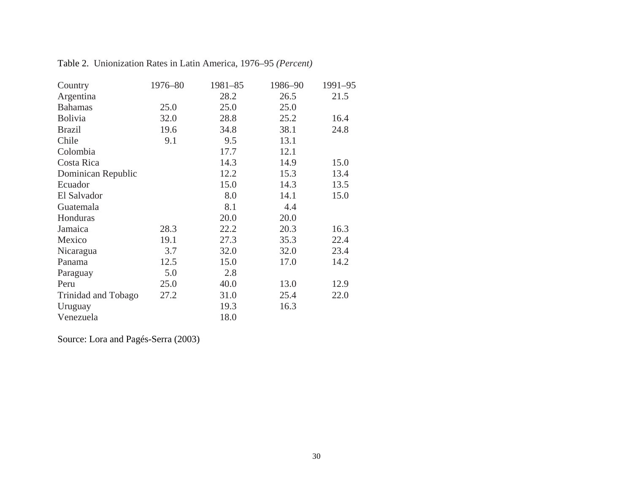| Country             | 1976–80 | 1981-85 | 1986-90 | 1991-95 |
|---------------------|---------|---------|---------|---------|
| Argentina           |         | 28.2    | 26.5    | 21.5    |
| <b>Bahamas</b>      | 25.0    | 25.0    | 25.0    |         |
| <b>Bolivia</b>      | 32.0    | 28.8    | 25.2    | 16.4    |
| <b>Brazil</b>       | 19.6    | 34.8    | 38.1    | 24.8    |
| Chile               | 9.1     | 9.5     | 13.1    |         |
| Colombia            |         | 17.7    | 12.1    |         |
| Costa Rica          |         | 14.3    | 14.9    | 15.0    |
| Dominican Republic  |         | 12.2    | 15.3    | 13.4    |
| Ecuador             |         | 15.0    | 14.3    | 13.5    |
| El Salvador         |         | 8.0     | 14.1    | 15.0    |
| Guatemala           |         | 8.1     | 4.4     |         |
| Honduras            |         | 20.0    | 20.0    |         |
| Jamaica             | 28.3    | 22.2    | 20.3    | 16.3    |
| Mexico              | 19.1    | 27.3    | 35.3    | 22.4    |
| Nicaragua           | 3.7     | 32.0    | 32.0    | 23.4    |
| Panama              | 12.5    | 15.0    | 17.0    | 14.2    |
| Paraguay            | 5.0     | 2.8     |         |         |
| Peru                | 25.0    | 40.0    | 13.0    | 12.9    |
| Trinidad and Tobago | 27.2    | 31.0    | 25.4    | 22.0    |
| Uruguay             |         | 19.3    | 16.3    |         |
| Venezuela           |         | 18.0    |         |         |

## Table 2. Unionization Rates in Latin America, 1976–95 *(Percent)*

Source: Lora and Pagés-Serra (2003)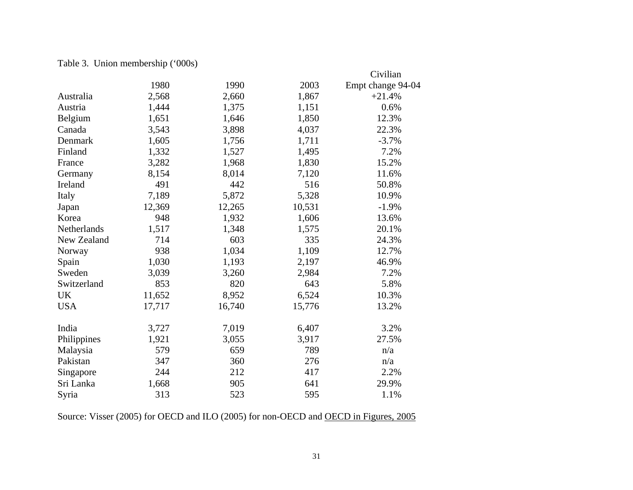Table 3. Union membership ('000s)

|             |        |        |        | Civilian          |
|-------------|--------|--------|--------|-------------------|
|             | 1980   | 1990   | 2003   | Empt change 94-04 |
| Australia   | 2,568  | 2,660  | 1,867  | $+21.4%$          |
| Austria     | 1,444  | 1,375  | 1,151  | 0.6%              |
| Belgium     | 1,651  | 1,646  | 1,850  | 12.3%             |
| Canada      | 3,543  | 3,898  | 4,037  | 22.3%             |
| Denmark     | 1,605  | 1,756  | 1,711  | $-3.7%$           |
| Finland     | 1,332  | 1,527  | 1,495  | 7.2%              |
| France      | 3,282  | 1,968  | 1,830  | 15.2%             |
| Germany     | 8,154  | 8,014  | 7,120  | 11.6%             |
| Ireland     | 491    | 442    | 516    | 50.8%             |
| Italy       | 7,189  | 5,872  | 5,328  | 10.9%             |
| Japan       | 12,369 | 12,265 | 10,531 | $-1.9%$           |
| Korea       | 948    | 1,932  | 1,606  | 13.6%             |
| Netherlands | 1,517  | 1,348  | 1,575  | 20.1%             |
| New Zealand | 714    | 603    | 335    | 24.3%             |
| Norway      | 938    | 1,034  | 1,109  | 12.7%             |
| Spain       | 1,030  | 1,193  | 2,197  | 46.9%             |
| Sweden      | 3,039  | 3,260  | 2,984  | 7.2%              |
| Switzerland | 853    | 820    | 643    | 5.8%              |
| <b>UK</b>   | 11,652 | 8,952  | 6,524  | 10.3%             |
| <b>USA</b>  | 17,717 | 16,740 | 15,776 | 13.2%             |
|             |        |        |        |                   |
| India       | 3,727  | 7,019  | 6,407  | 3.2%              |
| Philippines | 1,921  | 3,055  | 3,917  | 27.5%             |
| Malaysia    | 579    | 659    | 789    | n/a               |
| Pakistan    | 347    | 360    | 276    | n/a               |
| Singapore   | 244    | 212    | 417    | 2.2%              |
| Sri Lanka   | 1,668  | 905    | 641    | 29.9%             |
| Syria       | 313    | 523    | 595    | 1.1%              |

Source: Visser (2005) for OECD and ILO (2005) for non-OECD and OECD in Figures, 2005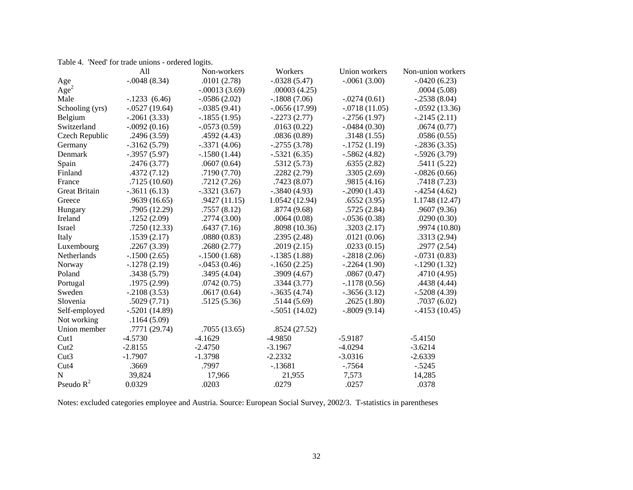Table 4. 'Need' for trade unions - ordered logits.

|                      | All             | Non-workers     | Workers         | Union workers   | Non-union workers |
|----------------------|-----------------|-----------------|-----------------|-----------------|-------------------|
| Age                  | $-.0048(8.34)$  | .0101(2.78)     | $-.0328(5.47)$  | $-.0061(3.00)$  | $-.0420(6.23)$    |
| Age <sup>2</sup>     |                 | $-.00013(3.69)$ | .00003(4.25)    |                 | .0004(5.08)       |
| Male                 | $-.1233(6.46)$  | $-.0586(2.02)$  | $-.1808(7.06)$  | $-.0274(0.61)$  | $-.2538(8.04)$    |
| Schooling (yrs)      | $-.0527(19.64)$ | $-.0385(9.41)$  | $-.0656(17.99)$ | $-.0718(11.05)$ | $-.0592(13.36)$   |
| Belgium              | $-.2061(3.33)$  | $-.1855(1.95)$  | $-.2273(2.77)$  | $-.2756(1.97)$  | $-.2145(2.11)$    |
| Switzerland          | $-.0092(0.16)$  | $-.0573(0.59)$  | .0163(0.22)     | $-.0484(0.30)$  | .0674(0.77)       |
| Czech Republic       | .2496(3.59)     | .4592(4.43)     | .0836(0.89)     | .3148(1.55)     | .0586(0.55)       |
| Germany              | $-0.3162(5.79)$ | $-.3371(4.06)$  | $-.2755(3.78)$  | $-.1752(1.19)$  | $-.2836(3.35)$    |
| Denmark              | $-.3957(5.97)$  | $-.1580(1.44)$  | $-.5321(6.35)$  | $-.5862(4.82)$  | $-.5926(3.79)$    |
| Spain                | .2476(3.77)     | .0607(0.64)     | .5312(5.73)     | .6355(2.82)     | .5411(5.22)       |
| Finland              | .4372(7.12)     | .7190(7.70)     | .2282(2.79)     | .3305(2.69)     | $-.0826(0.66)$    |
| France               | .7125(10.60)    | .7212(7.26)     | .7423(8.07)     | .9815(4.16)     | .7418(7.23)       |
| <b>Great Britain</b> | $-.3611(6.13)$  | $-.3321(3.67)$  | $-.3840(4.93)$  | $-.2090(1.43)$  | $-4254(4.62)$     |
| Greece               | .9639(16.65)    | .9427(11.15)    | 1.0542 (12.94)  | .6552(3.95)     | 1.1748 (12.47)    |
| Hungary              | .7905 (12.29)   | .7557(8.12)     | .8774(9.68)     | .5725(2.84)     | .9607 (9.36)      |
| Ireland              | .1252(2.09)     | .2774(3.00)     | .0064(0.08)     | $-.0536(0.38)$  | .0290(0.30)       |
| Israel               | .7250 (12.33)   | .6437(7.16)     | .8098(10.36)    | .3203(2.17)     | .9974 (10.80)     |
| Italy                | .1539(2.17)     | .0880(0.83)     | .2395(2.48)     | .0121(0.06)     | .3313(2.94)       |
| Luxembourg           | .2267(3.39)     | .2680(2.77)     | .2019(2.15)     | .0233(0.15)     | .2977(2.54)       |
| Netherlands          | $-.1500(2.65)$  | $-.1500(1.68)$  | $-.1385(1.88)$  | $-.2818(2.06)$  | $-.0731(0.83)$    |
| Norway               | $-.1278(2.19)$  | $-.0453(0.46)$  | $-.1650(2.25)$  | $-.2264(1.90)$  | $-.1290(1.32)$    |
| Poland               | .3438(5.79)     | .3495(4.04)     | .3909(4.67)     | .0867(0.47)     | .4710 (4.95)      |
| Portugal             | .1975(2.99)     | .0742(0.75)     | .3344(3.77)     | $-.1178(0.56)$  | .4438 (4.44)      |
| Sweden               | $-.2108(3.53)$  | .0617(0.64)     | $-.3635(4.74)$  | $-.3656(3.12)$  | $-.5208(4.39)$    |
| Slovenia             | .5029(7.71)     | .5125(5.36)     | .5144(5.69)     | .2625(1.80)     | .7037(6.02)       |
| Self-employed        | $-.5201(14.89)$ |                 | $-.5051(14.02)$ | $-.8009(9.14)$  | $-4153(10.45)$    |
| Not working          | .1164(5.09)     |                 |                 |                 |                   |
| Union member         | .7771 (29.74)   | .7055(13.65)    | .8524 (27.52)   |                 |                   |
| Cut1                 | $-4.5730$       | $-4.1629$       | $-4.9850$       | $-5.9187$       | $-5.4150$         |
| Cut2                 | $-2.8155$       | $-2.4750$       | $-3.1967$       | $-4.0294$       | $-3.6214$         |
| Cut3                 | $-1.7907$       | $-1.3798$       | $-2.2332$       | $-3.0316$       | $-2.6339$         |
| Cut4                 | .3669           | .7997           | $-.13681$       | $-0.7564$       | $-.5245$          |
| $\mathbf N$          | 39,824          | 17,966          | 21,955          | 7,573           | 14,285            |
| Pseudo $R^2$         | 0.0329          | .0203           | .0279           | .0257           | .0378             |

Notes: excluded categories employee and Austria. Source: European Social Survey, 2002/3. T-statistics in parentheses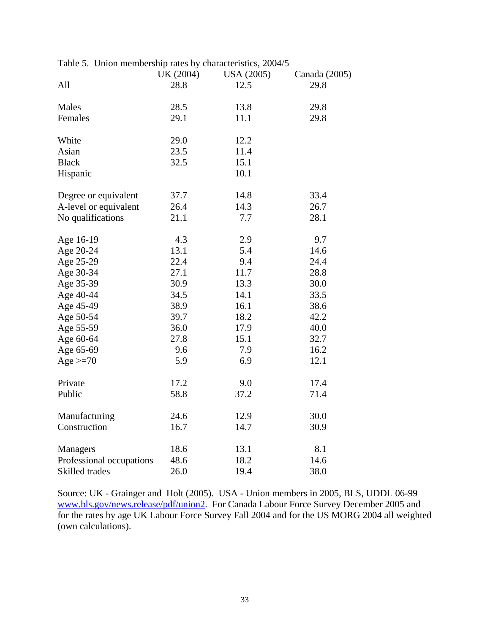| radic 9. Omon memocramp rates by characteristics, 2004/9 |           |                   |               |
|----------------------------------------------------------|-----------|-------------------|---------------|
|                                                          | UK (2004) | <b>USA</b> (2005) | Canada (2005) |
| All                                                      | 28.8      | 12.5              | 29.8          |
|                                                          |           |                   |               |
| Males                                                    | 28.5      | 13.8              | 29.8          |
| Females                                                  | 29.1      | 11.1              | 29.8          |
|                                                          |           |                   |               |
| White                                                    | 29.0      | 12.2              |               |
| Asian                                                    | 23.5      | 11.4              |               |
| <b>Black</b>                                             | 32.5      | 15.1              |               |
| Hispanic                                                 |           | 10.1              |               |
| Degree or equivalent                                     | 37.7      | 14.8              | 33.4          |
| A-level or equivalent                                    | 26.4      | 14.3              | 26.7          |
| No qualifications                                        | 21.1      | 7.7               | 28.1          |
|                                                          |           |                   |               |
| Age 16-19                                                | 4.3       | 2.9               | 9.7           |
| Age 20-24                                                | 13.1      | 5.4               | 14.6          |
| Age 25-29                                                | 22.4      | 9.4               | 24.4          |
| Age 30-34                                                | 27.1      | 11.7              | 28.8          |
| Age 35-39                                                | 30.9      | 13.3              | 30.0          |
| Age 40-44                                                | 34.5      | 14.1              | 33.5          |
| Age 45-49                                                | 38.9      | 16.1              | 38.6          |
| Age 50-54                                                | 39.7      | 18.2              | 42.2          |
| Age 55-59                                                | 36.0      | 17.9              | 40.0          |
| Age 60-64                                                | 27.8      | 15.1              | 32.7          |
| Age 65-69                                                | 9.6       | 7.9               | 16.2          |
| Age $>=70$                                               | 5.9       | 6.9               | 12.1          |
|                                                          |           |                   |               |
| Private                                                  | 17.2      | 9.0               | 17.4          |
| Public                                                   | 58.8      | 37.2              | 71.4          |
| Manufacturing                                            | 24.6      | 12.9              | 30.0          |
| Construction                                             | 16.7      | 14.7              | 30.9          |
|                                                          |           |                   |               |
| Managers                                                 | 18.6      | 13.1              | 8.1           |
| Professional occupations                                 | 48.6      | 18.2              | 14.6          |
| Skilled trades                                           | 26.0      | 19.4              | 38.0          |

Table 5. Union membership rates by characteristics, 2004/5

Source: UK - Grainger and Holt (2005). USA - Union members in 2005, BLS, UDDL 06-99 www.bls.gov/news.release/pdf/union2. For Canada Labour Force Survey December 2005 and for the rates by age UK Labour Force Survey Fall 2004 and for the US MORG 2004 all weighted (own calculations).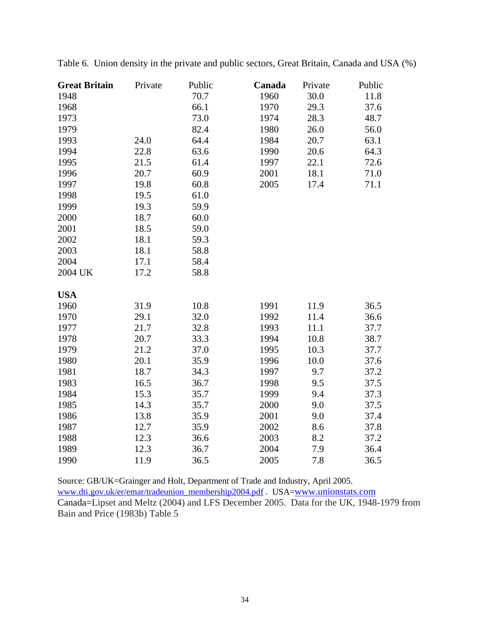| <b>Great Britain</b> | Private | Public | Canada | Private | Public |
|----------------------|---------|--------|--------|---------|--------|
| 1948                 |         | 70.7   | 1960   | 30.0    | 11.8   |
| 1968                 |         | 66.1   | 1970   | 29.3    | 37.6   |
| 1973                 |         | 73.0   | 1974   | 28.3    | 48.7   |
| 1979                 |         | 82.4   | 1980   | 26.0    | 56.0   |
| 1993                 | 24.0    | 64.4   | 1984   | 20.7    | 63.1   |
| 1994                 | 22.8    | 63.6   | 1990   | 20.6    | 64.3   |
| 1995                 | 21.5    | 61.4   | 1997   | 22.1    | 72.6   |
| 1996                 | 20.7    | 60.9   | 2001   | 18.1    | 71.0   |
| 1997                 | 19.8    | 60.8   | 2005   | 17.4    | 71.1   |
| 1998                 | 19.5    | 61.0   |        |         |        |
| 1999                 | 19.3    | 59.9   |        |         |        |
| 2000                 | 18.7    | 60.0   |        |         |        |
| 2001                 | 18.5    | 59.0   |        |         |        |
| 2002                 | 18.1    | 59.3   |        |         |        |
| 2003                 | 18.1    | 58.8   |        |         |        |
| 2004                 | 17.1    | 58.4   |        |         |        |
| 2004 UK              | 17.2    | 58.8   |        |         |        |
|                      |         |        |        |         |        |
| <b>USA</b>           |         |        |        |         |        |
| 1960                 | 31.9    | 10.8   | 1991   | 11.9    | 36.5   |
| 1970                 | 29.1    | 32.0   | 1992   | 11.4    | 36.6   |
| 1977                 | 21.7    | 32.8   | 1993   | 11.1    | 37.7   |
| 1978                 | 20.7    | 33.3   | 1994   | 10.8    | 38.7   |
| 1979                 | 21.2    | 37.0   | 1995   | 10.3    | 37.7   |
| 1980                 | 20.1    | 35.9   | 1996   | 10.0    | 37.6   |
| 1981                 | 18.7    | 34.3   | 1997   | 9.7     | 37.2   |
| 1983                 | 16.5    | 36.7   | 1998   | 9.5     | 37.5   |
| 1984                 | 15.3    | 35.7   | 1999   | 9.4     | 37.3   |
| 1985                 | 14.3    | 35.7   | 2000   | 9.0     | 37.5   |
| 1986                 | 13.8    | 35.9   | 2001   | 9.0     | 37.4   |
| 1987                 | 12.7    | 35.9   | 2002   | 8.6     | 37.8   |
| 1988                 | 12.3    | 36.6   | 2003   | 8.2     | 37.2   |
| 1989                 | 12.3    | 36.7   | 2004   | 7.9     | 36.4   |
| 1990                 | 11.9    | 36.5   | 2005   | 7.8     | 36.5   |

Table 6. Union density in the private and public sectors, Great Britain, Canada and USA (%)

Source: GB/UK=Grainger and Holt, Department of Trade and Industry, April 2005. www.dti.gov.uk/er/emar/tradeunion\_membership2004.pdf . USA=www.unionstats.com Canada=Lipset and Meltz (2004) and LFS December 2005. Data for the UK, 1948-1979 from Bain and Price (1983b) Table 5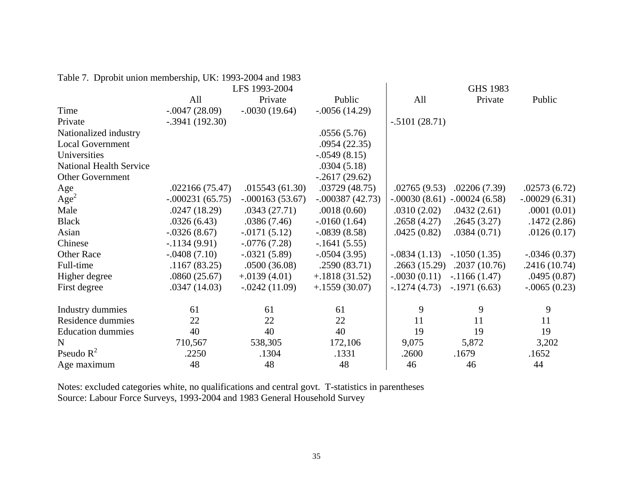|                                | LFS 1993-2004     |                   |                   | <b>GHS 1983</b> |                 |                 |  |
|--------------------------------|-------------------|-------------------|-------------------|-----------------|-----------------|-----------------|--|
|                                | All               | Private           | Public            | All             | Private         | Public          |  |
| Time                           | $-.0047(28.09)$   | $-.0030(19.64)$   | $-.0056(14.29)$   |                 |                 |                 |  |
| Private                        | $-.3941(192.30)$  |                   |                   | $-.5101(28.71)$ |                 |                 |  |
| Nationalized industry          |                   |                   | .0556(5.76)       |                 |                 |                 |  |
| <b>Local Government</b>        |                   |                   | .0954(22.35)      |                 |                 |                 |  |
| Universities                   |                   |                   | $-.0549(8.15)$    |                 |                 |                 |  |
| <b>National Health Service</b> |                   |                   | .0304(5.18)       |                 |                 |                 |  |
| <b>Other Government</b>        |                   |                   | $-.2617(29.62)$   |                 |                 |                 |  |
| Age                            | .022166(75.47)    | .015543(61.30)    | .03729(48.75)     | .02765(9.53)    | .02206(7.39)    | .02573(6.72)    |  |
| Age <sup>2</sup>               | $-.000231(65.75)$ | $-.000163(53.67)$ | $-.000387(42.73)$ | $-.00030(8.61)$ | $-.00024(6.58)$ | $-.00029(6.31)$ |  |
| Male                           | .0247(18.29)      | .0343(27.71)      | .0018(0.60)       | .0310(2.02)     | .0432(2.61)     | .0001(0.01)     |  |
| <b>Black</b>                   | .0326(6.43)       | .0386(7.46)       | $-0.0160(1.64)$   | .2658(4.27)     | .2645(3.27)     | .1472(2.86)     |  |
| Asian                          | $-.0326(8.67)$    | $-0.0171(5.12)$   | $-.0839(8.58)$    | .0425(0.82)     | .0384(0.71)     | .0126(0.17)     |  |
| Chinese                        | $-1134(9.91)$     | $-0.0776(7.28)$   | $-.1641(5.55)$    |                 |                 |                 |  |
| <b>Other Race</b>              | $-.0408(7.10)$    | $-.0321(5.89)$    | $-.0504(3.95)$    | $-.0834(1.13)$  | $-.1050(1.35)$  | $-.0346(0.37)$  |  |
| Full-time                      | .1167(83.25)      | .0500(36.08)      | .2590(83.71)      | .2663(15.29)    | .2037(10.76)    | .2416(10.74)    |  |
| Higher degree                  | .0860(25.67)      | $+.0139(4.01)$    | $+.1818(31.52)$   | $-.0030(0.11)$  | $-1166(1.47)$   | .0495(0.87)     |  |
| First degree                   | .0347(14.03)      | $-.0242(11.09)$   | $+.1559(30.07)$   | $-.1274(4.73)$  | $-.1971(6.63)$  | $-.0065(0.23)$  |  |
| Industry dummies               | 61                | 61                | 61                | 9               | 9               | 9               |  |
| Residence dummies              | 22                | 22                | 22                | 11              | 11              | 11              |  |
| <b>Education dummies</b>       | 40                | 40                | 40                | 19              | 19              | 19              |  |
| N                              | 710,567           | 538,305           | 172,106           | 9,075           | 5,872           | 3,202           |  |
| Pseudo $R^2$                   | .2250             | .1304             | .1331             | .2600           | .1679           | .1652           |  |
| Age maximum                    | 48                | 48                | 48                | 46              | 46              | 44              |  |

Table 7. Dprobit union membership, UK: 1993-2004 and 1983

Notes: excluded categories white, no qualifications and central govt. T-statistics in parentheses Source: Labour Force Surveys, 1993-2004 and 1983 General Household Survey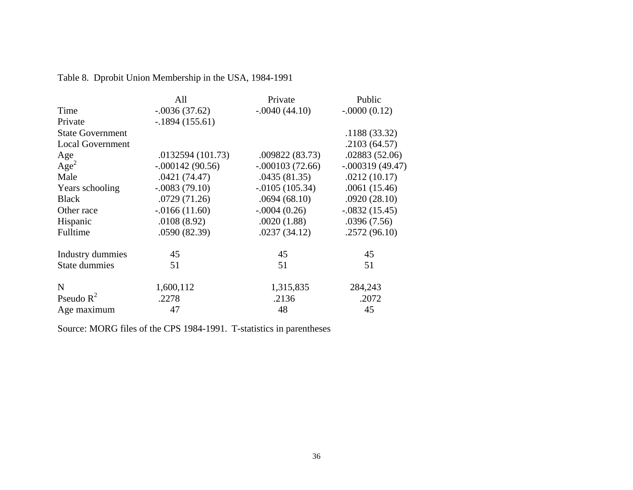Table 8. Dprobit Union Membership in the USA, 1984-1991

|                         | All               | Private           | Public            |
|-------------------------|-------------------|-------------------|-------------------|
| Time                    | $-.0036(37.62)$   | $-.0040(44.10)$   | $-.0000(0.12)$    |
| Private                 | $-1894(155.61)$   |                   |                   |
| <b>State Government</b> |                   |                   | .1188(33.32)      |
| <b>Local Government</b> |                   |                   | .2103(64.57)      |
| Age                     | .0132594(101.73)  | .009822 (83.73)   | .02883(52.06)     |
| Age <sup>2</sup>        | $-.000142(90.56)$ | $-.000103(72.66)$ | $-.000319(49.47)$ |
| Male                    | .0421(74.47)      | .0435(81.35)      | .0212(10.17)      |
| Years schooling         | $-.0083(79.10)$   | $-0.0105(105.34)$ | .0061(15.46)      |
| <b>Black</b>            | .0729(71.26)      | .0694(68.10)      | .0920(28.10)      |
| Other race              | $-0.0166(11.60)$  | $-.0004(0.26)$    | $-.0832(15.45)$   |
| Hispanic                | .0108(8.92)       | .0020(1.88)       | .0396(7.56)       |
| Fulltime                | .0590(82.39)      | .0237(34.12)      | .2572(96.10)      |
| Industry dummies        | 45                | 45                | 45                |
| <b>State dummies</b>    | 51                | 51                | 51                |
| $\mathbf N$             | 1,600,112         | 1,315,835         | 284,243           |
| Pseudo $R^2$            | .2278             | .2136             | .2072             |
| Age maximum             | 47                | 48                | 45                |

Source: MORG files of the CPS 1984-1991. T-statistics in parentheses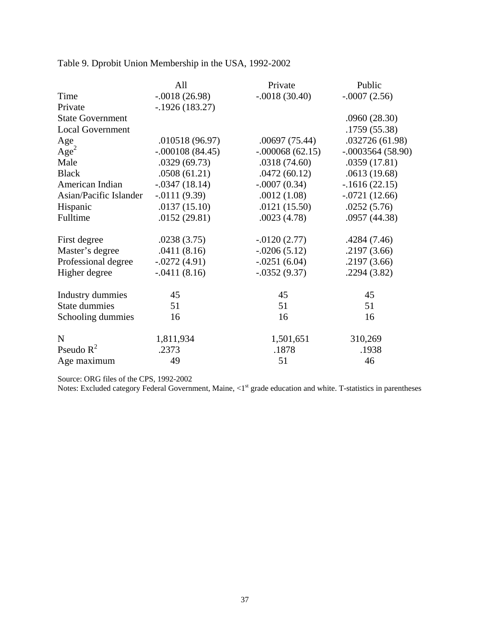## Table 9. Dprobit Union Membership in the USA, 1992-2002

|                         | All               | Private           | Public             |
|-------------------------|-------------------|-------------------|--------------------|
| Time                    | $-.0018(26.98)$   | $-.0018(30.40)$   | $-.0007(2.56)$     |
| Private                 | $-1926(183.27)$   |                   |                    |
| <b>State Government</b> |                   |                   | .0960(28.30)       |
| <b>Local Government</b> |                   |                   | .1759(55.38)       |
| Age                     | .010518 (96.97)   | .00697(75.44)     | .032726(61.98)     |
| Age <sup>2</sup>        | $-.000108(84.45)$ | $-.000068(62.15)$ | $-.0003564(58.90)$ |
| Male                    | .0329(69.73)      | .0318(74.60)      | .0359(17.81)       |
| <b>Black</b>            | .0508(61.21)      | .0472(60.12)      | .0613(19.68)       |
| American Indian         | $-.0347(18.14)$   | $-.0007(0.34)$    | $-1616(22.15)$     |
| Asian/Pacific Islander  | $-0111(9.39)$     | .0012(1.08)       | $-.0721(12.66)$    |
| Hispanic                | .0137(15.10)      | .0121(15.50)      | .0252(5.76)        |
| Fulltime                | .0152(29.81)      | .0023(4.78)       | .0957 (44.38)      |
| First degree            | .0238(3.75)       | $-0.0120(2.77)$   | .4284(7.46)        |
| Master's degree         | .0411(8.16)       | $-.0206(5.12)$    | .2197(3.66)        |
| Professional degree     | $-.0272(4.91)$    | $-.0251(6.04)$    | .2197(3.66)        |
| Higher degree           | $-.0411(8.16)$    | $-.0352(9.37)$    | .2294(3.82)        |
| <b>Industry dummies</b> | 45                | 45                | 45                 |
| <b>State dummies</b>    | 51                | 51                | 51                 |
| Schooling dummies       | 16                | 16                | 16                 |
| $\mathbf N$             | 1,811,934         | 1,501,651         | 310,269            |
| Pseudo $R^2$            | .2373             | .1878             | .1938              |
| Age maximum             | 49                | 51                | 46                 |

Source: ORG files of the CPS, 1992-2002

Notes: Excluded category Federal Government, Maine, <1<sup>st</sup> grade education and white. T-statistics in parentheses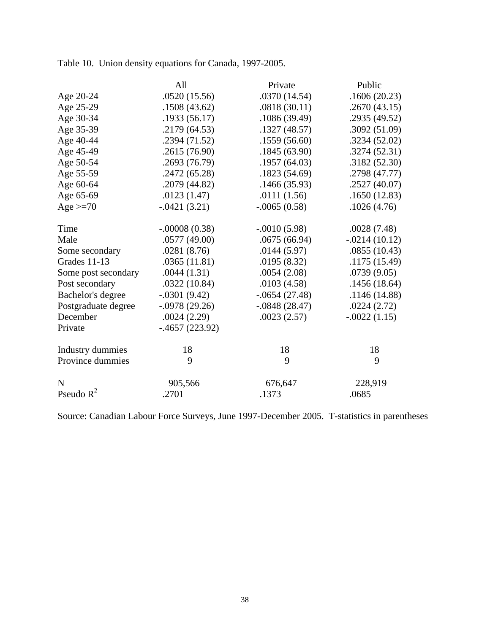|  | Table 10. Union density equations for Canada, 1997-2005. |  |  |  |
|--|----------------------------------------------------------|--|--|--|
|--|----------------------------------------------------------|--|--|--|

|                     | All              | Private         | Public          |
|---------------------|------------------|-----------------|-----------------|
| Age 20-24           | .0520(15.56)     | .0370(14.54)    | .1606(20.23)    |
| Age 25-29           | .1508(43.62)     | .0818(30.11)    | .2670(43.15)    |
| Age 30-34           | .1933(56.17)     | .1086(39.49)    | .2935(49.52)    |
| Age 35-39           | .2179(64.53)     | .1327(48.57)    | .3092(51.09)    |
| Age 40-44           | .2394(71.52)     | .1559(56.60)    | .3234(52.02)    |
| Age 45-49           | .2615(76.90)     | .1845(63.90)    | .3274(52.31)    |
| Age 50-54           | .2693 (76.79)    | .1957(64.03)    | .3182(52.30)    |
| Age 55-59           | .2472(65.28)     | .1823(54.69)    | .2798 (47.77)   |
| Age 60-64           | .2079(44.82)     | .1466(35.93)    | .2527(40.07)    |
| Age 65-69           | .0123(1.47)      | .0111(1.56)     | .1650(12.83)    |
| Age $>=70$          | $-.0421(3.21)$   | $-.0065(0.58)$  | .1026(4.76)     |
| Time                | $-.00008(0.38)$  | $-.0010(5.98)$  | .0028(7.48)     |
| Male                | .0577(49.00)     | .0675(66.94)    | $-.0214(10.12)$ |
| Some secondary      | .0281(8.76)      | .0144(5.97)     | .0855(10.43)    |
| Grades 11-13        | .0365(11.81)     | .0195(8.32)     | .1175(15.49)    |
| Some post secondary | .0044(1.31)      | .0054(2.08)     | .0739(9.05)     |
| Post secondary      | .0322(10.84)     | .0103(4.58)     | .1456(18.64)    |
| Bachelor's degree   | $-.0301(9.42)$   | $-.0654(27.48)$ | .1146(14.88)    |
| Postgraduate degree | $-.0978(29.26)$  | $-.0848(28.47)$ | .0224(2.72)     |
| December            | .0024(2.29)      | .0023(2.57)     | $-.0022(1.15)$  |
| Private             | $-.4657(223.92)$ |                 |                 |
| Industry dummies    | 18               | 18              | 18              |
| Province dummies    | 9                | 9               | 9               |
| $\mathbf N$         | 905,566          | 676,647         | 228,919         |
| Pseudo $R^2$        | .2701            | .1373           | .0685           |

Source: Canadian Labour Force Surveys, June 1997-December 2005. T-statistics in parentheses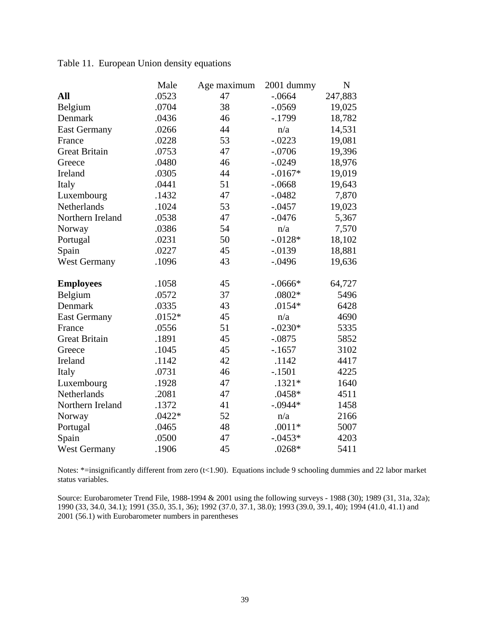|                      | Male     | Age maximum | 2001 dummy | ${\bf N}$ |
|----------------------|----------|-------------|------------|-----------|
| <b>All</b>           | .0523    | 47          | $-.0664$   | 247,883   |
| Belgium              | .0704    | 38          | $-.0569$   | 19,025    |
| Denmark              | .0436    | 46          | $-1799$    | 18,782    |
| <b>East Germany</b>  | .0266    | 44          | n/a        | 14,531    |
| France               | .0228    | 53          | $-.0223$   | 19,081    |
| <b>Great Britain</b> | .0753    | 47          | $-.0706$   | 19,396    |
| Greece               | .0480    | 46          | $-.0249$   | 18,976    |
| Ireland              | .0305    | 44          | $-0.0167*$ | 19,019    |
| Italy                | .0441    | 51          | $-.0668$   | 19,643    |
| Luxembourg           | .1432    | 47          | $-.0482$   | 7,870     |
| Netherlands          | .1024    | 53          | $-.0457$   | 19,023    |
| Northern Ireland     | .0538    | 47          | $-.0476$   | 5,367     |
| Norway               | .0386    | 54          | n/a        | 7,570     |
| Portugal             | .0231    | 50          | $-0.0128*$ | 18,102    |
| Spain                | .0227    | 45          | $-.0139$   | 18,881    |
| <b>West Germany</b>  | .1096    | 43          | $-.0496$   | 19,636    |
| <b>Employees</b>     | .1058    | 45          | $-.0666*$  | 64,727    |
| Belgium              | .0572    | 37          | .0802*     | 5496      |
| Denmark              | .0335    | 43          | $.0154*$   | 6428      |
| <b>East Germany</b>  | $.0152*$ | 45          | n/a        | 4690      |
| France               | .0556    | 51          | $-.0230*$  | 5335      |
| <b>Great Britain</b> | .1891    | 45          | $-.0875$   | 5852      |
| Greece               | .1045    | 45          | $-1657$    | 3102      |
| Ireland              | .1142    | 42          | .1142      | 4417      |
| Italy                | .0731    | 46          | $-.1501$   | 4225      |
| Luxembourg           | .1928    | 47          | $.1321*$   | 1640      |
| Netherlands          | .2081    | 47          | .0458*     | 4511      |
| Northern Ireland     | .1372    | 41          | $-.0944*$  | 1458      |
| Norway               | $.0422*$ | 52          | n/a        | 2166      |
| Portugal             | .0465    | 48          | $.0011*$   | 5007      |
| Spain                | .0500    | 47          | $-.0453*$  | 4203      |
| <b>West Germany</b>  | .1906    | 45          | .0268*     | 5411      |

Table 11. European Union density equations

Notes: \*=insignificantly different from zero (t<1.90). Equations include 9 schooling dummies and 22 labor market status variables.

Source: Eurobarometer Trend File, 1988-1994 & 2001 using the following surveys - 1988 (30); 1989 (31, 31a, 32a); 1990 (33, 34.0, 34.1); 1991 (35.0, 35.1, 36); 1992 (37.0, 37.1, 38.0); 1993 (39.0, 39.1, 40); 1994 (41.0, 41.1) and 2001 (56.1) with Eurobarometer numbers in parentheses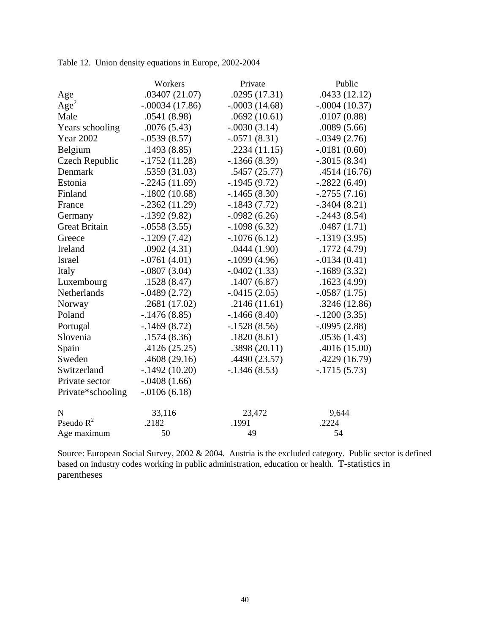|                      | Workers          | Private         | Public          |
|----------------------|------------------|-----------------|-----------------|
| Age                  | .03407(21.07)    | .0295(17.31)    | .0433(12.12)    |
| Age <sup>2</sup>     | $-.00034(17.86)$ | $-.0003(14.68)$ | $-.0004(10.37)$ |
| Male                 | .0541(8.98)      | .0692(10.61)    | .0107(0.88)     |
| Years schooling      | .0076(5.43)      | $-.0030(3.14)$  | .0089(5.66)     |
| <b>Year 2002</b>     | $-.0539(8.57)$   | $-.0571(8.31)$  | $-0.0349(2.76)$ |
| Belgium              | .1493(8.85)      | .2234(11.15)    | $-.0181(0.60)$  |
| Czech Republic       | $-.1752(11.28)$  | $-1366(8.39)$   | $-.3015(8.34)$  |
| Denmark              | .5359(31.03)     | .5457(25.77)    | .4514 (16.76)   |
| Estonia              | $-.2245(11.69)$  | $-1945(9.72)$   | $-.2822(6.49)$  |
| Finland              | $-1802(10.68)$   | $-.1465(8.30)$  | $-0.2755(7.16)$ |
| France               | $-0.2362(11.29)$ | $-1843(7.72)$   | $-.3404(8.21)$  |
| Germany              | $-1392(9.82)$    | $-.0982(6.26)$  | $-.2443(8.54)$  |
| <b>Great Britain</b> | $-.0558(3.55)$   | $-.1098(6.32)$  | .0487(1.71)     |
| Greece               | $-.1209(7.42)$   | $-.1076(6.12)$  | $-1319(3.95)$   |
| Ireland              | .0902(4.31)      | .0444(1.90)     | .1772(4.79)     |
| Israel               | $-.0761(4.01)$   | $-1099(4.96)$   | $-0.0134(0.41)$ |
| Italy                | $-.0807(3.04)$   | $-.0402(1.33)$  | $-1689(3.32)$   |
| Luxembourg           | .1528(8.47)      | .1407(6.87)     | .1623(4.99)     |
| Netherlands          | $-.0489(2.72)$   | $-.0415(2.05)$  | $-.0587(1.75)$  |
| Norway               | .2681(17.02)     | .2146(11.61)    | .3246(12.86)    |
| Poland               | $-1476(8.85)$    | $-.1466(8.40)$  | $-.1200(3.35)$  |
| Portugal             | $-.1469(8.72)$   | $-.1528(8.56)$  | $-.0995(2.88)$  |
| Slovenia             | .1574(8.36)      | .1820(8.61)     | .0536(1.43)     |
| Spain                | .4126(25.25)     | .3898(20.11)    | .4016(15.00)    |
| Sweden               | .4608(29.16)     | .4490 (23.57)   | .4229 (16.79)   |
| Switzerland          | $-.1492(10.20)$  | $-1346(8.53)$   | $-.1715(5.73)$  |
| Private sector       | $-.0408(1.66)$   |                 |                 |
| Private*schooling    | $-0.0106(6.18)$  |                 |                 |
| N                    | 33,116           | 23,472          | 9,644           |
| Pseudo $R^2$         | .2182            | .1991           | .2224           |
| Age maximum          | 50               | 49              | 54              |

Table 12. Union density equations in Europe, 2002-2004

Source: European Social Survey, 2002 & 2004. Austria is the excluded category. Public sector is defined based on industry codes working in public administration, education or health. T-statistics in parentheses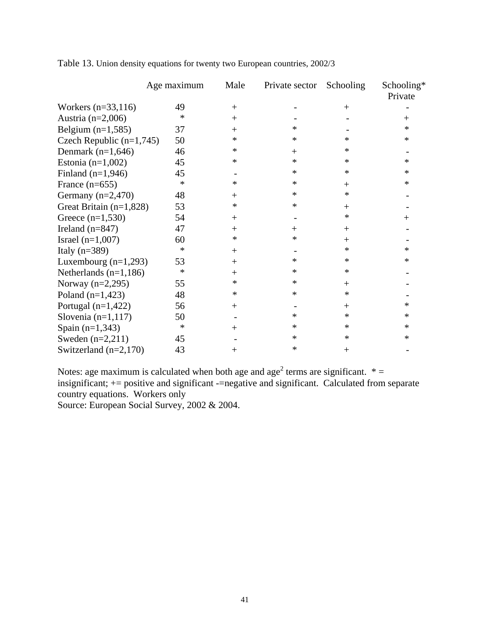|                            | Age maximum | Male   | Private sector | Schooling | Schooling*<br>Private |
|----------------------------|-------------|--------|----------------|-----------|-----------------------|
| Workers $(n=33,116)$       | 49          | $+$    |                | $+$       |                       |
| Austria $(n=2,006)$        | $\ast$      | $^{+}$ |                |           | $^{+}$                |
| Belgium $(n=1,585)$        | 37          | $^{+}$ | *              |           | $\ast$                |
| Czech Republic $(n=1,745)$ | 50          | $\ast$ | $\ast$         | *         | $\ast$                |
| Denmark $(n=1,646)$        | 46          | $\ast$ | $+$            | $\ast$    |                       |
| Estonia $(n=1,002)$        | 45          | $\ast$ | $\ast$         | $\ast$    | $\ast$                |
| Finland $(n=1,946)$        | 45          |        | *              | *         | $\ast$                |
| France $(n=655)$           | $\ast$      | $\ast$ | *              | $+$       | $\ast$                |
| Germany $(n=2,470)$        | 48          | $^{+}$ | *              | $\ast$    |                       |
| Great Britain $(n=1,828)$  | 53          | $\ast$ | *              | $+$       |                       |
| Greece $(n=1,530)$         | 54          | $^{+}$ |                | $\ast$    | $^{+}$                |
| Ireland $(n=847)$          | 47          | $^{+}$ | $^{+}$         | $^{+}$    |                       |
| Israel $(n=1,007)$         | 60          | $\ast$ | *              | $^{+}$    |                       |
| Italy $(n=389)$            | $\ast$      | $^{+}$ |                | $\ast$    | $\ast$                |
| Luxembourg $(n=1,293)$     | 53          | $^{+}$ | $\ast$         | $\ast$    | $\ast$                |
| Netherlands $(n=1,186)$    | $\ast$      | $^{+}$ | $\ast$         | $\ast$    |                       |
| Norway $(n=2,295)$         | 55          | $\ast$ | *              | $^{+}$    |                       |
| Poland $(n=1,423)$         | 48          | $\ast$ | $\ast$         | $\ast$    |                       |
| Portugal $(n=1,422)$       | 56          | $^{+}$ |                | $^{+}$    | $\ast$                |
| Slovenia $(n=1,117)$       | 50          |        | $\ast$         | $\ast$    | $\ast$                |
| Spain $(n=1, 343)$         | $\ast$      | $^{+}$ | $\ast$         | $\ast$    | $\ast$                |
| Sweden $(n=2,211)$         | 45          |        | $\ast$         | $\ast$    | $\ast$                |
| Switzerland $(n=2,170)$    | 43          | $^{+}$ | $\ast$         | $^{+}$    |                       |

#### Table 13. Union density equations for twenty two European countries, 2002/3

Notes: age maximum is calculated when both age and age<sup>2</sup> terms are significant.  $* =$ insignificant; += positive and significant -=negative and significant. Calculated from separate country equations. Workers only

Source: European Social Survey, 2002 & 2004.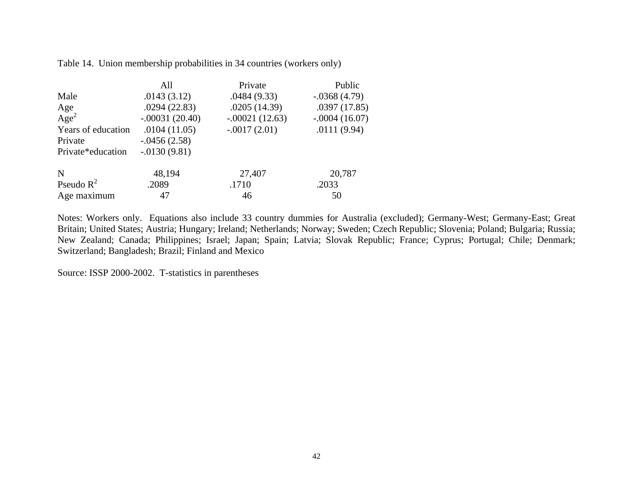Table 14. Union membership probabilities in 34 countries (workers only)

|                    | All              | Private          | Public          |
|--------------------|------------------|------------------|-----------------|
| Male               | .0143(3.12)      | .0484(9.33)      | $-.0368(4.79)$  |
|                    | .0294(22.83)     | .0205(14.39)     | .0397(17.85)    |
| Age <sup>2</sup>   | $-.00031(20.40)$ | $-.00021(12.63)$ | $-.0004(16.07)$ |
| Years of education | .0104(11.05)     | $-.0017(2.01)$   | .0111(9.94)     |
| Private            | $-.0456(2.58)$   |                  |                 |
| Private*education  | $-.0130(9.81)$   |                  |                 |
| N                  | 48,194           | 27,407           | 20,787          |
| Pseudo $R^2$       | .2089            | .1710            | .2033           |
| Age maximum        | 47               | 46               | 50              |

Notes: Workers only. Equations also include 33 country dummies for Australia (excluded); Germany-West; Germany-East; Great Britain; United States; Austria; Hungary; Ireland; Netherlands; Norway; Sweden; Czech Republic; Slovenia; Poland; Bulgaria; Russia; New Zealand; Canada; Philippines; Israel; Japan; Spain; Latvia; Slovak Republic; France; Cyprus; Portugal; Chile; Denmark; Switzerland; Bangladesh; Brazil; Finland and Mexico

Source: ISSP 2000-2002. T-statistics in parentheses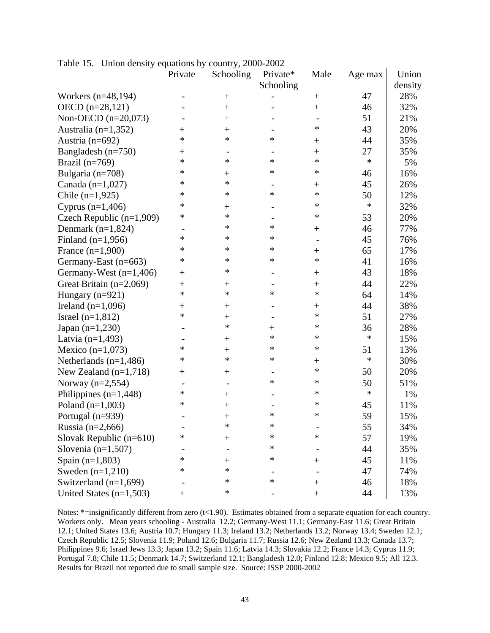|                            | Private      | Schooling | Private*  | Male                     | Age max | Union   |
|----------------------------|--------------|-----------|-----------|--------------------------|---------|---------|
|                            |              |           | Schooling |                          |         | density |
| Workers $(n=48,194)$       |              | $^{+}$    |           | $^{+}$                   | 47      | 28%     |
| OECD (n=28,121)            |              | $\! +$    |           | $^{+}$                   | 46      | 32%     |
| Non-OECD $(n=20,073)$      |              |           |           |                          | 51      | 21%     |
| Australia $(n=1,352)$      | $\mathrm{+}$ | $^{+}$    |           | $\ast$                   | 43      | 20%     |
| Austria (n=692)            | $\ast$       | $\ast$    | *         | $^{+}$                   | 44      | 35%     |
| Bangladesh $(n=750)$       | $\! +$       |           |           | $^{+}$                   | 27      | 35%     |
| Brazil $(n=769)$           | $\ast$       | $\ast$    | *         | $\ast$                   | $\ast$  | 5%      |
| Bulgaria (n=708)           | $\ast$       | $^{+}$    | $\ast$    | $\ast$                   | 46      | 16%     |
| Canada $(n=1,027)$         | ∗            | $\ast$    |           | $^{+}$                   | 45      | 26%     |
| Chile $(n=1,925)$          | $\ast$       | ∗         | $\ast$    | $\ast$                   | 50      | 12%     |
| Cyprus $(n=1,406)$         | $\ast$       | $^{+}$    | -         | $\ast$                   | $\ast$  | 32%     |
| Czech Republic $(n=1,909)$ | $\ast$       | ∗         |           | $\ast$                   | 53      | 20%     |
| Denmark $(n=1,824)$        |              | $\ast$    | *         |                          | 46      | 77%     |
| Finland $(n=1,956)$        | $\ast$       | $\ast$    | *         | $\overline{\phantom{a}}$ | 45      | 76%     |
| France $(n=1,900)$         | $\ast$       | $\ast$    | *         |                          | 65      | 17%     |
| Germany-East (n=663)       | $\ast$       | $\ast$    | *         | $\ast$                   | 41      | 16%     |
| Germany-West $(n=1,406)$   | $^{+}$       | ∗         |           | $^{+}$                   | 43      | 18%     |
| Great Britain $(n=2,069)$  | $^{+}$       | $^{+}$    |           | $\! + \!$                | 44      | 22%     |
| Hungary $(n=921)$          | $\ast$       | $\ast$    | *         | $\ast$                   | 64      | 14%     |
| Ireland $(n=1,096)$        | $^{+}$       | $^{+}$    |           | $^{+}$                   | 44      | 38%     |
| Israel $(n=1,812)$         | $\ast$       | $^{+}$    |           | $\ast$                   | 51      | 27%     |
| Japan $(n=1,230)$          |              | ∗         | $^{+}$    | $\ast$                   | 36      | 28%     |
| Latvia $(n=1,493)$         |              | $^{+}$    | ∗         | $\ast$                   | $\ast$  | 15%     |
| Mexico $(n=1,073)$         | $\ast$       | $^{+}$    | $\ast$    | $\ast$                   | 51      | 13%     |
| Netherlands $(n=1,486)$    | $\ast$       | $\ast$    | *         | $^{+}$                   | $\ast$  | 30%     |
| New Zealand $(n=1,718)$    | $^{+}$       | $^{+}$    |           | $\ast$                   | 50      | 20%     |
| Norway $(n=2,554)$         |              |           | *         | $\ast$                   | 50      | 51%     |
| Philippines $(n=1,448)$    | *            | $^{+}$    |           | $\ast$                   | $\ast$  | 1%      |
| Poland $(n=1,003)$         | $\ast$       | $^{+}$    |           | $\ast$                   | 45      | 11%     |
| Portugal (n=939)           |              | $^{+}$    | $\ast$    | $\ast$                   | 59      | 15%     |
| Russia $(n=2,666)$         |              | $\ast$    | *         |                          | 55      | 34%     |
| Slovak Republic $(n=610)$  | ∗            | $^{+}$    | $\ast$    | $\ast$                   | 57      | 19%     |
| Slovenia $(n=1,507)$       |              |           | ∗         |                          | 44      | 35%     |
| Spain $(n=1,803)$          | ∗            | $^+$      | ∗         | $^+$                     | 45      | 11%     |
| Sweden $(n=1,210)$         | ∗            | ∗         |           |                          | 47      | 74%     |
| Switzerland $(n=1,699)$    |              | ∗         | *         | $^{+}$                   | 46      | 18%     |
| United States $(n=1,503)$  | $^{+}$       | *         |           | $^{+}$                   | 44      | 13%     |

Table 15. Union density equations by country, 2000-2002

Notes:  $*$ =insignificantly different from zero ( $t$ <1.90). Estimates obtained from a separate equation for each country. Workers only. Mean years schooling - Australia 12.2; Germany-West 11.1; Germany-East 11.6; Great Britain 12.1; United States 13.6; Austria 10.7; Hungary 11.3; Ireland 13.2; Netherlands 13.2; Norway 13.4; Sweden 12.1; Czech Republic 12.5; Slovenia 11.9; Poland 12.6; Bulgaria 11.7; Russia 12.6; New Zealand 13.3; Canada 13.7; Philippines 9.6; Israel Jews 13.3; Japan 13.2; Spain 11.6; Latvia 14.3; Slovakia 12.2; France 14.3; Cyprus 11.9; Portugal 7.8; Chile 11.5; Denmark 14.7; Switzerland 12.1; Bangladesh 12.0; Finland 12.8; Mexico 9.5; All 12.3. Results for Brazil not reported due to small sample size. Source: ISSP 2000-2002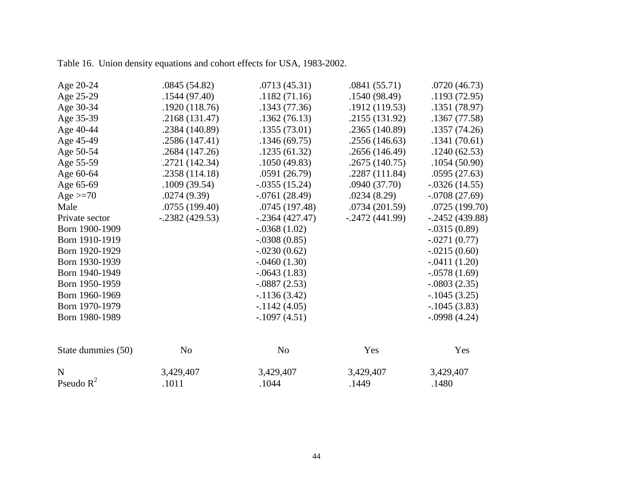Table 16. Union density equations and cohort effects for USA, 1983-2002.

| Age 20-24          | .0845(54.82)     | .0713(45.31)     | .0841(55.71)      | .0720(46.73)     |
|--------------------|------------------|------------------|-------------------|------------------|
| Age 25-29          | .1544(97.40)     | .1182(71.16)     | .1540(98.49)      | .1193(72.95)     |
| Age 30-34          | .1920(118.76)    | .1343(77.36)     | .1912 (119.53)    | .1351 (78.97)    |
| Age 35-39          | .2168 (131.47)   | .1362(76.13)     | .2155 (131.92)    | .1367(77.58)     |
| Age 40-44          | .2384 (140.89)   | .1355(73.01)     | .2365 (140.89)    | .1357(74.26)     |
| Age 45-49          | .2586(147.41)    | .1346(69.75)     | .2556(146.63)     | .1341(70.61)     |
| Age 50-54          | .2684 (147.26)   | .1235(61.32)     | .2656(146.49)     | .1240(62.53)     |
| Age 55-59          | .2721 (142.34)   | .1050(49.83)     | .2675(140.75)     | .1054(50.90)     |
| Age 60-64          | .2358(114.18)    | .0591(26.79)     | .2287(111.84)     | .0595(27.63)     |
| Age 65-69          | .1009(39.54)     | $-.0355(15.24)$  | .0940(37.70)      | $-.0326(14.55)$  |
| Age $>=70$         | .0274(9.39)      | $-.0761(28.49)$  | .0234(8.29)       | $-.0708(27.69)$  |
| Male               | .0755(199.40)    | .0745(197.48)    | .0734(201.59)     | .0725(199.70)    |
| Private sector     | $-.2382(429.53)$ | $-.2364(427.47)$ | $-0.2472(441.99)$ | $-.2452(439.88)$ |
| Born 1900-1909     |                  | $-.0368(1.02)$   |                   | $-.0315(0.89)$   |
| Born 1910-1919     |                  | $-.0308(0.85)$   |                   | $-.0271(0.77)$   |
| Born 1920-1929     |                  | $-.0230(0.62)$   |                   | $-.0215(0.60)$   |
| Born 1930-1939     |                  | $-.0460(1.30)$   |                   | $-.0411(1.20)$   |
| Born 1940-1949     |                  | $-.0643(1.83)$   |                   | $-.0578(1.69)$   |
| Born 1950-1959     |                  | $-.0887(2.53)$   |                   | $-.0803(2.35)$   |
| Born 1960-1969     |                  | $-1136(3.42)$    |                   | $-.1045(3.25)$   |
| Born 1970-1979     |                  | $-1142(4.05)$    |                   | $-.1045(3.83)$   |
| Born 1980-1989     |                  | $-.1097(4.51)$   |                   | $-.0998(4.24)$   |
| State dummies (50) | N <sub>o</sub>   | N <sub>o</sub>   | Yes               | Yes              |
| $\mathbf N$        | 3,429,407        | 3,429,407        | 3,429,407         | 3,429,407        |
| Pseudo $R^2$       | .1011            | .1044            | .1449             | .1480            |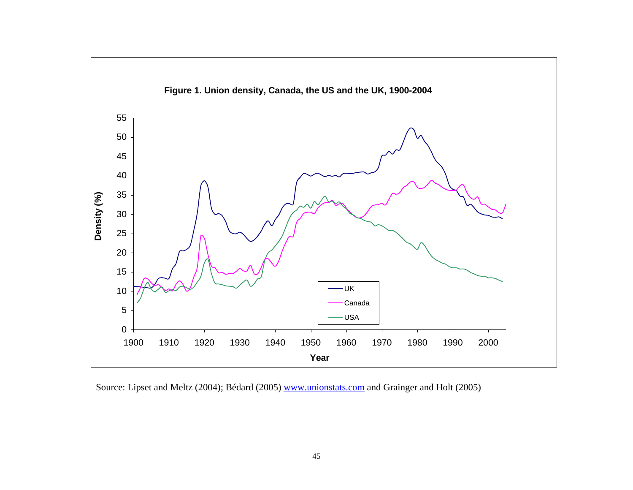

Source: Lipset and Meltz (2004); Bédard (2005) www.unionstats.com and Grainger and Holt (2005)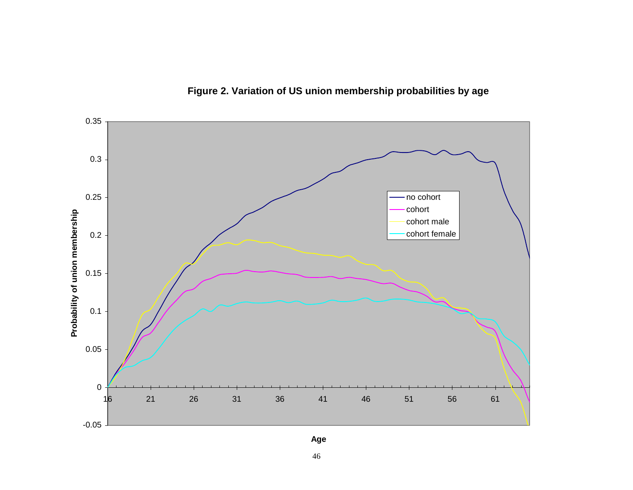



**Age**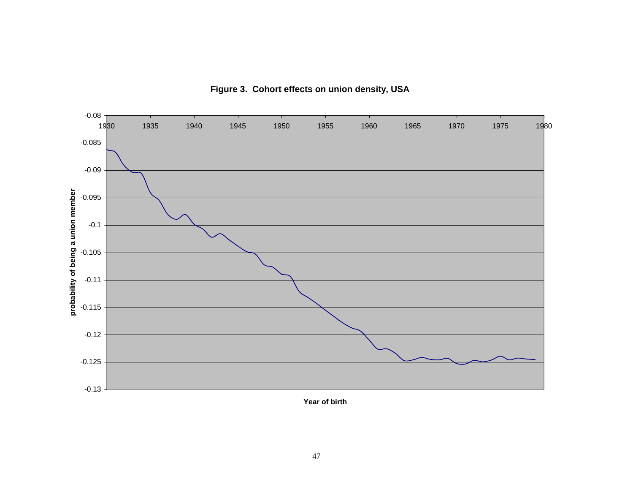

**Figure 3. Cohort effects on union density, USA**

**Year of birth**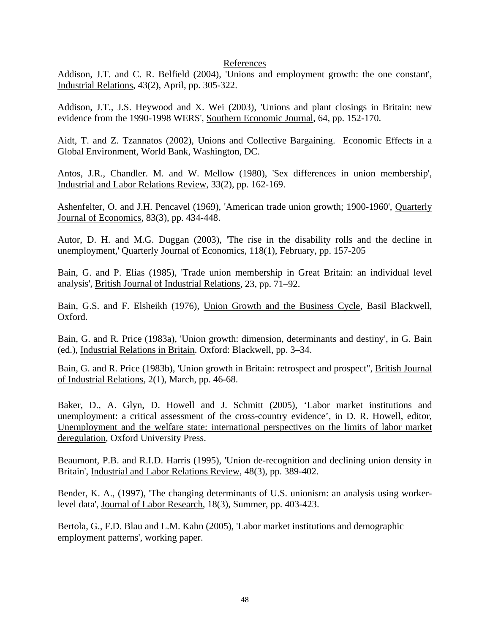#### References

Addison, J.T. and C. R. Belfield (2004), 'Unions and employment growth: the one constant', Industrial Relations, 43(2), April, pp. 305-322.

Addison, J.T., J.S. Heywood and X. Wei (2003), 'Unions and plant closings in Britain: new evidence from the 1990-1998 WERS', Southern Economic Journal, 64, pp. 152-170.

Aidt, T. and Z. Tzannatos (2002), Unions and Collective Bargaining. Economic Effects in a Global Environment, World Bank, Washington, DC.

Antos, J.R., Chandler. M. and W. Mellow (1980), 'Sex differences in union membership', Industrial and Labor Relations Review, 33(2), pp. 162-169.

Ashenfelter, O. and J.H. Pencavel (1969), 'American trade union growth; 1900-1960', Quarterly Journal of Economics, 83(3), pp. 434-448.

Autor, D. H. and M.G. Duggan (2003), 'The rise in the disability rolls and the decline in unemployment,' Quarterly Journal of Economics, 118(1), February, pp. 157-205

Bain, G. and P. Elias (1985), 'Trade union membership in Great Britain: an individual level analysis', British Journal of Industrial Relations, 23, pp. 71–92.

Bain, G.S. and F. Elsheikh (1976), Union Growth and the Business Cycle, Basil Blackwell, Oxford.

Bain, G. and R. Price (1983a), 'Union growth: dimension, determinants and destiny', in G. Bain (ed.), Industrial Relations in Britain. Oxford: Blackwell, pp. 3–34.

Bain, G. and R. Price (1983b), 'Union growth in Britain: retrospect and prospect", British Journal of Industrial Relations, 2(1), March, pp. 46-68.

Baker, D., A. Glyn, D. Howell and J. Schmitt (2005), 'Labor market institutions and unemployment: a critical assessment of the cross-country evidence', in D. R. Howell, editor, Unemployment and the welfare state: international perspectives on the limits of labor market deregulation, Oxford University Press.

Beaumont, P.B. and R.I.D. Harris (1995), 'Union de-recognition and declining union density in Britain', Industrial and Labor Relations Review, 48(3), pp. 389-402.

Bender, K. A., (1997), 'The changing determinants of U.S. unionism: an analysis using workerlevel data', Journal of Labor Research, 18(3), Summer, pp. 403-423.

Bertola, G., F.D. Blau and L.M. Kahn (2005), 'Labor market institutions and demographic employment patterns', working paper.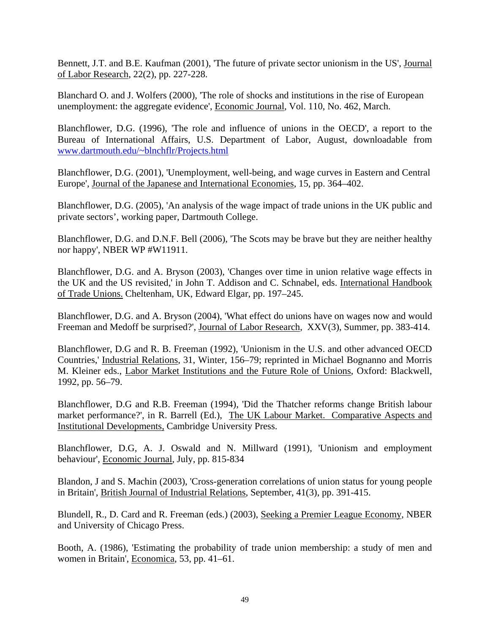Bennett, J.T. and B.E. Kaufman (2001), 'The future of private sector unionism in the US', Journal of Labor Research, 22(2), pp. 227-228.

Blanchard O. and J. Wolfers (2000), 'The role of shocks and institutions in the rise of European unemployment: the aggregate evidence', Economic Journal*,* Vol. 110, No. 462, March.

Blanchflower, D.G. (1996), 'The role and influence of unions in the OECD', a report to the Bureau of International Affairs, U.S. Department of Labor, August, downloadable from www.dartmouth.edu/~blnchflr/Projects.html

Blanchflower, D.G. (2001), 'Unemployment, well-being, and wage curves in Eastern and Central Europe', Journal of the Japanese and International Economies, 15, pp. 364–402.

Blanchflower, D.G. (2005), 'An analysis of the wage impact of trade unions in the UK public and private sectors', working paper, Dartmouth College.

Blanchflower, D.G. and D.N.F. Bell (2006), 'The Scots may be brave but they are neither healthy nor happy', NBER WP #W11911.

Blanchflower, D.G. and A. Bryson (2003), 'Changes over time in union relative wage effects in the UK and the US revisited,' in John T. Addison and C. Schnabel, eds. International Handbook of Trade Unions. Cheltenham, UK, Edward Elgar, pp. 197–245.

Blanchflower, D.G. and A. Bryson (2004), 'What effect do unions have on wages now and would Freeman and Medoff be surprised?', Journal of Labor Research, XXV(3), Summer, pp. 383-414.

Blanchflower, D.G and R. B. Freeman (1992), 'Unionism in the U.S. and other advanced OECD Countries,' Industrial Relations*,* 31, Winter, 156–79; reprinted in Michael Bognanno and Morris M. Kleiner eds., Labor Market Institutions and the Future Role of Unions, Oxford: Blackwell, 1992, pp. 56–79.

Blanchflower, D.G and R.B. Freeman (1994), 'Did the Thatcher reforms change British labour market performance?', in R. Barrell (Ed.), The UK Labour Market. Comparative Aspects and Institutional Developments, Cambridge University Press.

Blanchflower, D.G, A. J. Oswald and N. Millward (1991), 'Unionism and employment behaviour', Economic Journal, July, pp. 815-834

Blandon, J and S. Machin (2003), 'Cross-generation correlations of union status for young people in Britain', British Journal of Industrial Relations, September, 41(3), pp. 391-415.

Blundell, R., D. Card and R. Freeman (eds.) (2003), Seeking a Premier League Economy, NBER and University of Chicago Press.

Booth, A. (1986), 'Estimating the probability of trade union membership: a study of men and women in Britain', Economica, 53, pp. 41–61.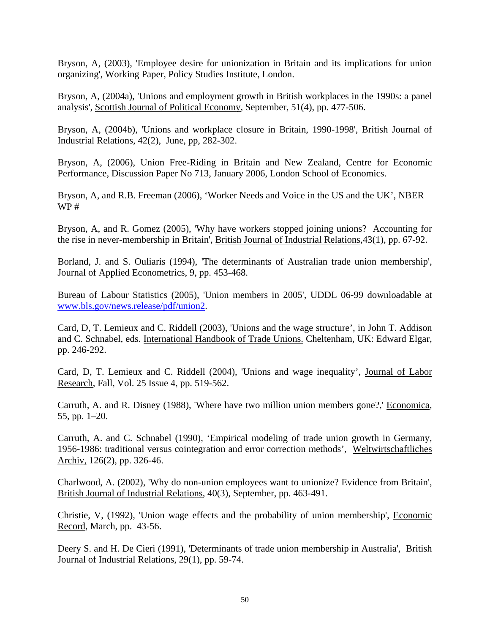Bryson, A, (2003), 'Employee desire for unionization in Britain and its implications for union organizing', Working Paper, Policy Studies Institute, London.

Bryson, A, (2004a), 'Unions and employment growth in British workplaces in the 1990s: a panel analysis', Scottish Journal of Political Economy, September, 51(4), pp. 477-506.

Bryson, A, (2004b), 'Unions and workplace closure in Britain, 1990-1998', British Journal of Industrial Relations, 42(2), June, pp, 282-302.

Bryson, A, (2006), Union Free-Riding in Britain and New Zealand, Centre for Economic Performance, Discussion Paper No 713, January 2006, London School of Economics.

Bryson, A, and R.B. Freeman (2006), 'Worker Needs and Voice in the US and the UK', NBER WP #

Bryson, A, and R. Gomez (2005), 'Why have workers stopped joining unions? Accounting for the rise in never-membership in Britain', British Journal of Industrial Relations,43(1), pp. 67-92.

Borland, J. and S. Ouliaris (1994), 'The determinants of Australian trade union membership', Journal of Applied Econometrics, 9, pp. 453-468.

Bureau of Labour Statistics (2005), 'Union members in 2005', UDDL 06-99 downloadable at www.bls.gov/news.release/pdf/union2.

Card, D, T. Lemieux and C. Riddell (2003), 'Unions and the wage structure', in John T. Addison and C. Schnabel, eds. International Handbook of Trade Unions. Cheltenham, UK: Edward Elgar, pp. 246-292.

Card, D, T. Lemieux and C. Riddell (2004), 'Unions and wage inequality', Journal of Labor Research, Fall, Vol. 25 Issue 4, pp. 519-562.

Carruth, A. and R. Disney (1988), 'Where have two million union members gone?,' Economica, 55, pp. 1–20.

Carruth, A. and C. Schnabel (1990), 'Empirical modeling of trade union growth in Germany, 1956-1986: traditional versus cointegration and error correction methods', Weltwirtschaftliches Archiv, 126(2), pp. 326-46.

Charlwood, A. (2002), 'Why do non-union employees want to unionize? Evidence from Britain', British Journal of Industrial Relations, 40(3), September, pp. 463-491.

Christie, V, (1992), 'Union wage effects and the probability of union membership', Economic Record, March, pp. 43-56.

Deery S. and H. De Cieri (1991), 'Determinants of trade union membership in Australia', British Journal of Industrial Relations, 29(1), pp. 59-74.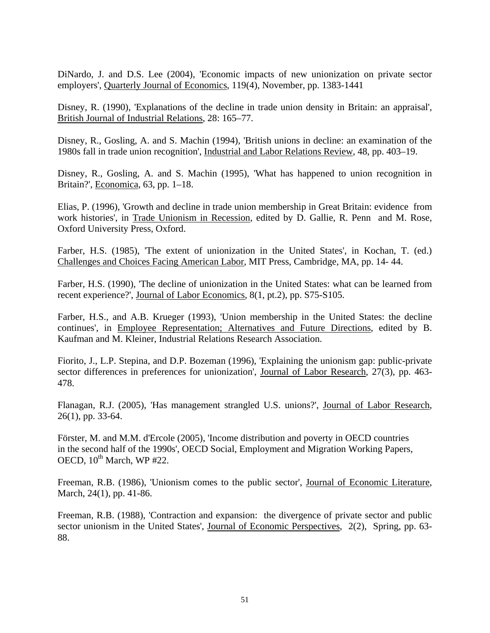DiNardo, J. and D.S. Lee (2004), 'Economic impacts of new unionization on private sector employers', Quarterly Journal of Economics, 119(4), November, pp. 1383-1441

Disney, R. (1990), 'Explanations of the decline in trade union density in Britain: an appraisal', British Journal of Industrial Relations, 28: 165–77.

Disney, R., Gosling, A. and S. Machin (1994), 'British unions in decline: an examination of the 1980s fall in trade union recognition', Industrial and Labor Relations Review, 48, pp. 403–19.

Disney, R., Gosling, A. and S. Machin (1995), 'What has happened to union recognition in Britain?', Economica, 63, pp. 1–18.

Elias, P. (1996), 'Growth and decline in trade union membership in Great Britain: evidence from work histories', in Trade Unionism in Recession, edited by D. Gallie, R. Penn and M. Rose, Oxford University Press, Oxford.

Farber, H.S. (1985), 'The extent of unionization in the United States', in Kochan, T. (ed.) Challenges and Choices Facing American Labor, MIT Press, Cambridge, MA, pp. 14- 44.

Farber, H.S. (1990), 'The decline of unionization in the United States: what can be learned from recent experience?', Journal of Labor Economics, 8(1, pt.2), pp. S75-S105.

Farber, H.S., and A.B. Krueger (1993), 'Union membership in the United States: the decline continues', in Employee Representation; Alternatives and Future Directions, edited by B. Kaufman and M. Kleiner, Industrial Relations Research Association.

Fiorito, J., L.P. Stepina, and D.P. Bozeman (1996), 'Explaining the unionism gap: public-private sector differences in preferences for unionization', Journal of Labor Research, 27(3), pp. 463- 478.

Flanagan, R.J. (2005), 'Has management strangled U.S. unions?', Journal of Labor Research, 26(1), pp. 33-64.

Förster, M. and M.M. d'Ercole (2005), 'Income distribution and poverty in OECD countries in the second half of the 1990s', OECD Social, Employment and Migration Working Papers, OECD,  $10^{th}$  March, WP #22.

Freeman, R.B. (1986), 'Unionism comes to the public sector', Journal of Economic Literature, March, 24(1), pp. 41-86.

Freeman, R.B. (1988), 'Contraction and expansion: the divergence of private sector and public sector unionism in the United States', Journal of Economic Perspectives, 2(2), Spring, pp. 63- 88.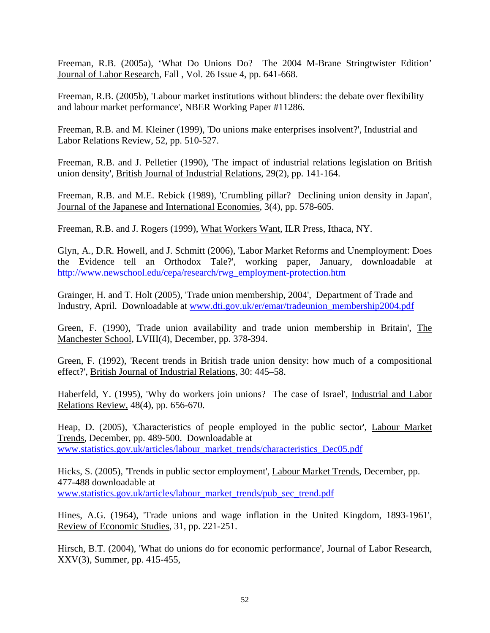Freeman, R.B. (2005a), 'What Do Unions Do? The 2004 M-Brane Stringtwister Edition' Journal of Labor Research, Fall , Vol. 26 Issue 4, pp. 641-668.

Freeman, R.B. (2005b), 'Labour market institutions without blinders: the debate over flexibility and labour market performance', NBER Working Paper #11286.

Freeman, R.B. and M. Kleiner (1999), 'Do unions make enterprises insolvent?', Industrial and Labor Relations Review, 52, pp. 510-527.

Freeman, R.B. and J. Pelletier (1990), 'The impact of industrial relations legislation on British union density', British Journal of Industrial Relations, 29(2), pp. 141-164.

Freeman, R.B. and M.E. Rebick (1989), 'Crumbling pillar? Declining union density in Japan', Journal of the Japanese and International Economies, 3(4), pp. 578-605.

Freeman, R.B. and J. Rogers (1999), What Workers Want, ILR Press, Ithaca, NY.

Glyn, A., D.R. Howell, and J. Schmitt (2006), 'Labor Market Reforms and Unemployment: Does the Evidence tell an Orthodox Tale?', working paper, January, downloadable at http://www.newschool.edu/cepa/research/rwg\_employment-protection.htm

Grainger, H. and T. Holt (2005), 'Trade union membership, 2004', Department of Trade and Industry, April. Downloadable at www.dti.gov.uk/er/emar/tradeunion\_membership2004.pdf

Green, F. (1990), 'Trade union availability and trade union membership in Britain', The Manchester School, LVIII(4), December, pp. 378-394.

Green, F. (1992), 'Recent trends in British trade union density: how much of a compositional effect?', British Journal of Industrial Relations, 30: 445–58.

Haberfeld, Y. (1995), 'Why do workers join unions? The case of Israel', Industrial and Labor Relations Review, 48(4), pp. 656-670.

Heap, D. (2005), 'Characteristics of people employed in the public sector', Labour Market Trends, December, pp. 489-500. Downloadable at www.statistics.gov.uk/articles/labour\_market\_trends/characteristics\_Dec05.pdf

Hicks, S. (2005), 'Trends in public sector employment', Labour Market Trends, December, pp. 477-488 downloadable at www.statistics.gov.uk/articles/labour\_market\_trends/pub\_sec\_trend.pdf

Hines, A.G. (1964), 'Trade unions and wage inflation in the United Kingdom, 1893-1961', Review of Economic Studies, 31, pp. 221-251.

Hirsch, B.T. (2004), 'What do unions do for economic performance', Journal of Labor Research, XXV(3), Summer, pp. 415-455,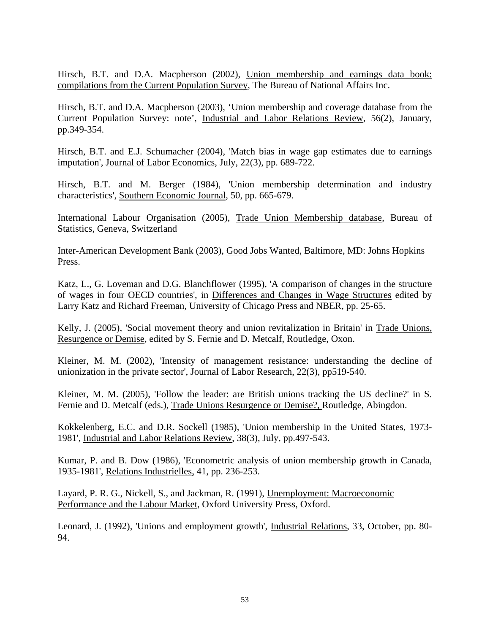Hirsch, B.T. and D.A. Macpherson (2002), Union membership and earnings data book: compilations from the Current Population Survey, The Bureau of National Affairs Inc.

Hirsch, B.T. and D.A. Macpherson (2003), 'Union membership and coverage database from the Current Population Survey: note', Industrial and Labor Relations Review, 56(2), January, pp.349-354.

Hirsch, B.T. and E.J. Schumacher (2004), 'Match bias in wage gap estimates due to earnings imputation', Journal of Labor Economics, July, 22(3), pp. 689-722.

Hirsch, B.T. and M. Berger (1984), 'Union membership determination and industry characteristics', Southern Economic Journal, 50, pp. 665-679.

International Labour Organisation (2005), Trade Union Membership database, Bureau of Statistics, Geneva, Switzerland

Inter-American Development Bank (2003), Good Jobs Wanted, Baltimore, MD: Johns Hopkins Press.

Katz, L., G. Loveman and D.G. Blanchflower (1995), 'A comparison of changes in the structure of wages in four OECD countries', in Differences and Changes in Wage Structures edited by Larry Katz and Richard Freeman, University of Chicago Press and NBER, pp. 25-65.

Kelly, J. (2005), 'Social movement theory and union revitalization in Britain' in Trade Unions, Resurgence or Demise, edited by S. Fernie and D. Metcalf, Routledge, Oxon.

Kleiner, M. M. (2002), 'Intensity of management resistance: understanding the decline of unionization in the private sector', Journal of Labor Research, 22(3), pp519-540.

Kleiner, M. M. (2005), 'Follow the leader: are British unions tracking the US decline?' in S. Fernie and D. Metcalf (eds.), Trade Unions Resurgence or Demise?, Routledge, Abingdon.

Kokkelenberg, E.C. and D.R. Sockell (1985), 'Union membership in the United States, 1973- 1981', Industrial and Labor Relations Review, 38(3), July, pp.497-543.

Kumar, P. and B. Dow (1986), 'Econometric analysis of union membership growth in Canada, 1935-1981', Relations Industrielles, 41, pp. 236-253.

Layard, P. R. G., Nickell, S., and Jackman, R. (1991), Unemployment: Macroeconomic Performance and the Labour Market, Oxford University Press, Oxford.

Leonard, J. (1992), 'Unions and employment growth', Industrial Relations, 33, October, pp. 80- 94.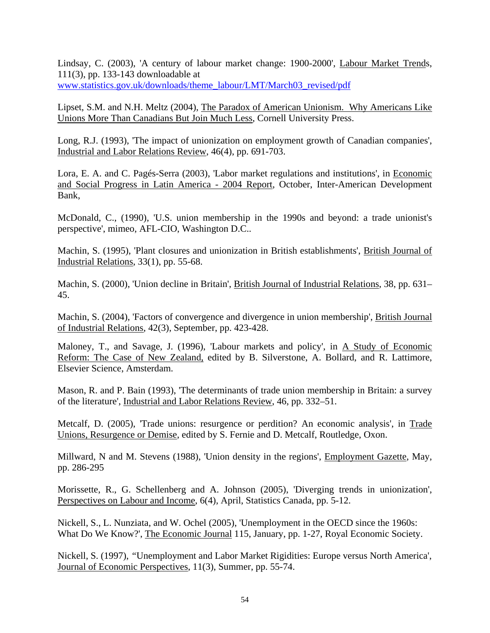Lindsay, C. (2003), 'A century of labour market change: 1900-2000', Labour Market Trends, 111(3), pp. 133-143 downloadable at www.statistics.gov.uk/downloads/theme\_labour/LMT/March03\_revised/pdf

Lipset, S.M. and N.H. Meltz (2004), The Paradox of American Unionism. Why Americans Like Unions More Than Canadians But Join Much Less, Cornell University Press.

Long, R.J. (1993), 'The impact of unionization on employment growth of Canadian companies', Industrial and Labor Relations Review, 46(4), pp. 691-703.

Lora, E. A. and C. Pagés-Serra (2003), 'Labor market regulations and institutions', in Economic and Social Progress in Latin America - 2004 Report, October, Inter-American Development Bank,

McDonald, C., (1990), 'U.S. union membership in the 1990s and beyond: a trade unionist's perspective', mimeo, AFL-CIO, Washington D.C..

Machin, S. (1995), 'Plant closures and unionization in British establishments', British Journal of Industrial Relations, 33(1), pp. 55-68.

Machin, S. (2000), 'Union decline in Britain', British Journal of Industrial Relations, 38, pp. 631– 45.

Machin, S. (2004), 'Factors of convergence and divergence in union membership', British Journal of Industrial Relations, 42(3), September, pp. 423-428.

Maloney, T., and Savage, J. (1996), 'Labour markets and policy', in A Study of Economic Reform: The Case of New Zealand, edited by B. Silverstone, A. Bollard, and R. Lattimore, Elsevier Science, Amsterdam.

Mason, R. and P. Bain (1993), 'The determinants of trade union membership in Britain: a survey of the literature', Industrial and Labor Relations Review, 46, pp. 332–51.

Metcalf, D. (2005), 'Trade unions: resurgence or perdition? An economic analysis', in Trade Unions, Resurgence or Demise, edited by S. Fernie and D. Metcalf, Routledge, Oxon.

Millward, N and M. Stevens (1988), 'Union density in the regions', Employment Gazette, May, pp. 286-295

Morissette, R., G. Schellenberg and A. Johnson (2005), 'Diverging trends in unionization', Perspectives on Labour and Income, 6(4), April, Statistics Canada, pp. 5-12.

Nickell, S., L. Nunziata, and W. Ochel (2005), 'Unemployment in the OECD since the 1960s: What Do We Know?', The Economic Journal 115, January, pp. 1-27, Royal Economic Society.

Nickell, S. (1997), *"*Unemployment and Labor Market Rigidities: Europe versus North America', Journal of Economic Perspectives, 11(3), Summer, pp. 55-74.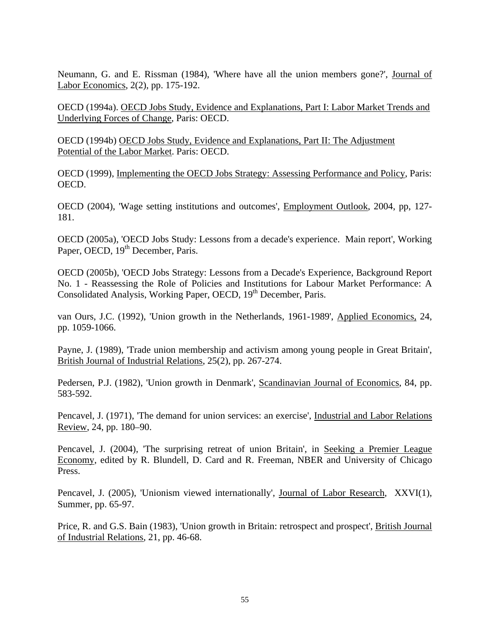Neumann, G. and E. Rissman (1984), 'Where have all the union members gone?', Journal of Labor Economics, 2(2), pp. 175-192.

OECD (1994a). OECD Jobs Study, Evidence and Explanations, Part I: Labor Market Trends and Underlying Forces of Change, Paris: OECD.

OECD (1994b) OECD Jobs Study, Evidence and Explanations, Part II: The Adjustment Potential of the Labor Market. Paris: OECD.

OECD (1999), Implementing the OECD Jobs Strategy: Assessing Performance and Policy, Paris: OECD.

OECD (2004), 'Wage setting institutions and outcomes', Employment Outlook, 2004, pp, 127- 181.

OECD (2005a), 'OECD Jobs Study: Lessons from a decade's experience. Main report', Working Paper, OECD, 19<sup>th</sup> December, Paris.

OECD (2005b), 'OECD Jobs Strategy: Lessons from a Decade's Experience, Background Report No. 1 - Reassessing the Role of Policies and Institutions for Labour Market Performance: A Consolidated Analysis, Working Paper, OECD, 19<sup>th</sup> December, Paris.

van Ours, J.C. (1992), 'Union growth in the Netherlands, 1961-1989', Applied Economics, 24, pp. 1059-1066.

Payne, J. (1989), 'Trade union membership and activism among young people in Great Britain', British Journal of Industrial Relations, 25(2), pp. 267-274.

Pedersen, P.J. (1982), 'Union growth in Denmark', Scandinavian Journal of Economics, 84, pp. 583-592.

Pencavel, J. (1971), 'The demand for union services: an exercise', Industrial and Labor Relations Review, 24, pp. 180–90.

Pencavel, J. (2004), 'The surprising retreat of union Britain', in Seeking a Premier League Economy, edited by R. Blundell, D. Card and R. Freeman, NBER and University of Chicago Press.

Pencavel, J. (2005), 'Unionism viewed internationally', Journal of Labor Research, XXVI(1), Summer, pp. 65-97.

Price, R. and G.S. Bain (1983), 'Union growth in Britain: retrospect and prospect', British Journal of Industrial Relations, 21, pp. 46-68.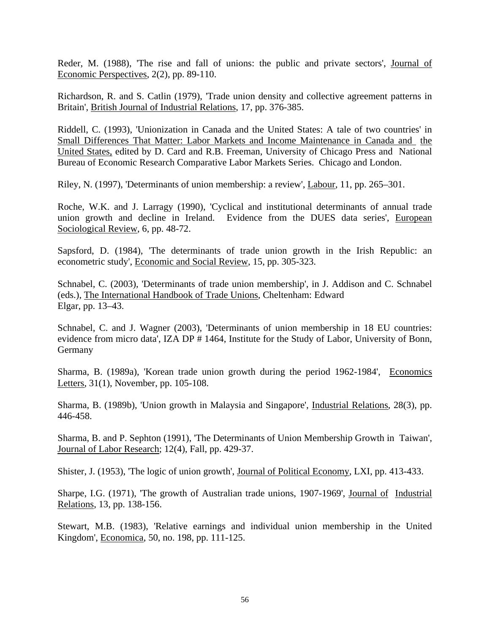Reder, M. (1988), 'The rise and fall of unions: the public and private sectors', Journal of Economic Perspectives, 2(2), pp. 89-110.

Richardson, R. and S. Catlin (1979), 'Trade union density and collective agreement patterns in Britain', British Journal of Industrial Relations, 17, pp. 376-385.

Riddell, C. (1993), 'Unionization in Canada and the United States: A tale of two countries' in Small Differences That Matter: Labor Markets and Income Maintenance in Canada and the United States, edited by D. Card and R.B. Freeman, University of Chicago Press and National Bureau of Economic Research Comparative Labor Markets Series. Chicago and London.

Riley, N. (1997), 'Determinants of union membership: a review', Labour, 11, pp. 265–301.

Roche, W.K. and J. Larragy (1990), 'Cyclical and institutional determinants of annual trade union growth and decline in Ireland. Evidence from the DUES data series', European Sociological Review, 6, pp. 48-72.

Sapsford, D. (1984), 'The determinants of trade union growth in the Irish Republic: an econometric study', Economic and Social Review, 15, pp. 305-323.

Schnabel, C. (2003), 'Determinants of trade union membership', in J. Addison and C. Schnabel (eds.), The International Handbook of Trade Unions, Cheltenham: Edward Elgar, pp. 13–43.

Schnabel, C. and J. Wagner (2003), 'Determinants of union membership in 18 EU countries: evidence from micro data', IZA DP # 1464, Institute for the Study of Labor, University of Bonn, Germany

Sharma, B. (1989a), 'Korean trade union growth during the period 1962-1984', Economics Letters, 31(1), November, pp. 105-108.

Sharma, B. (1989b), 'Union growth in Malaysia and Singapore', Industrial Relations, 28(3), pp. 446-458.

Sharma, B. and P. Sephton (1991), 'The Determinants of Union Membership Growth in Taiwan', Journal of Labor Research; 12(4), Fall, pp. 429-37.

Shister, J. (1953), 'The logic of union growth', Journal of Political Economy, LXI, pp. 413-433.

Sharpe, I.G. (1971), 'The growth of Australian trade unions, 1907-1969', Journal of Industrial Relations, 13, pp. 138-156.

Stewart, M.B. (1983), 'Relative earnings and individual union membership in the United Kingdom', Economica, 50, no. 198, pp. 111-125.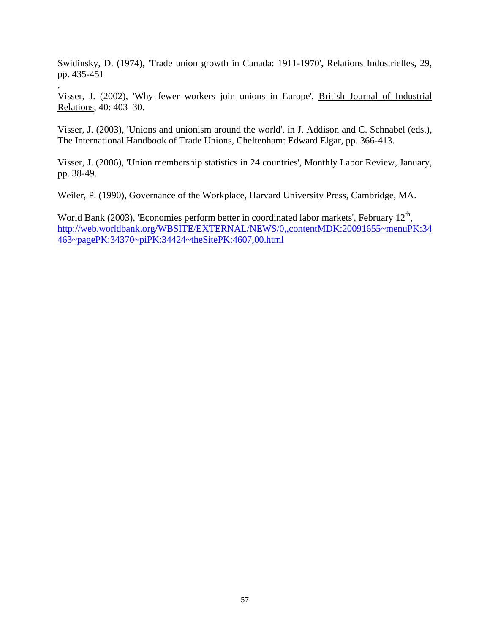Swidinsky, D. (1974), 'Trade union growth in Canada: 1911-1970', Relations Industrielles, 29, pp. 435-451

.

Visser, J. (2002), 'Why fewer workers join unions in Europe', British Journal of Industrial Relations, 40: 403–30.

Visser, J. (2003), 'Unions and unionism around the world', in J. Addison and C. Schnabel (eds.), The International Handbook of Trade Unions, Cheltenham: Edward Elgar, pp. 366-413.

Visser, J. (2006), 'Union membership statistics in 24 countries', Monthly Labor Review, January, pp. 38-49.

Weiler, P. (1990), Governance of the Workplace, Harvard University Press, Cambridge, MA.

World Bank (2003), 'Economies perform better in coordinated labor markets', February  $12<sup>th</sup>$ , http://web.worldbank.org/WBSITE/EXTERNAL/NEWS/0,,contentMDK:20091655~menuPK:34 463~pagePK:34370~piPK:34424~theSitePK:4607,00.html